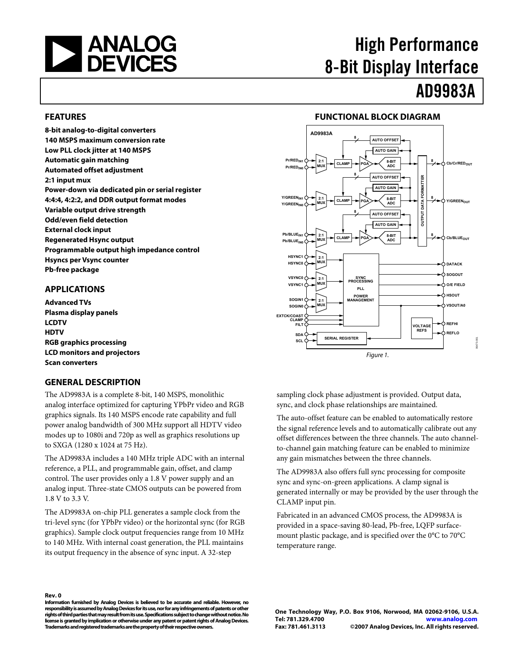<span id="page-0-1"></span><span id="page-0-0"></span>

# High Performance 8-Bit Display Interface

# AD9983A

# **FEATURES**

**8-bit analog-to-digital converters 140 MSPS maximum conversion rate Low PLL clock jitter at 140 MSPS Automatic gain matching Automated offset adjustment 2:1 input mux Power-down via dedicated pin or serial register 4:4:4, 4:2:2, and DDR output format modes Variable output drive strength Odd/even field detection External clock input Regenerated Hsync output Programmable output high impedance control Hsyncs per Vsync counter Pb-free package** 

#### **APPLICATIONS**

**Advanced TVs Plasma display panels LCDTV HDTV RGB graphics processing LCD monitors and projectors Scan converters** 

# **GENERAL DESCRIPTION**

The AD9983A is a complete 8-bit, 140 MSPS, monolithic analog interface optimized for capturing YPbPr video and RGB graphics signals. Its 140 MSPS encode rate capability and full power analog bandwidth of 300 MHz support all HDTV video modes up to 1080i and 720p as well as graphics resolutions up to SXGA (1280 x 1024 at 75 Hz).

The AD9983A includes a 140 MHz triple ADC with an internal reference, a PLL, and programmable gain, offset, and clamp control. The user provides only a 1.8 V power supply and an analog input. Three-state CMOS outputs can be powered from 1.8 V to 3.3 V.

The AD9983A on-chip PLL generates a sample clock from the tri-level sync (for YPbPr video) or the horizontal sync (for RGB graphics). Sample clock output frequencies range from 10 MHz to 140 MHz. With internal coast generation, the PLL maintains its output frequency in the absence of sync input. A 32-step

# **FUNCTIONAL BLOCK DIAGRAM**



sampling clock phase adjustment is provided. Output data, sync, and clock phase relationships are maintained.

The auto-offset feature can be enabled to automatically restore the signal reference levels and to automatically calibrate out any offset differences between the three channels. The auto channelto-channel gain matching feature can be enabled to minimize any gain mismatches between the three channels.

The AD9983A also offers full sync processing for composite sync and sync-on-green applications. A clamp signal is generated internally or may be provided by the user through the CLAMP input pin.

Fabricated in an advanced CMOS process, the AD9983A is provided in a space-saving 80-lead, Pb-free, LQFP surfacemount plastic package, and is specified over the 0°C to 70°C temperature range.

#### **Rev. 0**

**Information furnished by Analog Devices is believed to be accurate and reliable. However, no responsibility is assumed by Analog Devices for its use, nor for any infringements of patents or other rights of third parties that may result from its use. Specifications subject to change without notice. No license is granted by implication or otherwise under any patent or patent rights of Analog Devices. Trademarks and registered trademarks are the property of their respective owners.** 

**One Technology Way, P.O. Box 9106, Norwood, MA 02062-9106, U.S.A. Tel: 781.329.4700 www.analog.com Fax: 781.461.3113 ©2007 Analog Devices, Inc. All rights reserved.**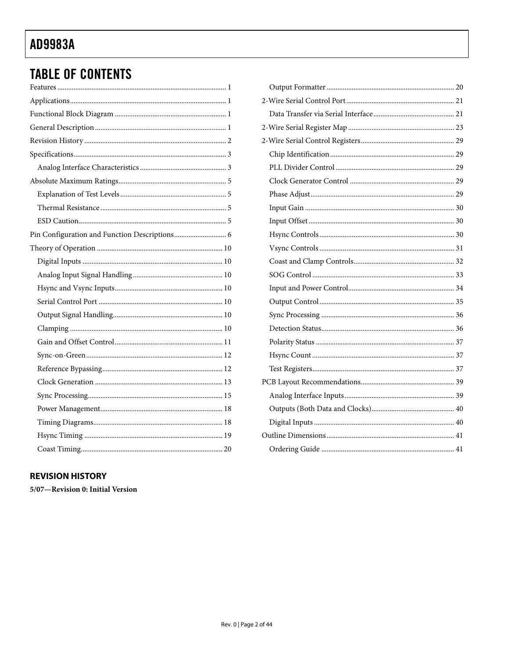# **TABLE OF CONTENTS**

| Pin Configuration and Function Descriptions 6 |
|-----------------------------------------------|
|                                               |
|                                               |
|                                               |
|                                               |
|                                               |
|                                               |
|                                               |
|                                               |
|                                               |
|                                               |
|                                               |
|                                               |
|                                               |
|                                               |
|                                               |
|                                               |

# **REVISION HISTORY**

5/07-Revision 0: Initial Version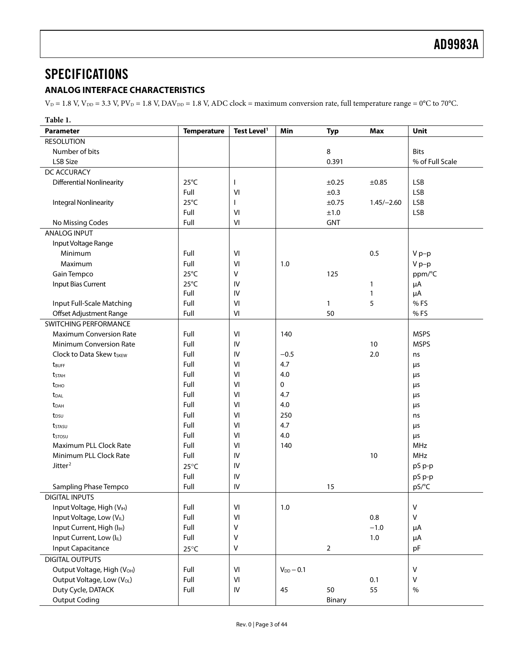# <span id="page-2-0"></span>**SPECIFICATIONS**

# **ANALOG INTERFACE CHARACTERISTICS**

 $V_D = 1.8$  V,  $V_{DD} = 3.3$  V,  $PV_D = 1.8$  V,  $DAV_{DD} = 1.8$  V,  $ADC clock = maximum$  conversion rate, full temperature range = 0°C to 70°C.

| Unit<br><b>Parameter</b><br><b>Temperature</b><br>Test Level <sup>1</sup><br>Min<br><b>Typ</b><br><b>Max</b><br><b>RESOLUTION</b><br>8<br>Number of bits<br><b>Bits</b><br>LSB Size<br>0.391<br>% of Full Scale<br>DC ACCURACY<br>$25^{\circ}$ C<br><b>Differential Nonlinearity</b><br><b>LSB</b><br>±0.25<br>$\mathbf{I}$<br>$\pm 0.85$<br>Full<br>VI<br>±0.3<br><b>LSB</b><br>$25^{\circ}$ C<br><b>LSB</b><br><b>Integral Nonlinearity</b><br>±0.75<br>$1.45/-2.60$<br>L<br>Full<br><b>LSB</b><br>VI<br>±1.0<br>Full<br><b>GNT</b><br>No Missing Codes<br>VI<br><b>ANALOG INPUT</b><br>Input Voltage Range<br>Full<br>VI<br>0.5<br>Minimum<br>$V p-p$<br>Full<br>Maximum<br>$V p-p$<br>VI<br>1.0<br>$25^{\circ}$ C<br>Gain Tempco<br>v<br>ppm/°C<br>125<br>$25^{\circ}$ C<br>Input Bias Current<br>IV<br>μA<br>1<br>Full<br>IV<br>$\mathbf{1}$<br>μA<br>Full<br>Input Full-Scale Matching<br>VI<br>5<br>% FS<br>$\mathbf{1}$<br>Offset Adjustment Range<br>Full<br>VI<br>50<br>% FS<br>SWITCHING PERFORMANCE<br><b>Maximum Conversion Rate</b><br>Full<br>VI<br>140<br><b>MSPS</b><br>Full<br><b>MSPS</b><br><b>Minimum Conversion Rate</b><br>IV<br>10<br>Full<br>Clock to Data Skew tskew<br>IV<br>$-0.5$<br>2.0<br>ns<br>Full<br>VI<br>4.7<br>μs<br>t <sub>BUFF</sub><br>Full<br>4.0<br>VI<br>μs<br><b>t</b> stah<br>Full<br>0<br>VI<br>t <sub>DHO</sub><br>μs<br>Full<br>4.7<br>VI<br><b>t</b> <sub>DAL</sub><br>μs<br>Full<br>4.0<br>VI<br><b>t</b> <sub>DAH</sub><br>μs<br>Full<br>250<br>VI<br>t <sub>DSU</sub><br>ns<br>Full<br>VI<br>4.7<br>tstasu<br>μs<br>Full<br>VI<br>4.0<br>μs<br>tstosu<br>Full<br>Maximum PLL Clock Rate<br>VI<br>140<br>MHz<br>Minimum PLL Clock Rate<br>Full<br>IV<br>10<br>MHz<br>Jitter <sup>2</sup><br>IV<br>pS p-p<br>$25^{\circ}$ C<br>Full<br>IV<br>pS p-p<br>Full<br>pS/°C<br>Sampling Phase Tempco<br>IV<br>15<br><b>DIGITAL INPUTS</b><br>Input Voltage, High (VIH)<br>Full<br>VI<br>$1.0$<br>V<br>Full<br>0.8<br>V<br>Input Voltage, Low (VL)<br>VI<br>Input Current, High (I <sub>IH</sub> )<br>Full<br>V<br>$-1.0$<br>μA<br>Full<br>Input Current, Low (IL)<br>v<br>1.0<br>μA<br>$\overline{2}$<br><b>Input Capacitance</b><br>V<br>pF<br>$25^{\circ}$ C<br><b>DIGITAL OUTPUTS</b><br>Output Voltage, High (V <sub>OH</sub> )<br>Full<br>VI<br>$V_{DD} - 0.1$<br>V<br>Full<br>Output Voltage, Low (V <sub>OL</sub> )<br>$\ensuremath{\mathsf{VI}}\xspace$<br>0.1<br>V<br>Duty Cycle, DATACK<br>55<br>Full<br>IV<br>45<br>50<br>$\%$ | Table 1.             |  |  |  |        |  |
|--------------------------------------------------------------------------------------------------------------------------------------------------------------------------------------------------------------------------------------------------------------------------------------------------------------------------------------------------------------------------------------------------------------------------------------------------------------------------------------------------------------------------------------------------------------------------------------------------------------------------------------------------------------------------------------------------------------------------------------------------------------------------------------------------------------------------------------------------------------------------------------------------------------------------------------------------------------------------------------------------------------------------------------------------------------------------------------------------------------------------------------------------------------------------------------------------------------------------------------------------------------------------------------------------------------------------------------------------------------------------------------------------------------------------------------------------------------------------------------------------------------------------------------------------------------------------------------------------------------------------------------------------------------------------------------------------------------------------------------------------------------------------------------------------------------------------------------------------------------------------------------------------------------------------------------------------------------------------------------------------------------------------------------------------------------------------------------------------------------------------------------------------------------------------------------------------------------------------------------------------------------------------------------------------------------------------------------------------------------------------------------------------------------------------------------------------------------------------------------|----------------------|--|--|--|--------|--|
|                                                                                                                                                                                                                                                                                                                                                                                                                                                                                                                                                                                                                                                                                                                                                                                                                                                                                                                                                                                                                                                                                                                                                                                                                                                                                                                                                                                                                                                                                                                                                                                                                                                                                                                                                                                                                                                                                                                                                                                                                                                                                                                                                                                                                                                                                                                                                                                                                                                                                      |                      |  |  |  |        |  |
|                                                                                                                                                                                                                                                                                                                                                                                                                                                                                                                                                                                                                                                                                                                                                                                                                                                                                                                                                                                                                                                                                                                                                                                                                                                                                                                                                                                                                                                                                                                                                                                                                                                                                                                                                                                                                                                                                                                                                                                                                                                                                                                                                                                                                                                                                                                                                                                                                                                                                      |                      |  |  |  |        |  |
|                                                                                                                                                                                                                                                                                                                                                                                                                                                                                                                                                                                                                                                                                                                                                                                                                                                                                                                                                                                                                                                                                                                                                                                                                                                                                                                                                                                                                                                                                                                                                                                                                                                                                                                                                                                                                                                                                                                                                                                                                                                                                                                                                                                                                                                                                                                                                                                                                                                                                      |                      |  |  |  |        |  |
|                                                                                                                                                                                                                                                                                                                                                                                                                                                                                                                                                                                                                                                                                                                                                                                                                                                                                                                                                                                                                                                                                                                                                                                                                                                                                                                                                                                                                                                                                                                                                                                                                                                                                                                                                                                                                                                                                                                                                                                                                                                                                                                                                                                                                                                                                                                                                                                                                                                                                      |                      |  |  |  |        |  |
|                                                                                                                                                                                                                                                                                                                                                                                                                                                                                                                                                                                                                                                                                                                                                                                                                                                                                                                                                                                                                                                                                                                                                                                                                                                                                                                                                                                                                                                                                                                                                                                                                                                                                                                                                                                                                                                                                                                                                                                                                                                                                                                                                                                                                                                                                                                                                                                                                                                                                      |                      |  |  |  |        |  |
|                                                                                                                                                                                                                                                                                                                                                                                                                                                                                                                                                                                                                                                                                                                                                                                                                                                                                                                                                                                                                                                                                                                                                                                                                                                                                                                                                                                                                                                                                                                                                                                                                                                                                                                                                                                                                                                                                                                                                                                                                                                                                                                                                                                                                                                                                                                                                                                                                                                                                      |                      |  |  |  |        |  |
|                                                                                                                                                                                                                                                                                                                                                                                                                                                                                                                                                                                                                                                                                                                                                                                                                                                                                                                                                                                                                                                                                                                                                                                                                                                                                                                                                                                                                                                                                                                                                                                                                                                                                                                                                                                                                                                                                                                                                                                                                                                                                                                                                                                                                                                                                                                                                                                                                                                                                      |                      |  |  |  |        |  |
|                                                                                                                                                                                                                                                                                                                                                                                                                                                                                                                                                                                                                                                                                                                                                                                                                                                                                                                                                                                                                                                                                                                                                                                                                                                                                                                                                                                                                                                                                                                                                                                                                                                                                                                                                                                                                                                                                                                                                                                                                                                                                                                                                                                                                                                                                                                                                                                                                                                                                      |                      |  |  |  |        |  |
|                                                                                                                                                                                                                                                                                                                                                                                                                                                                                                                                                                                                                                                                                                                                                                                                                                                                                                                                                                                                                                                                                                                                                                                                                                                                                                                                                                                                                                                                                                                                                                                                                                                                                                                                                                                                                                                                                                                                                                                                                                                                                                                                                                                                                                                                                                                                                                                                                                                                                      |                      |  |  |  |        |  |
|                                                                                                                                                                                                                                                                                                                                                                                                                                                                                                                                                                                                                                                                                                                                                                                                                                                                                                                                                                                                                                                                                                                                                                                                                                                                                                                                                                                                                                                                                                                                                                                                                                                                                                                                                                                                                                                                                                                                                                                                                                                                                                                                                                                                                                                                                                                                                                                                                                                                                      |                      |  |  |  |        |  |
|                                                                                                                                                                                                                                                                                                                                                                                                                                                                                                                                                                                                                                                                                                                                                                                                                                                                                                                                                                                                                                                                                                                                                                                                                                                                                                                                                                                                                                                                                                                                                                                                                                                                                                                                                                                                                                                                                                                                                                                                                                                                                                                                                                                                                                                                                                                                                                                                                                                                                      |                      |  |  |  |        |  |
|                                                                                                                                                                                                                                                                                                                                                                                                                                                                                                                                                                                                                                                                                                                                                                                                                                                                                                                                                                                                                                                                                                                                                                                                                                                                                                                                                                                                                                                                                                                                                                                                                                                                                                                                                                                                                                                                                                                                                                                                                                                                                                                                                                                                                                                                                                                                                                                                                                                                                      |                      |  |  |  |        |  |
|                                                                                                                                                                                                                                                                                                                                                                                                                                                                                                                                                                                                                                                                                                                                                                                                                                                                                                                                                                                                                                                                                                                                                                                                                                                                                                                                                                                                                                                                                                                                                                                                                                                                                                                                                                                                                                                                                                                                                                                                                                                                                                                                                                                                                                                                                                                                                                                                                                                                                      |                      |  |  |  |        |  |
|                                                                                                                                                                                                                                                                                                                                                                                                                                                                                                                                                                                                                                                                                                                                                                                                                                                                                                                                                                                                                                                                                                                                                                                                                                                                                                                                                                                                                                                                                                                                                                                                                                                                                                                                                                                                                                                                                                                                                                                                                                                                                                                                                                                                                                                                                                                                                                                                                                                                                      |                      |  |  |  |        |  |
|                                                                                                                                                                                                                                                                                                                                                                                                                                                                                                                                                                                                                                                                                                                                                                                                                                                                                                                                                                                                                                                                                                                                                                                                                                                                                                                                                                                                                                                                                                                                                                                                                                                                                                                                                                                                                                                                                                                                                                                                                                                                                                                                                                                                                                                                                                                                                                                                                                                                                      |                      |  |  |  |        |  |
|                                                                                                                                                                                                                                                                                                                                                                                                                                                                                                                                                                                                                                                                                                                                                                                                                                                                                                                                                                                                                                                                                                                                                                                                                                                                                                                                                                                                                                                                                                                                                                                                                                                                                                                                                                                                                                                                                                                                                                                                                                                                                                                                                                                                                                                                                                                                                                                                                                                                                      |                      |  |  |  |        |  |
|                                                                                                                                                                                                                                                                                                                                                                                                                                                                                                                                                                                                                                                                                                                                                                                                                                                                                                                                                                                                                                                                                                                                                                                                                                                                                                                                                                                                                                                                                                                                                                                                                                                                                                                                                                                                                                                                                                                                                                                                                                                                                                                                                                                                                                                                                                                                                                                                                                                                                      |                      |  |  |  |        |  |
|                                                                                                                                                                                                                                                                                                                                                                                                                                                                                                                                                                                                                                                                                                                                                                                                                                                                                                                                                                                                                                                                                                                                                                                                                                                                                                                                                                                                                                                                                                                                                                                                                                                                                                                                                                                                                                                                                                                                                                                                                                                                                                                                                                                                                                                                                                                                                                                                                                                                                      |                      |  |  |  |        |  |
|                                                                                                                                                                                                                                                                                                                                                                                                                                                                                                                                                                                                                                                                                                                                                                                                                                                                                                                                                                                                                                                                                                                                                                                                                                                                                                                                                                                                                                                                                                                                                                                                                                                                                                                                                                                                                                                                                                                                                                                                                                                                                                                                                                                                                                                                                                                                                                                                                                                                                      |                      |  |  |  |        |  |
|                                                                                                                                                                                                                                                                                                                                                                                                                                                                                                                                                                                                                                                                                                                                                                                                                                                                                                                                                                                                                                                                                                                                                                                                                                                                                                                                                                                                                                                                                                                                                                                                                                                                                                                                                                                                                                                                                                                                                                                                                                                                                                                                                                                                                                                                                                                                                                                                                                                                                      |                      |  |  |  |        |  |
|                                                                                                                                                                                                                                                                                                                                                                                                                                                                                                                                                                                                                                                                                                                                                                                                                                                                                                                                                                                                                                                                                                                                                                                                                                                                                                                                                                                                                                                                                                                                                                                                                                                                                                                                                                                                                                                                                                                                                                                                                                                                                                                                                                                                                                                                                                                                                                                                                                                                                      |                      |  |  |  |        |  |
|                                                                                                                                                                                                                                                                                                                                                                                                                                                                                                                                                                                                                                                                                                                                                                                                                                                                                                                                                                                                                                                                                                                                                                                                                                                                                                                                                                                                                                                                                                                                                                                                                                                                                                                                                                                                                                                                                                                                                                                                                                                                                                                                                                                                                                                                                                                                                                                                                                                                                      |                      |  |  |  |        |  |
|                                                                                                                                                                                                                                                                                                                                                                                                                                                                                                                                                                                                                                                                                                                                                                                                                                                                                                                                                                                                                                                                                                                                                                                                                                                                                                                                                                                                                                                                                                                                                                                                                                                                                                                                                                                                                                                                                                                                                                                                                                                                                                                                                                                                                                                                                                                                                                                                                                                                                      |                      |  |  |  |        |  |
|                                                                                                                                                                                                                                                                                                                                                                                                                                                                                                                                                                                                                                                                                                                                                                                                                                                                                                                                                                                                                                                                                                                                                                                                                                                                                                                                                                                                                                                                                                                                                                                                                                                                                                                                                                                                                                                                                                                                                                                                                                                                                                                                                                                                                                                                                                                                                                                                                                                                                      |                      |  |  |  |        |  |
|                                                                                                                                                                                                                                                                                                                                                                                                                                                                                                                                                                                                                                                                                                                                                                                                                                                                                                                                                                                                                                                                                                                                                                                                                                                                                                                                                                                                                                                                                                                                                                                                                                                                                                                                                                                                                                                                                                                                                                                                                                                                                                                                                                                                                                                                                                                                                                                                                                                                                      |                      |  |  |  |        |  |
|                                                                                                                                                                                                                                                                                                                                                                                                                                                                                                                                                                                                                                                                                                                                                                                                                                                                                                                                                                                                                                                                                                                                                                                                                                                                                                                                                                                                                                                                                                                                                                                                                                                                                                                                                                                                                                                                                                                                                                                                                                                                                                                                                                                                                                                                                                                                                                                                                                                                                      |                      |  |  |  |        |  |
|                                                                                                                                                                                                                                                                                                                                                                                                                                                                                                                                                                                                                                                                                                                                                                                                                                                                                                                                                                                                                                                                                                                                                                                                                                                                                                                                                                                                                                                                                                                                                                                                                                                                                                                                                                                                                                                                                                                                                                                                                                                                                                                                                                                                                                                                                                                                                                                                                                                                                      |                      |  |  |  |        |  |
|                                                                                                                                                                                                                                                                                                                                                                                                                                                                                                                                                                                                                                                                                                                                                                                                                                                                                                                                                                                                                                                                                                                                                                                                                                                                                                                                                                                                                                                                                                                                                                                                                                                                                                                                                                                                                                                                                                                                                                                                                                                                                                                                                                                                                                                                                                                                                                                                                                                                                      |                      |  |  |  |        |  |
|                                                                                                                                                                                                                                                                                                                                                                                                                                                                                                                                                                                                                                                                                                                                                                                                                                                                                                                                                                                                                                                                                                                                                                                                                                                                                                                                                                                                                                                                                                                                                                                                                                                                                                                                                                                                                                                                                                                                                                                                                                                                                                                                                                                                                                                                                                                                                                                                                                                                                      |                      |  |  |  |        |  |
|                                                                                                                                                                                                                                                                                                                                                                                                                                                                                                                                                                                                                                                                                                                                                                                                                                                                                                                                                                                                                                                                                                                                                                                                                                                                                                                                                                                                                                                                                                                                                                                                                                                                                                                                                                                                                                                                                                                                                                                                                                                                                                                                                                                                                                                                                                                                                                                                                                                                                      |                      |  |  |  |        |  |
|                                                                                                                                                                                                                                                                                                                                                                                                                                                                                                                                                                                                                                                                                                                                                                                                                                                                                                                                                                                                                                                                                                                                                                                                                                                                                                                                                                                                                                                                                                                                                                                                                                                                                                                                                                                                                                                                                                                                                                                                                                                                                                                                                                                                                                                                                                                                                                                                                                                                                      |                      |  |  |  |        |  |
|                                                                                                                                                                                                                                                                                                                                                                                                                                                                                                                                                                                                                                                                                                                                                                                                                                                                                                                                                                                                                                                                                                                                                                                                                                                                                                                                                                                                                                                                                                                                                                                                                                                                                                                                                                                                                                                                                                                                                                                                                                                                                                                                                                                                                                                                                                                                                                                                                                                                                      |                      |  |  |  |        |  |
|                                                                                                                                                                                                                                                                                                                                                                                                                                                                                                                                                                                                                                                                                                                                                                                                                                                                                                                                                                                                                                                                                                                                                                                                                                                                                                                                                                                                                                                                                                                                                                                                                                                                                                                                                                                                                                                                                                                                                                                                                                                                                                                                                                                                                                                                                                                                                                                                                                                                                      |                      |  |  |  |        |  |
|                                                                                                                                                                                                                                                                                                                                                                                                                                                                                                                                                                                                                                                                                                                                                                                                                                                                                                                                                                                                                                                                                                                                                                                                                                                                                                                                                                                                                                                                                                                                                                                                                                                                                                                                                                                                                                                                                                                                                                                                                                                                                                                                                                                                                                                                                                                                                                                                                                                                                      |                      |  |  |  |        |  |
|                                                                                                                                                                                                                                                                                                                                                                                                                                                                                                                                                                                                                                                                                                                                                                                                                                                                                                                                                                                                                                                                                                                                                                                                                                                                                                                                                                                                                                                                                                                                                                                                                                                                                                                                                                                                                                                                                                                                                                                                                                                                                                                                                                                                                                                                                                                                                                                                                                                                                      |                      |  |  |  |        |  |
|                                                                                                                                                                                                                                                                                                                                                                                                                                                                                                                                                                                                                                                                                                                                                                                                                                                                                                                                                                                                                                                                                                                                                                                                                                                                                                                                                                                                                                                                                                                                                                                                                                                                                                                                                                                                                                                                                                                                                                                                                                                                                                                                                                                                                                                                                                                                                                                                                                                                                      |                      |  |  |  |        |  |
|                                                                                                                                                                                                                                                                                                                                                                                                                                                                                                                                                                                                                                                                                                                                                                                                                                                                                                                                                                                                                                                                                                                                                                                                                                                                                                                                                                                                                                                                                                                                                                                                                                                                                                                                                                                                                                                                                                                                                                                                                                                                                                                                                                                                                                                                                                                                                                                                                                                                                      |                      |  |  |  |        |  |
|                                                                                                                                                                                                                                                                                                                                                                                                                                                                                                                                                                                                                                                                                                                                                                                                                                                                                                                                                                                                                                                                                                                                                                                                                                                                                                                                                                                                                                                                                                                                                                                                                                                                                                                                                                                                                                                                                                                                                                                                                                                                                                                                                                                                                                                                                                                                                                                                                                                                                      |                      |  |  |  |        |  |
|                                                                                                                                                                                                                                                                                                                                                                                                                                                                                                                                                                                                                                                                                                                                                                                                                                                                                                                                                                                                                                                                                                                                                                                                                                                                                                                                                                                                                                                                                                                                                                                                                                                                                                                                                                                                                                                                                                                                                                                                                                                                                                                                                                                                                                                                                                                                                                                                                                                                                      |                      |  |  |  |        |  |
|                                                                                                                                                                                                                                                                                                                                                                                                                                                                                                                                                                                                                                                                                                                                                                                                                                                                                                                                                                                                                                                                                                                                                                                                                                                                                                                                                                                                                                                                                                                                                                                                                                                                                                                                                                                                                                                                                                                                                                                                                                                                                                                                                                                                                                                                                                                                                                                                                                                                                      |                      |  |  |  |        |  |
|                                                                                                                                                                                                                                                                                                                                                                                                                                                                                                                                                                                                                                                                                                                                                                                                                                                                                                                                                                                                                                                                                                                                                                                                                                                                                                                                                                                                                                                                                                                                                                                                                                                                                                                                                                                                                                                                                                                                                                                                                                                                                                                                                                                                                                                                                                                                                                                                                                                                                      |                      |  |  |  |        |  |
|                                                                                                                                                                                                                                                                                                                                                                                                                                                                                                                                                                                                                                                                                                                                                                                                                                                                                                                                                                                                                                                                                                                                                                                                                                                                                                                                                                                                                                                                                                                                                                                                                                                                                                                                                                                                                                                                                                                                                                                                                                                                                                                                                                                                                                                                                                                                                                                                                                                                                      |                      |  |  |  |        |  |
|                                                                                                                                                                                                                                                                                                                                                                                                                                                                                                                                                                                                                                                                                                                                                                                                                                                                                                                                                                                                                                                                                                                                                                                                                                                                                                                                                                                                                                                                                                                                                                                                                                                                                                                                                                                                                                                                                                                                                                                                                                                                                                                                                                                                                                                                                                                                                                                                                                                                                      |                      |  |  |  |        |  |
|                                                                                                                                                                                                                                                                                                                                                                                                                                                                                                                                                                                                                                                                                                                                                                                                                                                                                                                                                                                                                                                                                                                                                                                                                                                                                                                                                                                                                                                                                                                                                                                                                                                                                                                                                                                                                                                                                                                                                                                                                                                                                                                                                                                                                                                                                                                                                                                                                                                                                      |                      |  |  |  |        |  |
|                                                                                                                                                                                                                                                                                                                                                                                                                                                                                                                                                                                                                                                                                                                                                                                                                                                                                                                                                                                                                                                                                                                                                                                                                                                                                                                                                                                                                                                                                                                                                                                                                                                                                                                                                                                                                                                                                                                                                                                                                                                                                                                                                                                                                                                                                                                                                                                                                                                                                      |                      |  |  |  |        |  |
|                                                                                                                                                                                                                                                                                                                                                                                                                                                                                                                                                                                                                                                                                                                                                                                                                                                                                                                                                                                                                                                                                                                                                                                                                                                                                                                                                                                                                                                                                                                                                                                                                                                                                                                                                                                                                                                                                                                                                                                                                                                                                                                                                                                                                                                                                                                                                                                                                                                                                      |                      |  |  |  |        |  |
|                                                                                                                                                                                                                                                                                                                                                                                                                                                                                                                                                                                                                                                                                                                                                                                                                                                                                                                                                                                                                                                                                                                                                                                                                                                                                                                                                                                                                                                                                                                                                                                                                                                                                                                                                                                                                                                                                                                                                                                                                                                                                                                                                                                                                                                                                                                                                                                                                                                                                      | <b>Output Coding</b> |  |  |  | Binary |  |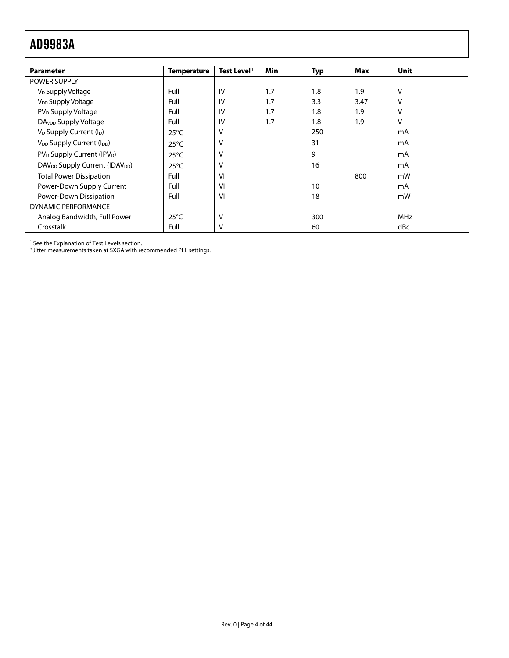<span id="page-3-0"></span>

| <b>Parameter</b>                                       | <b>Temperature</b> | Test Level <sup>1</sup> | <b>Min</b> | <b>Typ</b> | Max  | Unit |
|--------------------------------------------------------|--------------------|-------------------------|------------|------------|------|------|
| <b>POWER SUPPLY</b>                                    |                    |                         |            |            |      |      |
| V <sub>D</sub> Supply Voltage                          | Full               | IV                      | 1.7        | 1.8        | 1.9  | v    |
| V <sub>DD</sub> Supply Voltage                         | Full               | IV                      | 1.7        | 3.3        | 3.47 | v    |
| PV <sub>D</sub> Supply Voltage                         | Full               | IV                      | 1.7        | 1.8        | 1.9  | v    |
| DA <sub>VDD</sub> Supply Voltage                       | Full               | IV                      | 1.7        | 1.8        | 1.9  | v    |
| V <sub>D</sub> Supply Current (I <sub>D</sub> )        | $25^{\circ}$ C     | v                       |            | 250        |      | mA   |
| V <sub>DD</sub> Supply Current (I <sub>DD</sub> )      | $25^{\circ}$ C     | ν                       |            | 31         |      | mA   |
| PV <sub>D</sub> Supply Current (IPV <sub>D</sub> )     | $25^{\circ}$ C     | v                       |            | 9          |      | mA   |
| DAV <sub>DD</sub> Supply Current (IDAV <sub>DD</sub> ) | $25^{\circ}$ C     | ν                       |            | 16         |      | mA   |
| <b>Total Power Dissipation</b>                         | Full               | VI                      |            |            | 800  | mW   |
| Power-Down Supply Current                              | Full               | VI                      |            | 10         |      | mA   |
| Power-Down Dissipation                                 | Full               | VI                      |            | 18         |      | mW   |
| DYNAMIC PERFORMANCE                                    |                    |                         |            |            |      |      |
| Analog Bandwidth, Full Power                           | $25^{\circ}$ C     | v                       |            | 300        |      | MHz  |
| Crosstalk                                              | Full               | v                       |            | 60         |      | dBc  |

1 See the Explanation of Test Levels section. 2 Jitter measurements taken at SXGA with recommended PLL settings.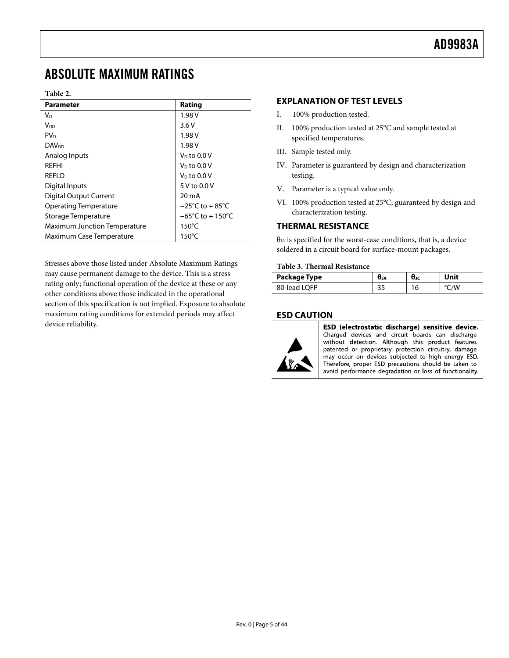# <span id="page-4-1"></span><span id="page-4-0"></span>ABSOLUTE MAXIMUM RATINGS

#### **Table 2.**

| Parameter                           | Rating                              |
|-------------------------------------|-------------------------------------|
| Vn                                  | 1.98 V                              |
| Voo                                 | 3.6V                                |
| PV <sub>D</sub>                     | 1.98 V                              |
| <b>DAV<sub>DD</sub></b>             | 1.98 V                              |
| Analog Inputs                       | $V_0$ to 0.0 V                      |
| <b>RFFHI</b>                        | $VD$ to 0.0 V                       |
| <b>REFLO</b>                        | $VD$ to 0.0 V                       |
| Digital Inputs                      | 5 V to 0.0 V                        |
| <b>Digital Output Current</b>       | 20 mA                               |
| <b>Operating Temperature</b>        | $-25^{\circ}$ C to $+85^{\circ}$ C  |
| Storage Temperature                 | $-65^{\circ}$ C to $+150^{\circ}$ C |
| <b>Maximum Junction Temperature</b> | $150^{\circ}$ C                     |
| Maximum Case Temperature            | $150^{\circ}$ C                     |

Stresses above those listed under Absolute Maximum Ratings may cause permanent damage to the device. This is a stress rating only; functional operation of the device at these or any other conditions above those indicated in the operational section of this specification is not implied. Exposure to absolute maximum rating conditions for extended periods may affect device reliability.

#### **EXPLANATION OF TEST LEVELS**

- I. 100% production tested.
- II. 100% production tested at 25°C and sample tested at specified temperatures.
- III. Sample tested only.
- IV. Parameter is guaranteed by design and characterization testing.
- V. Parameter is a typical value only.
- VI. 100% production tested at 25°C; guaranteed by design and characterization testing.

# **THERMAL RESISTANCE**

 $\theta_{JA}$  is specified for the worst-case conditions, that is, a device soldered in a circuit board for surface-mount packages.

# **Table 3. Thermal Resistance**

| Package Type | n<br>UJA                | UJC | Unit |
|--------------|-------------------------|-----|------|
| 80-lead LOFP | $\mathbf{\cdot}$<br>J., |     |      |

# **ESD CAUTION**



ESD (electrostatic discharge) sensitive device. Charged devices and circuit boards can discharge without detection. Although this product features patented or proprietary protection circuitry, damage may occur on devices subjected to high energy ESD. Therefore, proper ESD precautions should be taken to avoid performance degradation or loss of functionality.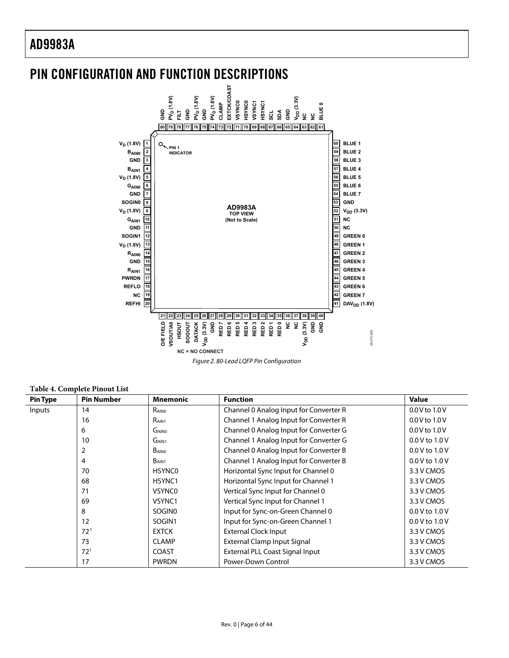<span id="page-5-0"></span>

Figure 2. 80-Lead LQFP Pin Configuration

**Table 4. Complete Pinout List** 

| <b>Pin Type</b> | <b>Pin Number</b> | <b>Mnemonic</b>    | <b>Function</b>                        | <b>Value</b>       |
|-----------------|-------------------|--------------------|----------------------------------------|--------------------|
| Inputs          | 14                | RAINO              | Channel 0 Analog Input for Converter R | $0.0 V$ to $1.0 V$ |
|                 | 16                | R <sub>AIN1</sub>  | Channel 1 Analog Input for Converter R | 0.0 V to 1.0 V     |
|                 | 6                 | GAINO              | Channel 0 Analog Input for Converter G | $0.0V$ to $1.0V$   |
|                 | 10                | GAIN <sub>1</sub>  | Channel 1 Analog Input for Converter G | 0.0 V to 1.0 V     |
|                 | 2                 | <b>BAINO</b>       | Channel 0 Analog Input for Converter B | $0.0 V$ to $1.0 V$ |
|                 | 4                 | B <sub>AIN1</sub>  | Channel 1 Analog Input for Converter B | $0.0 V$ to $1.0 V$ |
|                 | 70                | <b>HSYNCO</b>      | Horizontal Sync Input for Channel 0    | 3.3 V CMOS         |
|                 | 68                | HSYNC1             | Horizontal Sync Input for Channel 1    | 3.3 V CMOS         |
|                 | 71                | <b>VSYNC0</b>      | Vertical Sync Input for Channel 0      | 3.3 V CMOS         |
|                 | 69                | VSYNC1             | Vertical Sync Input for Channel 1      | 3.3 V CMOS         |
|                 | 8                 | SOGIN <sub>0</sub> | Input for Sync-on-Green Channel 0      | $0.0 V$ to $1.0 V$ |
|                 | 12                | SOGIN1             | Input for Sync-on-Green Channel 1      | $0.0 V$ to $1.0 V$ |
|                 | 72 <sup>1</sup>   | <b>EXTCK</b>       | <b>External Clock Input</b>            | 3.3 V CMOS         |
|                 | 73                | <b>CLAMP</b>       | <b>External Clamp Input Signal</b>     | 3.3 V CMOS         |
|                 | 72 <sup>1</sup>   | <b>COAST</b>       | External PLL Coast Signal Input        | 3.3 V CMOS         |
|                 | 17                | <b>PWRDN</b>       | Power-Down Control                     | 3.3 V CMOS         |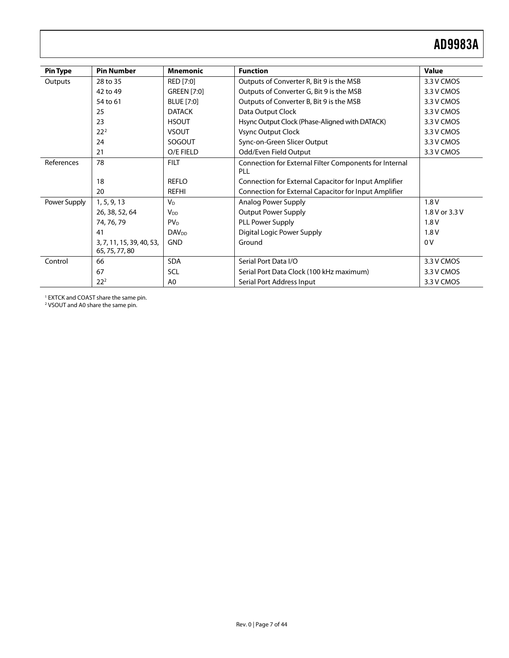<span id="page-6-0"></span>

| <b>Pin Type</b> | <b>Pin Number</b>                           | <b>Mnemonic</b>          | <b>Function</b>                                                      | <b>Value</b>   |
|-----------------|---------------------------------------------|--------------------------|----------------------------------------------------------------------|----------------|
| Outputs         | 28 to 35                                    | RED [7:0]                | Outputs of Converter R, Bit 9 is the MSB                             | 3.3 V CMOS     |
|                 | 42 to 49                                    | <b>GREEN [7:0]</b>       | Outputs of Converter G, Bit 9 is the MSB                             | 3.3 V CMOS     |
|                 | 54 to 61                                    | <b>BLUE</b> [7:0]        | Outputs of Converter B, Bit 9 is the MSB                             | 3.3 V CMOS     |
|                 | 25                                          | <b>DATACK</b>            | Data Output Clock                                                    | 3.3 V CMOS     |
|                 | 23                                          | <b>HSOUT</b>             | Hsync Output Clock (Phase-Aligned with DATACK)                       | 3.3 V CMOS     |
|                 | 22 <sup>2</sup>                             | <b>VSOUT</b>             | Vsync Output Clock                                                   | 3.3 V CMOS     |
|                 | 24                                          | SOGOUT                   | Sync-on-Green Slicer Output                                          | 3.3 V CMOS     |
|                 | 21                                          | O/E FIELD                | Odd/Even Field Output                                                | 3.3 V CMOS     |
| References      | 78                                          | <b>FILT</b>              | Connection for External Filter Components for Internal<br><b>PLL</b> |                |
|                 | 18                                          | <b>REFLO</b>             | Connection for External Capacitor for Input Amplifier                |                |
|                 | 20                                          | <b>REFHI</b>             | Connection for External Capacitor for Input Amplifier                |                |
| Power Supply    | 1, 5, 9, 13                                 | <b>V<sub>D</sub></b>     | Analog Power Supply                                                  | 1.8V           |
|                 | 26, 38, 52, 64                              | <b>V</b> <sub>DD</sub>   | <b>Output Power Supply</b>                                           | 1.8 V or 3.3 V |
|                 | 74, 76, 79                                  | PV <sub>D</sub>          | PLL Power Supply                                                     | 1.8V           |
|                 | 41                                          | <b>DAV</b> <sub>DD</sub> | Digital Logic Power Supply                                           | 1.8V           |
|                 | 3, 7, 11, 15, 39, 40, 53,<br>65, 75, 77, 80 | <b>GND</b>               | Ground                                                               | 0V             |
| Control         | 66                                          | <b>SDA</b>               | Serial Port Data I/O                                                 | 3.3 V CMOS     |
|                 | 67                                          | SCL                      | Serial Port Data Clock (100 kHz maximum)                             | 3.3 V CMOS     |
|                 | $22^{2}$                                    | A0                       | Serial Port Address Input                                            | 3.3 V CMOS     |

1 EXTCK and COAST share the same pin. 2 VSOUT and A0 share the same pin.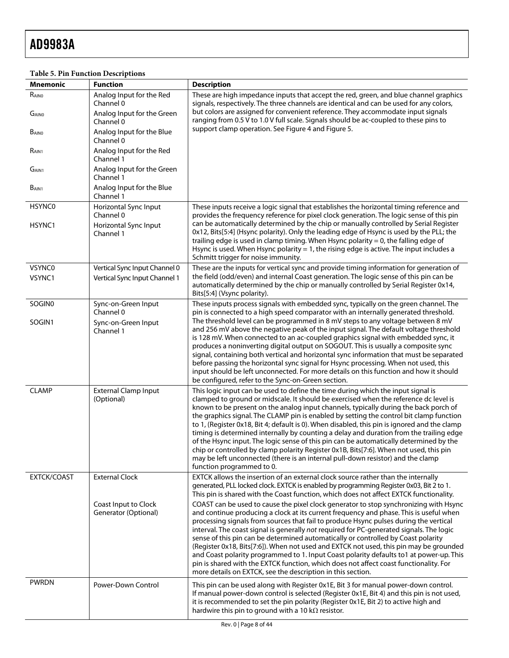| <b>Mnemonic</b>   | <b>Function</b>                                 | <b>Description</b>                                                                                                                                                                                                                                                                                                                                                                                                                                                                                                                                                                                                                                                                                                                                                                                                                                         |
|-------------------|-------------------------------------------------|------------------------------------------------------------------------------------------------------------------------------------------------------------------------------------------------------------------------------------------------------------------------------------------------------------------------------------------------------------------------------------------------------------------------------------------------------------------------------------------------------------------------------------------------------------------------------------------------------------------------------------------------------------------------------------------------------------------------------------------------------------------------------------------------------------------------------------------------------------|
| $R_{\text{AINO}}$ | Analog Input for the Red<br>Channel 0           | These are high impedance inputs that accept the red, green, and blue channel graphics<br>signals, respectively. The three channels are identical and can be used for any colors,                                                                                                                                                                                                                                                                                                                                                                                                                                                                                                                                                                                                                                                                           |
| GAINO             | Analog Input for the Green<br>Channel 0         | but colors are assigned for convenient reference. They accommodate input signals<br>ranging from 0.5 V to 1.0 V full scale. Signals should be ac-coupled to these pins to                                                                                                                                                                                                                                                                                                                                                                                                                                                                                                                                                                                                                                                                                  |
| BAINO             | Analog Input for the Blue<br>Channel 0          | support clamp operation. See Figure 4 and Figure 5.                                                                                                                                                                                                                                                                                                                                                                                                                                                                                                                                                                                                                                                                                                                                                                                                        |
| R <sub>AIN1</sub> | Analog Input for the Red<br>Channel 1           |                                                                                                                                                                                                                                                                                                                                                                                                                                                                                                                                                                                                                                                                                                                                                                                                                                                            |
| G <sub>AIN1</sub> | Analog Input for the Green<br>Channel 1         |                                                                                                                                                                                                                                                                                                                                                                                                                                                                                                                                                                                                                                                                                                                                                                                                                                                            |
| B <sub>AIN1</sub> | Analog Input for the Blue<br>Channel 1          |                                                                                                                                                                                                                                                                                                                                                                                                                                                                                                                                                                                                                                                                                                                                                                                                                                                            |
| <b>HSYNC0</b>     | Horizontal Sync Input                           | These inputs receive a logic signal that establishes the horizontal timing reference and                                                                                                                                                                                                                                                                                                                                                                                                                                                                                                                                                                                                                                                                                                                                                                   |
| HSYNC1            | Channel 0<br>Horizontal Sync Input<br>Channel 1 | provides the frequency reference for pixel clock generation. The logic sense of this pin<br>can be automatically determined by the chip or manually controlled by Serial Register<br>0x12, Bits[5:4] (Hsync polarity). Only the leading edge of Hsync is used by the PLL; the<br>trailing edge is used in clamp timing. When Hsync polarity $= 0$ , the falling edge of<br>Hsync is used. When Hsync polarity $= 1$ , the rising edge is active. The input includes a<br>Schmitt trigger for noise immunity.                                                                                                                                                                                                                                                                                                                                               |
| <b>VSYNC0</b>     | Vertical Sync Input Channel 0                   | These are the inputs for vertical sync and provide timing information for generation of                                                                                                                                                                                                                                                                                                                                                                                                                                                                                                                                                                                                                                                                                                                                                                    |
| VSYNC1            | Vertical Sync Input Channel 1                   | the field (odd/even) and internal Coast generation. The logic sense of this pin can be<br>automatically determined by the chip or manually controlled by Serial Register 0x14,<br>Bits[5:4] (Vsync polarity).                                                                                                                                                                                                                                                                                                                                                                                                                                                                                                                                                                                                                                              |
| SOGIN0            | Sync-on-Green Input<br>Channel 0                | These inputs process signals with embedded sync, typically on the green channel. The<br>pin is connected to a high speed comparator with an internally generated threshold.                                                                                                                                                                                                                                                                                                                                                                                                                                                                                                                                                                                                                                                                                |
| SOGIN1            | Sync-on-Green Input<br>Channel 1                | The threshold level can be programmed in 8 mV steps to any voltage between 8 mV<br>and 256 mV above the negative peak of the input signal. The default voltage threshold<br>is 128 mV. When connected to an ac-coupled graphics signal with embedded sync, it<br>produces a noninverting digital output on SOGOUT. This is usually a composite sync<br>signal, containing both vertical and horizontal sync information that must be separated<br>before passing the horizontal sync signal for Hsync processing. When not used, this<br>input should be left unconnected. For more details on this function and how it should<br>be configured, refer to the Sync-on-Green section.                                                                                                                                                                       |
| <b>CLAMP</b>      | <b>External Clamp Input</b><br>(Optional)       | This logic input can be used to define the time during which the input signal is<br>clamped to ground or midscale. It should be exercised when the reference dc level is<br>known to be present on the analog input channels, typically during the back porch of<br>the graphics signal. The CLAMP pin is enabled by setting the control bit clamp function<br>to 1, (Register 0x18, Bit 4; default is 0). When disabled, this pin is ignored and the clamp<br>timing is determined internally by counting a delay and duration from the trailing edge<br>of the Hsync input. The logic sense of this pin can be automatically determined by the<br>chip or controlled by clamp polarity Register 0x1B, Bits[7:6]. When not used, this pin<br>may be left unconnected (there is an internal pull-down resistor) and the clamp<br>function programmed to 0. |
| EXTCK/COAST       | <b>External Clock</b>                           | EXTCK allows the insertion of an external clock source rather than the internally<br>generated, PLL locked clock. EXTCK is enabled by programming Register 0x03, Bit 2 to 1.<br>This pin is shared with the Coast function, which does not affect EXTCK functionality.                                                                                                                                                                                                                                                                                                                                                                                                                                                                                                                                                                                     |
|                   | Coast Input to Clock<br>Generator (Optional)    | COAST can be used to cause the pixel clock generator to stop synchronizing with Hsync<br>and continue producing a clock at its current frequency and phase. This is useful when<br>processing signals from sources that fail to produce Hsync pulses during the vertical<br>interval. The coast signal is generally not required for PC-generated signals. The logic<br>sense of this pin can be determined automatically or controlled by Coast polarity<br>(Register 0x18, Bits[7:6]). When not used and EXTCK not used, this pin may be grounded<br>and Coast polarity programmed to 1. Input Coast polarity defaults to1 at power-up. This<br>pin is shared with the EXTCK function, which does not affect coast functionality. For<br>more details on EXTCK, see the description in this section.                                                     |
| <b>PWRDN</b>      | Power-Down Control                              | This pin can be used along with Register 0x1E, Bit 3 for manual power-down control.<br>If manual power-down control is selected (Register 0x1E, Bit 4) and this pin is not used,<br>it is recommended to set the pin polarity (Register 0x1E, Bit 2) to active high and<br>hardwire this pin to ground with a 10 k $\Omega$ resistor.                                                                                                                                                                                                                                                                                                                                                                                                                                                                                                                      |

# **Table 5. Pin Function Descriptions**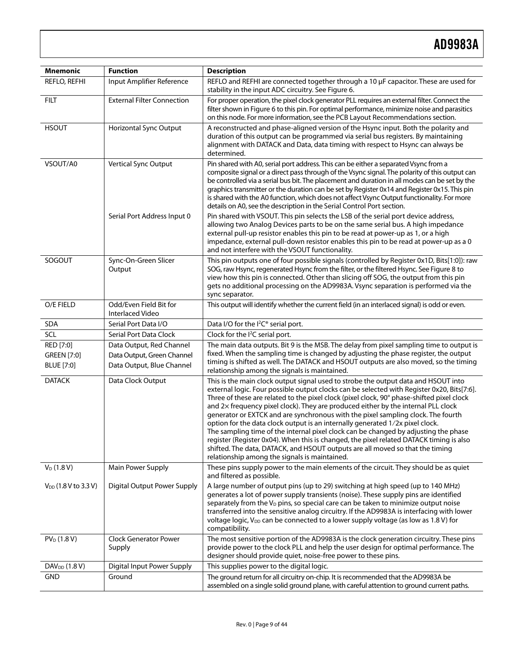| <b>Mnemonic</b>                               | <b>Function</b>                                                                     | <b>Description</b>                                                                                                                                                                                                                                                                                                                                                                                                                                                                                                                                                                                                                                                                                                                                                                                                                                          |
|-----------------------------------------------|-------------------------------------------------------------------------------------|-------------------------------------------------------------------------------------------------------------------------------------------------------------------------------------------------------------------------------------------------------------------------------------------------------------------------------------------------------------------------------------------------------------------------------------------------------------------------------------------------------------------------------------------------------------------------------------------------------------------------------------------------------------------------------------------------------------------------------------------------------------------------------------------------------------------------------------------------------------|
| REFLO, REFHI                                  | Input Amplifier Reference                                                           | REFLO and REFHI are connected together through a 10 µF capacitor. These are used for<br>stability in the input ADC circuitry. See Figure 6.                                                                                                                                                                                                                                                                                                                                                                                                                                                                                                                                                                                                                                                                                                                 |
| <b>FILT</b>                                   | <b>External Filter Connection</b>                                                   | For proper operation, the pixel clock generator PLL requires an external filter. Connect the<br>filter shown in Figure 6 to this pin. For optimal performance, minimize noise and parasitics<br>on this node. For more information, see the PCB Layout Recommendations section.                                                                                                                                                                                                                                                                                                                                                                                                                                                                                                                                                                             |
| <b>HSOUT</b>                                  | Horizontal Sync Output                                                              | A reconstructed and phase-aligned version of the Hsync input. Both the polarity and<br>duration of this output can be programmed via serial bus registers. By maintaining<br>alignment with DATACK and Data, data timing with respect to Hsync can always be<br>determined.                                                                                                                                                                                                                                                                                                                                                                                                                                                                                                                                                                                 |
| VSOUT/A0                                      | Vertical Sync Output                                                                | Pin shared with A0, serial port address. This can be either a separated Vsync from a<br>composite signal or a direct pass through of the Vsync signal. The polarity of this output can<br>be controlled via a serial bus bit. The placement and duration in all modes can be set by the<br>graphics transmitter or the duration can be set by Register 0x14 and Register 0x15. This pin<br>is shared with the A0 function, which does not affect Vsync Output functionality. For more<br>details on A0, see the description in the Serial Control Port section.                                                                                                                                                                                                                                                                                             |
|                                               | Serial Port Address Input 0                                                         | Pin shared with VSOUT. This pin selects the LSB of the serial port device address,<br>allowing two Analog Devices parts to be on the same serial bus. A high impedance<br>external pull-up resistor enables this pin to be read at power-up as 1, or a high<br>impedance, external pull-down resistor enables this pin to be read at power-up as a 0<br>and not interfere with the VSOUT functionality.                                                                                                                                                                                                                                                                                                                                                                                                                                                     |
| SOGOUT                                        | Sync-On-Green Slicer<br>Output                                                      | This pin outputs one of four possible signals (controlled by Register 0x1D, Bits[1:0]): raw<br>SOG, raw Hsync, regenerated Hsync from the filter, or the filtered Hsync. See Figure 8 to<br>view how this pin is connected. Other than slicing off SOG, the output from this pin<br>gets no additional processing on the AD9983A. Vsync separation is performed via the<br>sync separator.                                                                                                                                                                                                                                                                                                                                                                                                                                                                  |
| O/E FIELD                                     | Odd/Even Field Bit for<br><b>Interlaced Video</b>                                   | This output will identify whether the current field (in an interlaced signal) is odd or even.                                                                                                                                                                                                                                                                                                                                                                                                                                                                                                                                                                                                                                                                                                                                                               |
| <b>SDA</b>                                    | Serial Port Data I/O                                                                | Data I/O for the I <sup>2</sup> C <sup>®</sup> serial port.                                                                                                                                                                                                                                                                                                                                                                                                                                                                                                                                                                                                                                                                                                                                                                                                 |
| SCL                                           | Serial Port Data Clock                                                              | Clock for the I <sup>2</sup> C serial port.                                                                                                                                                                                                                                                                                                                                                                                                                                                                                                                                                                                                                                                                                                                                                                                                                 |
| RED [7:0]<br><b>GREEN</b> [7:0]<br>BLUE [7:0] | Data Output, Red Channel<br>Data Output, Green Channel<br>Data Output, Blue Channel | The main data outputs. Bit 9 is the MSB. The delay from pixel sampling time to output is<br>fixed. When the sampling time is changed by adjusting the phase register, the output<br>timing is shifted as well. The DATACK and HSOUT outputs are also moved, so the timing<br>relationship among the signals is maintained.                                                                                                                                                                                                                                                                                                                                                                                                                                                                                                                                  |
| <b>DATACK</b>                                 | Data Clock Output                                                                   | This is the main clock output signal used to strobe the output data and HSOUT into<br>external logic. Four possible output clocks can be selected with Register 0x20, Bits[7:6].<br>Three of these are related to the pixel clock (pixel clock, 90° phase-shifted pixel clock<br>and 2x frequency pixel clock). They are produced either by the internal PLL clock<br>generator or EXTCK and are synchronous with the pixel sampling clock. The fourth<br>option for the data clock output is an internally generated 1/2x pixel clock.<br>The sampling time of the internal pixel clock can be changed by adjusting the phase<br>register (Register 0x04). When this is changed, the pixel related DATACK timing is also<br>shifted. The data, DATACK, and HSOUT outputs are all moved so that the timing<br>relationship among the signals is maintained. |
| $V_D(1.8 V)$                                  | Main Power Supply                                                                   | These pins supply power to the main elements of the circuit. They should be as quiet<br>and filtered as possible.                                                                                                                                                                                                                                                                                                                                                                                                                                                                                                                                                                                                                                                                                                                                           |
| $V_{DD}$ (1.8 V to 3.3 V)                     | <b>Digital Output Power Supply</b>                                                  | A large number of output pins (up to 29) switching at high speed (up to 140 MHz)<br>generates a lot of power supply transients (noise). These supply pins are identified<br>separately from the $V_D$ pins, so special care can be taken to minimize output noise<br>transferred into the sensitive analog circuitry. If the AD9983A is interfacing with lower<br>voltage logic, V <sub>DD</sub> can be connected to a lower supply voltage (as low as 1.8 V) for<br>compatibility.                                                                                                                                                                                                                                                                                                                                                                         |
| $PV_D(1.8 V)$                                 | <b>Clock Generator Power</b><br>Supply                                              | The most sensitive portion of the AD9983A is the clock generation circuitry. These pins<br>provide power to the clock PLL and help the user design for optimal performance. The<br>designer should provide quiet, noise-free power to these pins.                                                                                                                                                                                                                                                                                                                                                                                                                                                                                                                                                                                                           |
| DAV <sub>DD</sub> (1.8 V)                     | Digital Input Power Supply                                                          | This supplies power to the digital logic.                                                                                                                                                                                                                                                                                                                                                                                                                                                                                                                                                                                                                                                                                                                                                                                                                   |
| <b>GND</b>                                    | Ground                                                                              | The ground return for all circuitry on-chip. It is recommended that the AD9983A be<br>assembled on a single solid ground plane, with careful attention to ground current paths.                                                                                                                                                                                                                                                                                                                                                                                                                                                                                                                                                                                                                                                                             |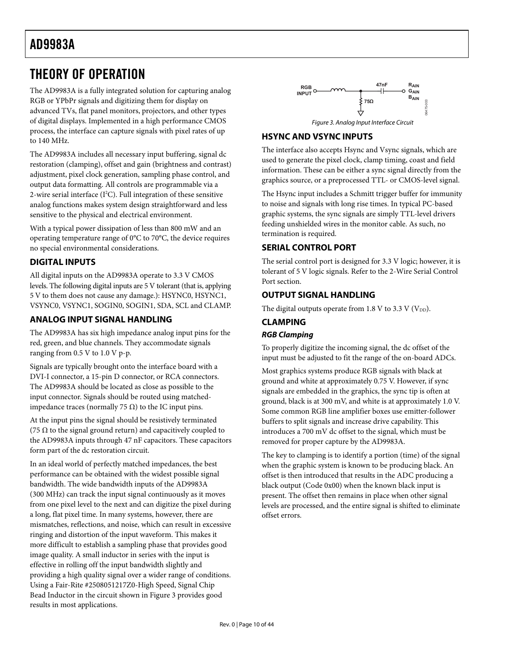# <span id="page-9-1"></span><span id="page-9-0"></span>THEORY OF OPERATION

The AD9983A is a fully integrated solution for capturing analog RGB or YPbPr signals and digitizing them for display on advanced TVs, flat panel monitors, projectors, and other types of digital displays. Implemented in a high performance CMOS process, the interface can capture signals with pixel rates of up to 140 MHz.

<span id="page-9-3"></span>The AD9983A includes all necessary input buffering, signal dc restoration (clamping), offset and gain (brightness and contrast) adjustment, pixel clock generation, sampling phase control, and output data formatting. All controls are programmable via a 2-wire serial interface (I<sup>2</sup>C). Full integration of these sensitive analog functions makes system design straightforward and less sensitive to the physical and electrical environment.

With a typical power dissipation of less than 800 mW and an operating temperature range of 0°C to 70°C, the device requires no special environmental considerations.

# <span id="page-9-2"></span>**DIGITAL INPUTS**

All digital inputs on the AD9983A operate to 3.3 V CMOS levels. The following digital inputs are 5 V tolerant (that is, applying 5 V to them does not cause any damage.): HSYNC0, HSYNC1, VSYNC0, VSYNC1, SOGIN0, SOGIN1, SDA, SCL and CLAMP.

# **ANALOG INPUT SIGNAL HANDLING**

The AD9983A has six high impedance analog input pins for the red, green, and blue channels. They accommodate signals ranging from 0.5 V to 1.0 V p-p.

Signals are typically brought onto the interface board with a DVI-I connector, a 15-pin D connector, or RCA connectors. The AD9983A should be located as close as possible to the input connector. Signals should be routed using matchedimpedance traces (normally 75 Ω) to the IC input pins.

At the input pins the signal should be resistively terminated (75  $\Omega$  to the signal ground return) and capacitively coupled to the AD9983A inputs through 47 nF capacitors. These capacitors form part of the dc restoration circuit.

In an ideal world of perfectly matched impedances, the best performance can be obtained with the widest possible signal bandwidth. The wide bandwidth inputs of the AD9983A (300 MHz) can track the input signal continuously as it moves from one pixel level to the next and can digitize the pixel during a long, flat pixel time. In many systems, however, there are mismatches, reflections, and noise, which can result in excessive ringing and distortion of the input waveform. This makes it more difficult to establish a sampling phase that provides good image quality. A small inductor in series with the input is effective in rolling off the input bandwidth slightly and providing a high quality signal over a wider range of conditions. Using a Fair-Rite #2508051217Z0-High Speed, Signal Chip Bead Inductor in the circuit shown in [Figure 3](#page-9-3) provides good results in most applications.



# **HSYNC AND VSYNC INPUTS**

The interface also accepts Hsync and Vsync signals, which are used to generate the pixel clock, clamp timing, coast and field information. These can be either a sync signal directly from the graphics source, or a preprocessed TTL- or CMOS-level signal.

The Hsync input includes a Schmitt trigger buffer for immunity to noise and signals with long rise times. In typical PC-based graphic systems, the sync signals are simply TTL-level drivers feeding unshielded wires in the monitor cable. As such, no termination is required.

# **SERIAL CONTROL PORT**

The serial control port is designed for 3.3 V logic; however, it is tolerant of 5 V logic signals. Refer to the [2-Wire Serial Control](#page-20-1)  [Port](#page-20-1) section.

# **OUTPUT SIGNAL HANDLING**

The digital outputs operate from 1.8 V to 3.3 V ( $V_{DD}$ ).

# **CLAMPING**

# **RGB Clamping**

To properly digitize the incoming signal, the dc offset of the input must be adjusted to fit the range of the on-board ADCs.

Most graphics systems produce RGB signals with black at ground and white at approximately 0.75 V. However, if sync signals are embedded in the graphics, the sync tip is often at ground, black is at 300 mV, and white is at approximately 1.0 V. Some common RGB line amplifier boxes use emitter-follower buffers to split signals and increase drive capability. This introduces a 700 mV dc offset to the signal, which must be removed for proper capture by the AD9983A.

The key to clamping is to identify a portion (time) of the signal when the graphic system is known to be producing black. An offset is then introduced that results in the ADC producing a black output (Code 0x00) when the known black input is present. The offset then remains in place when other signal levels are processed, and the entire signal is shifted to eliminate offset errors.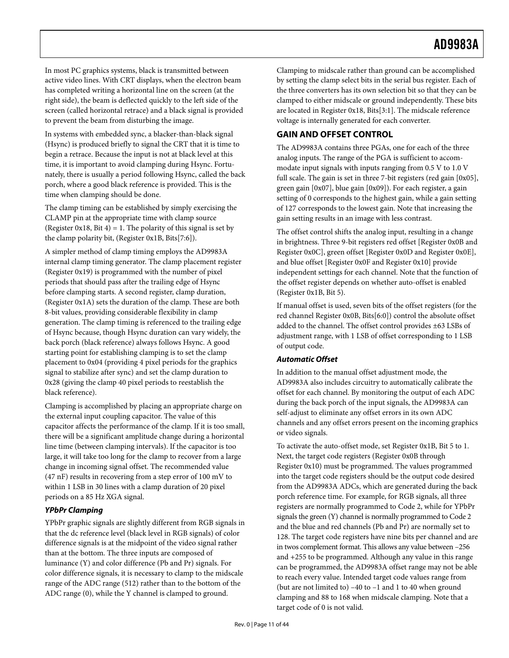<span id="page-10-0"></span>In most PC graphics systems, black is transmitted between active video lines. With CRT displays, when the electron beam has completed writing a horizontal line on the screen (at the right side), the beam is deflected quickly to the left side of the screen (called horizontal retrace) and a black signal is provided to prevent the beam from disturbing the image.

In systems with embedded sync, a blacker-than-black signal (Hsync) is produced briefly to signal the CRT that it is time to begin a retrace. Because the input is not at black level at this time, it is important to avoid clamping during Hsync. Fortunately, there is usually a period following Hsync, called the back porch, where a good black reference is provided. This is the time when clamping should be done.

The clamp timing can be established by simply exercising the CLAMP pin at the appropriate time with clamp source (Register 0x18, Bit 4) = 1. The polarity of this signal is set by the clamp polarity bit, (Register 0x1B, Bits[7:6]).

A simpler method of clamp timing employs the AD9983A internal clamp timing generator. The clamp placement register (Register 0x19) is programmed with the number of pixel periods that should pass after the trailing edge of Hsync before clamping starts. A second register, clamp duration, (Register 0x1A) sets the duration of the clamp. These are both 8-bit values, providing considerable flexibility in clamp generation. The clamp timing is referenced to the trailing edge of Hsync because, though Hsync duration can vary widely, the back porch (black reference) always follows Hsync. A good starting point for establishing clamping is to set the clamp placement to 0x04 (providing 4 pixel periods for the graphics signal to stabilize after sync) and set the clamp duration to 0x28 (giving the clamp 40 pixel periods to reestablish the black reference).

Clamping is accomplished by placing an appropriate charge on the external input coupling capacitor. The value of this capacitor affects the performance of the clamp. If it is too small, there will be a significant amplitude change during a horizontal line time (between clamping intervals). If the capacitor is too large, it will take too long for the clamp to recover from a large change in incoming signal offset. The recommended value (47 nF) results in recovering from a step error of 100 mV to within 1 LSB in 30 lines with a clamp duration of 20 pixel periods on a 85 Hz XGA signal.

# **YPbPr Clamping**

YPbPr graphic signals are slightly different from RGB signals in that the dc reference level (black level in RGB signals) of color difference signals is at the midpoint of the video signal rather than at the bottom. The three inputs are composed of luminance (Y) and color difference (Pb and Pr) signals. For color difference signals, it is necessary to clamp to the midscale range of the ADC range (512) rather than to the bottom of the ADC range (0), while the Y channel is clamped to ground.

Clamping to midscale rather than ground can be accomplished by setting the clamp select bits in the serial bus register. Each of the three converters has its own selection bit so that they can be clamped to either midscale or ground independently. These bits are located in Register 0x18, Bits[3:1]. The midscale reference voltage is internally generated for each converter.

# **GAIN AND OFFSET CONTROL**

The AD9983A contains three PGAs, one for each of the three analog inputs. The range of the PGA is sufficient to accommodate input signals with inputs ranging from 0.5 V to 1.0 V full scale. The gain is set in three 7-bit registers (red gain [0x05], green gain [0x07], blue gain [0x09]). For each register, a gain setting of 0 corresponds to the highest gain, while a gain setting of 127 corresponds to the lowest gain. Note that increasing the gain setting results in an image with less contrast.

The offset control shifts the analog input, resulting in a change in brightness. Three 9-bit registers red offset [Register 0x0B and Register 0x0C], green offset [Register 0x0D and Register 0x0E], and blue offset [Register 0x0F and Register 0x10] provide independent settings for each channel. Note that the function of the offset register depends on whether auto-offset is enabled (Register 0x1B, Bit 5).

If manual offset is used, seven bits of the offset registers (for the red channel Register 0x0B, Bits[6:0]) control the absolute offset added to the channel. The offset control provides ±63 LSBs of adjustment range, with 1 LSB of offset corresponding to 1 LSB of output code.

# **Automatic Offset**

In addition to the manual offset adjustment mode, the AD9983A also includes circuitry to automatically calibrate the offset for each channel. By monitoring the output of each ADC during the back porch of the input signals, the AD9983A can self-adjust to eliminate any offset errors in its own ADC channels and any offset errors present on the incoming graphics or video signals.

To activate the auto-offset mode, set Register 0x1B, Bit 5 to 1. Next, the target code registers (Register 0x0B through Register 0x10) must be programmed. The values programmed into the target code registers should be the output code desired from the AD9983A ADCs, which are generated during the back porch reference time. For example, for RGB signals, all three registers are normally programmed to Code 2, while for YPbPr signals the green (Y) channel is normally programmed to Code 2 and the blue and red channels (Pb and Pr) are normally set to 128. The target code registers have nine bits per channel and are in twos complement format. This allows any value between –256 and +255 to be programmed. Although any value in this range can be programmed, the AD9983A offset range may not be able to reach every value. Intended target code values range from (but are not limited to) –40 to –1 and 1 to 40 when ground clamping and 88 to 168 when midscale clamping. Note that a target code of 0 is not valid.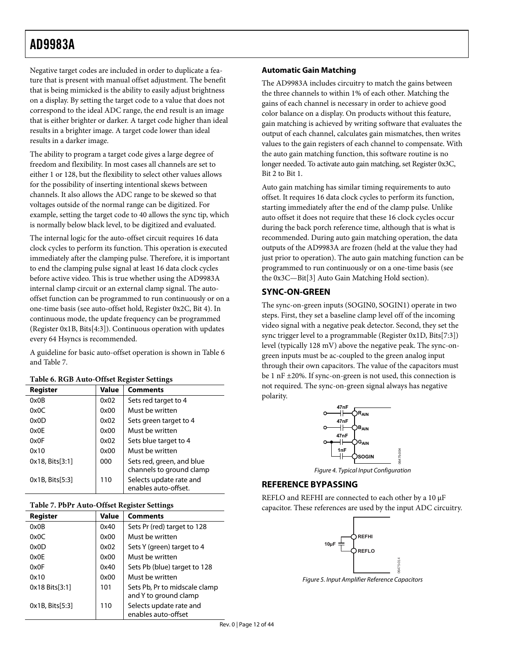<span id="page-11-1"></span><span id="page-11-0"></span>Negative target codes are included in order to duplicate a feature that is present with manual offset adjustment. The benefit that is being mimicked is the ability to easily adjust brightness on a display. By setting the target code to a value that does not correspond to the ideal ADC range, the end result is an image that is either brighter or darker. A target code higher than ideal results in a brighter image. A target code lower than ideal results in a darker image.

The ability to program a target code gives a large degree of freedom and flexibility. In most cases all channels are set to either 1 or 128, but the flexibility to select other values allows for the possibility of inserting intentional skews between channels. It also allows the ADC range to be skewed so that voltages outside of the normal range can be digitized. For example, setting the target code to 40 allows the sync tip, which is normally below black level, to be digitized and evaluated.

The internal logic for the auto-offset circuit requires 16 data clock cycles to perform its function. This operation is executed immediately after the clamping pulse. Therefore, it is important to end the clamping pulse signal at least 16 data clock cycles before active video. This is true whether using the AD9983A internal clamp circuit or an external clamp signal. The autooffset function can be programmed to run continuously or on a one-time basis (see auto-offset hold, Register 0x2C, Bit 4). In continuous mode, the update frequency can be programmed (Register 0x1B, Bits[4:3]). Continuous operation with updates every 64 Hsyncs is recommended.

A guideline for basic auto-offset operation is shown in [Table 6](#page-11-2) and [Table 7](#page-11-3).

<span id="page-11-2"></span>

| Register           | Value | <b>Comments</b>                                       |
|--------------------|-------|-------------------------------------------------------|
| 0x0B               | 0x02  | Sets red target to 4                                  |
| 0x0C               | 0x00  | Must be written                                       |
| 0x0D               | 0x02  | Sets green target to 4                                |
| 0x0F               | 0x00  | Must be written                                       |
| 0x0F               | 0x02  | Sets blue target to 4                                 |
| 0x10               | 0x00  | Must be written                                       |
| 0x18, Bits[3:1]    | 000   | Sets red, green, and blue<br>channels to ground clamp |
| $0x1B$ , Bits[5:3] | 110   | Selects update rate and<br>enables auto-offset.       |

#### **Table 6. RGB Auto-Offset Register Settings**

#### **Table 7. PbPr Auto-Offset Register Settings**

<span id="page-11-3"></span>

| Register           | <b>Value</b> | <b>Comments</b>                                        |
|--------------------|--------------|--------------------------------------------------------|
| 0x0B               | 0x40         | Sets Pr (red) target to 128                            |
| 0x0C               | 0x00         | Must be written                                        |
| 0x0D               | 0x02         | Sets Y (green) target to 4                             |
| 0x0F               | 0x00         | Must be written                                        |
| 0x0F               | 0x40         | Sets Pb (blue) target to 128                           |
| 0x10               | 0x00         | Must be written                                        |
| 0x18 Bits[3:1]     | 101          | Sets Pb, Pr to midscale clamp<br>and Y to ground clamp |
| $0x1B$ , Bits[5:3] | 110          | Selects update rate and<br>enables auto-offset         |

#### **Automatic Gain Matching**

The AD9983A includes circuitry to match the gains between the three channels to within 1% of each other. Matching the gains of each channel is necessary in order to achieve good color balance on a display. On products without this feature, gain matching is achieved by writing software that evaluates the output of each channel, calculates gain mismatches, then writes values to the gain registers of each channel to compensate. With the auto gain matching function, this software routine is no longer needed. To activate auto gain matching, set Register 0x3C, Bit 2 to Bit 1.

Auto gain matching has similar timing requirements to auto offset. It requires 16 data clock cycles to perform its function, starting immediately after the end of the clamp pulse. Unlike auto offset it does not require that these 16 clock cycles occur during the back porch reference time, although that is what is recommended. During auto gain matching operation, the data outputs of the AD9983A are frozen (held at the value they had just prior to operation). The auto gain matching function can be programmed to run continuously or on a one-time basis (see the [0x3C—Bit\[3\] Auto Gain Matching Hold](#page-37-0) section).

#### **SYNC-ON-GREEN**

The sync-on-green inputs (SOGIN0, SOGIN1) operate in two steps. First, they set a baseline clamp level off of the incoming video signal with a negative peak detector. Second, they set the sync trigger level to a programmable (Register 0x1D, Bits[7:3]) level (typically 128 mV) above the negative peak. The sync-ongreen inputs must be ac-coupled to the green analog input through their own capacitors. The value of the capacitors must be 1 nF ±20%. If sync-on-green is not used, this connection is not required. The sync-on-green signal always has negative polarity.



Figure 4. Typical Input Configuration

06475-004

#### **REFERENCE BYPASSING**

REFLO and REFHI are connected to each other by a 10 μF capacitor. These references are used by the input ADC circuitry.



Figure 5. Input Amplifier Reference Capacitors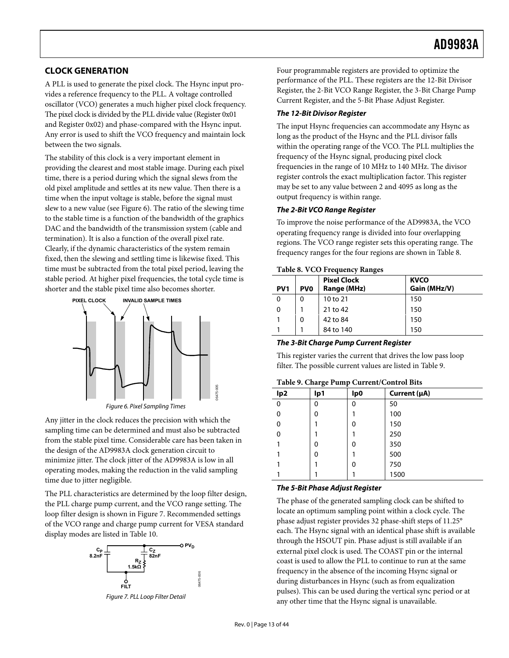# <span id="page-12-0"></span>**CLOCK GENERATION**

A PLL is used to generate the pixel clock. The Hsync input provides a reference frequency to the PLL. A voltage controlled oscillator (VCO) generates a much higher pixel clock frequency. The pixel clock is divided by the PLL divide value (Register 0x01 and Register 0x02) and phase-compared with the Hsync input. Any error is used to shift the VCO frequency and maintain lock between the two signals.

The stability of this clock is a very important element in providing the clearest and most stable image. During each pixel time, there is a period during which the signal slews from the old pixel amplitude and settles at its new value. Then there is a time when the input voltage is stable, before the signal must slew to a new value (see [Figure 6](#page-12-1)). The ratio of the slewing time to the stable time is a function of the bandwidth of the graphics DAC and the bandwidth of the transmission system (cable and termination). It is also a function of the overall pixel rate. Clearly, if the dynamic characteristics of the system remain fixed, then the slewing and settling time is likewise fixed. This time must be subtracted from the total pixel period, leaving the stable period. At higher pixel frequencies, the total cycle time is shorter and the stable pixel time also becomes shorter.

<span id="page-12-3"></span>

<span id="page-12-4"></span><span id="page-12-1"></span>Any jitter in the clock reduces the precision with which the sampling time can be determined and must also be subtracted from the stable pixel time. Considerable care has been taken in the design of the AD9983A clock generation circuit to minimize jitter. The clock jitter of the AD9983A is low in all operating modes, making the reduction in the valid sampling time due to jitter negligible.

The PLL characteristics are determined by the loop filter design, the PLL charge pump current, and the VCO range setting. The loop filter design is shown in [Figure 7](#page-12-2). Recommended settings of the VCO range and charge pump current for VESA standard display modes are listed in [Table 10](#page-13-0).

<span id="page-12-2"></span>

Figure 7. PLL Loop Filter Detail

06475-006

Four programmable registers are provided to optimize the performance of the PLL. These registers are the 12-Bit Divisor Register, the 2-Bit VCO Range Register, the 3-Bit Charge Pump Current Register, and the 5-Bit Phase Adjust Register.

#### **The 12-Bit Divisor Register**

The input Hsync frequencies can accommodate any Hsync as long as the product of the Hsync and the PLL divisor falls within the operating range of the VCO. The PLL multiplies the frequency of the Hsync signal, producing pixel clock frequencies in the range of 10 MHz to 140 MHz. The divisor register controls the exact multiplication factor. This register may be set to any value between 2 and 4095 as long as the output frequency is within range.

#### **The 2-Bit VCO Range Register**

To improve the noise performance of the AD9983A, the VCO operating frequency range is divided into four overlapping regions. The VCO range register sets this operating range. The frequency ranges for the four regions are shown in [Table 8](#page-12-3).

#### **Table 8. VCO Frequency Ranges**

| PV <sub>1</sub> | PV <sub>0</sub> | <b>Pixel Clock</b><br>Range (MHz) | <b>KVCO</b><br>Gain (MHz/V) |
|-----------------|-----------------|-----------------------------------|-----------------------------|
| 0               | 0               | 10 to 21                          | 150                         |
| 0               |                 | 21 to 42                          | 150                         |
|                 | 0               | 42 to 84                          | 150                         |
|                 |                 | 84 to 140                         | 150                         |

#### **The 3-Bit Charge Pump Current Register**

This register varies the current that drives the low pass loop filter. The possible current values are listed in [Table 9](#page-12-4).

#### **Table 9. Charge Pump Current/Control Bits**

| 1.001<br>.      |     |                 |              |  |  |  |  |  |  |  |
|-----------------|-----|-----------------|--------------|--|--|--|--|--|--|--|
| lp <sub>2</sub> | lp1 | lp <sub>0</sub> | Current (µA) |  |  |  |  |  |  |  |
| $\Omega$        | 0   | 0               | 50           |  |  |  |  |  |  |  |
| 0               | 0   |                 | 100          |  |  |  |  |  |  |  |
| 0               |     | 0               | 150          |  |  |  |  |  |  |  |
| 0               |     |                 | 250          |  |  |  |  |  |  |  |
|                 | 0   | 0               | 350          |  |  |  |  |  |  |  |
|                 | 0   |                 | 500          |  |  |  |  |  |  |  |
|                 |     | 0               | 750          |  |  |  |  |  |  |  |
|                 |     |                 | 1500         |  |  |  |  |  |  |  |

#### **The 5-Bit Phase Adjust Register**

The phase of the generated sampling clock can be shifted to locate an optimum sampling point within a clock cycle. The phase adjust register provides 32 phase-shift steps of 11.25° each. The Hsync signal with an identical phase shift is available through the HSOUT pin. Phase adjust is still available if an external pixel clock is used. The COAST pin or the internal coast is used to allow the PLL to continue to run at the same frequency in the absence of the incoming Hsync signal or during disturbances in Hsync (such as from equalization pulses). This can be used during the vertical sync period or at any other time that the Hsync signal is unavailable.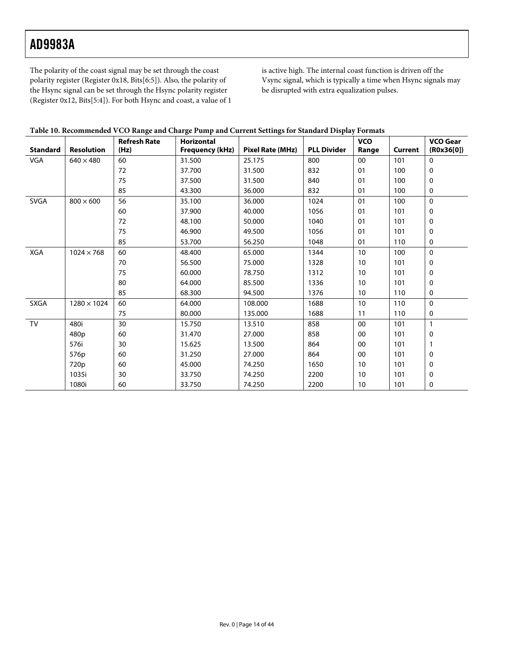The polarity of the coast signal may be set through the coast polarity register (Register 0x18, Bits[6:5]). Also, the polarity of the Hsync signal can be set through the Hsync polarity register (Register 0x12, Bits[5:4]). For both Hsync and coast, a value of 1 is active high. The internal coast function is driven off the Vsync signal, which is typically a time when Hsync signals may be disrupted with extra equalization pulses.

| Table 10. Recommended VCO Range and Charge Pump and Current Settings for Standard Display Formats |  |  |
|---------------------------------------------------------------------------------------------------|--|--|
|                                                                                                   |  |  |

<span id="page-13-0"></span>

| <b>Standard</b> | <b>Resolution</b>  | <b>Refresh Rate</b><br>(Hz) | <b>Horizontal</b><br><b>Frequency (kHz)</b> | Pixel Rate (MHz) | <b>PLL Divider</b> | <b>VCO</b><br>Range | Current | <b>VCO Gear</b><br>(ROx36[0]) |
|-----------------|--------------------|-----------------------------|---------------------------------------------|------------------|--------------------|---------------------|---------|-------------------------------|
| VGA             | $640 \times 480$   | 60                          | 31.500                                      | 25.175           | 800                | $00\,$              | 101     | $\Omega$                      |
|                 |                    | 72                          | 37.700                                      | 31.500           | 832                | 01                  | 100     | 0                             |
|                 |                    | 75                          | 37.500                                      | 31.500           | 840                | 01                  | 100     | 0                             |
|                 |                    | 85                          | 43.300                                      | 36.000           | 832                | 01                  | 100     | 0                             |
| <b>SVGA</b>     | $800 \times 600$   | 56                          | 35.100                                      | 36.000           | 1024               | 01                  | 100     | $\Omega$                      |
|                 |                    | 60                          | 37.900                                      | 40.000           | 1056               | 01                  | 101     | 0                             |
|                 |                    | 72                          | 48.100                                      | 50.000           | 1040               | 01                  | 101     | 0                             |
|                 |                    | 75                          | 46.900                                      | 49.500           | 1056               | 01                  | 101     | 0                             |
|                 |                    | 85                          | 53.700                                      | 56.250           | 1048               | 01                  | 110     | 0                             |
| XGA             | $1024 \times 768$  | 60                          | 48.400                                      | 65.000           | 1344               | 10                  | 100     | $\Omega$                      |
|                 |                    | 70                          | 56.500                                      | 75.000           | 1328               | 10                  | 101     | 0                             |
|                 |                    | 75                          | 60.000                                      | 78.750           | 1312               | 10                  | 101     | 0                             |
|                 |                    | 80                          | 64.000                                      | 85.500           | 1336               | 10                  | 101     | $\mathbf 0$                   |
|                 |                    | 85                          | 68.300                                      | 94.500           | 1376               | 10                  | 110     | 0                             |
| SXGA            | $1280 \times 1024$ | 60                          | 64.000                                      | 108.000          | 1688               | 10                  | 110     | $\Omega$                      |
|                 |                    | 75                          | 80.000                                      | 135.000          | 1688               | 11                  | 110     | 0                             |
| TV              | 480i               | 30                          | 15.750                                      | 13.510           | 858                | 00                  | 101     | $\mathbf{1}$                  |
|                 | 480p               | 60                          | 31.470                                      | 27.000           | 858                | 00                  | 101     | $\mathbf 0$                   |
|                 | 576i               | 30                          | 15.625                                      | 13.500           | 864                | 00                  | 101     |                               |
|                 | 576p               | 60                          | 31.250                                      | 27.000           | 864                | $00\,$              | 101     | $\mathbf{0}$                  |
|                 | 720 <sub>p</sub>   | 60                          | 45.000                                      | 74.250           | 1650               | 10                  | 101     | 0                             |
|                 | 1035i              | 30                          | 33.750                                      | 74.250           | 2200               | 10                  | 101     | 0                             |
|                 | 1080i              | 60                          | 33.750                                      | 74.250           | 2200               | 10                  | 101     | 0                             |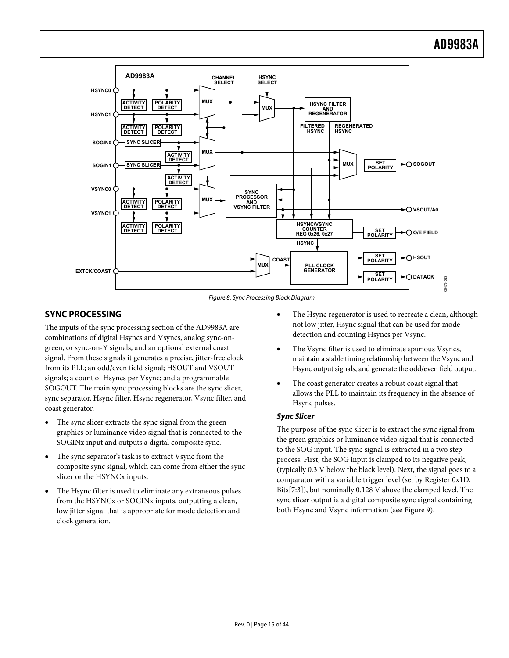<span id="page-14-0"></span>

Figure 8. Sync Processing Block Diagram

# <span id="page-14-2"></span><span id="page-14-1"></span>**SYNC PROCESSING**

The inputs of the sync processing section of the AD9983A are combinations of digital Hsyncs and Vsyncs, analog sync-ongreen, or sync-on-Y signals, and an optional external coast signal. From these signals it generates a precise, jitter-free clock from its PLL; an odd/even field signal; HSOUT and VSOUT signals; a count of Hsyncs per Vsync; and a programmable SOGOUT. The main sync processing blocks are the sync slicer, sync separator, Hsync filter, Hsync regenerator, Vsync filter, and coast generator.

- The sync slicer extracts the sync signal from the green graphics or luminance video signal that is connected to the SOGINx input and outputs a digital composite sync.
- The sync separator's task is to extract Vsync from the composite sync signal, which can come from either the sync slicer or the HSYNCx inputs.
- The Hsync filter is used to eliminate any extraneous pulses from the HSYNCx or SOGINx inputs, outputting a clean, low jitter signal that is appropriate for mode detection and clock generation.
- The Hsync regenerator is used to recreate a clean, although not low jitter, Hsync signal that can be used for mode detection and counting Hsyncs per Vsync.
- The Vsync filter is used to eliminate spurious Vsyncs, maintain a stable timing relationship between the Vsync and Hsync output signals, and generate the odd/even field output.
- The coast generator creates a robust coast signal that allows the PLL to maintain its frequency in the absence of Hsync pulses.

# **Sync Slicer**

The purpose of the sync slicer is to extract the sync signal from the green graphics or luminance video signal that is connected to the SOG input. The sync signal is extracted in a two step process. First, the SOG input is clamped to its negative peak, (typically 0.3 V below the black level). Next, the signal goes to a comparator with a variable trigger level (set by Register 0x1D, Bits[7:3]), but nominally 0.128 V above the clamped level. The sync slicer output is a digital composite sync signal containing both Hsync and Vsync information (see [Figure 9\)](#page-15-0).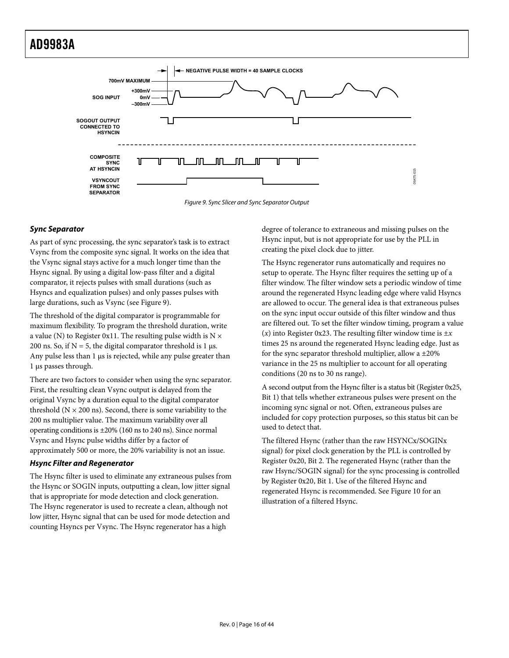

Figure 9. Sync Slicer and Sync Separator Output

# <span id="page-15-0"></span>**Sync Separator**

As part of sync processing, the sync separator's task is to extract Vsync from the composite sync signal. It works on the idea that the Vsync signal stays active for a much longer time than the Hsync signal. By using a digital low-pass filter and a digital comparator, it rejects pulses with small durations (such as Hsyncs and equalization pulses) and only passes pulses with large durations, such as Vsync (see [Figure 9](#page-15-0)).

The threshold of the digital comparator is programmable for maximum flexibility. To program the threshold duration, write a value (N) to Register 0x11. The resulting pulse width is  $N \times$ 200 ns. So, if  $N = 5$ , the digital comparator threshold is 1 μs. Any pulse less than 1 μs is rejected, while any pulse greater than 1 μs passes through.

There are two factors to consider when using the sync separator. First, the resulting clean Vsync output is delayed from the original Vsync by a duration equal to the digital comparator threshold  $(N \times 200 \text{ ns})$ . Second, there is some variability to the 200 ns multiplier value. The maximum variability over all operating conditions is ±20% (160 ns to 240 ns). Since normal Vsync and Hsync pulse widths differ by a factor of approximately 500 or more, the 20% variability is not an issue.

#### **Hsync Filter and Regenerator**

The Hsync filter is used to eliminate any extraneous pulses from the Hsync or SOGIN inputs, outputting a clean, low jitter signal that is appropriate for mode detection and clock generation. The Hsync regenerator is used to recreate a clean, although not low jitter, Hsync signal that can be used for mode detection and counting Hsyncs per Vsync. The Hsync regenerator has a high

degree of tolerance to extraneous and missing pulses on the Hsync input, but is not appropriate for use by the PLL in creating the pixel clock due to jitter.

The Hsync regenerator runs automatically and requires no setup to operate. The Hsync filter requires the setting up of a filter window. The filter window sets a periodic window of time around the regenerated Hsync leading edge where valid Hsyncs are allowed to occur. The general idea is that extraneous pulses on the sync input occur outside of this filter window and thus are filtered out. To set the filter window timing, program a value  $(x)$  into Register 0x23. The resulting filter window time is  $\pm x$ times 25 ns around the regenerated Hsync leading edge. Just as for the sync separator threshold multiplier, allow a  $\pm 20\%$ variance in the 25 ns multiplier to account for all operating conditions (20 ns to 30 ns range).

A second output from the Hsync filter is a status bit (Register 0x25, Bit 1) that tells whether extraneous pulses were present on the incoming sync signal or not. Often, extraneous pulses are included for copy protection purposes, so this status bit can be used to detect that.

The filtered Hsync (rather than the raw HSYNCx/SOGINx signal) for pixel clock generation by the PLL is controlled by Register 0x20, Bit 2. The regenerated Hsync (rather than the raw Hsync/SOGIN signal) for the sync processing is controlled by Register 0x20, Bit 1. Use of the filtered Hsync and regenerated Hsync is recommended. See [Figure 10](#page-16-0) for an illustration of a filtered Hsync.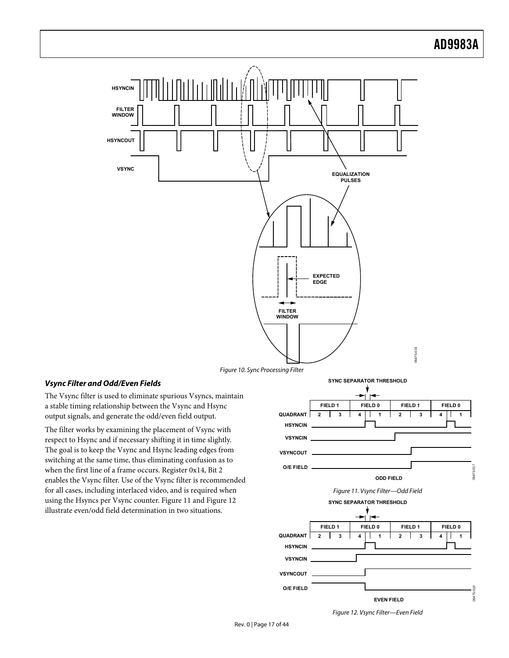



# <span id="page-16-0"></span>**Vsync Filter and Odd/Even Fields**

The Vsync filter is used to eliminate spurious Vsyncs, maintain a stable timing relationship between the Vsync and Hsync output signals, and generate the odd/even field output.

<span id="page-16-2"></span><span id="page-16-1"></span>The filter works by examining the placement of Vsync with respect to Hsync and if necessary shifting it in time slightly. The goal is to keep the Vsync and Hsync leading edges from switching at the same time, thus eliminating confusion as to when the first line of a frame occurs. Register 0x14, Bit 2 enables the Vsync filter. Use of the Vsync filter is recommended for all cases, including interlaced video, and is required when using the Hsyncs per Vsync counter. [Figure 11](#page-16-1) and [Figure 12](#page-16-2) illustrate even/odd field determination in two situations.



Figure 12. Vsync Filter—Even Field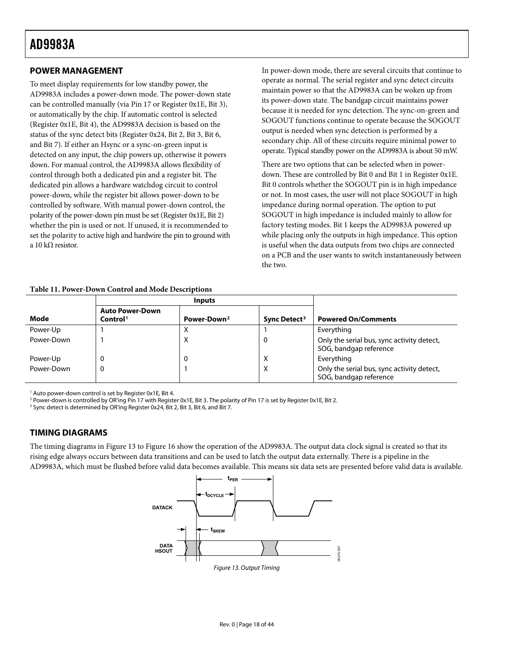# <span id="page-17-3"></span><span id="page-17-1"></span><span id="page-17-0"></span>**POWER MANAGEMENT**

To meet display requirements for low standby power, the AD9983A includes a power-down mode. The power-down state can be controlled manually (via Pin 17 or Register 0x1E, Bit 3), or automatically by the chip. If automatic control is selected (Register 0x1E, Bit 4), the AD9983A decision is based on the status of the sync detect bits (Register 0x24, Bit 2, Bit 3, Bit 6, and Bit 7). If either an Hsync or a sync-on-green input is detected on any input, the chip powers up, otherwise it powers down. For manual control, the AD9983A allows flexibility of control through both a dedicated pin and a register bit. The dedicated pin allows a hardware watchdog circuit to control power-down, while the register bit allows power-down to be controlled by software. With manual power-down control, the polarity of the power-down pin must be set (Register 0x1E, Bit 2) whether the pin is used or not. If unused, it is recommended to set the polarity to active high and hardwire the pin to ground with a 10 kΩ resistor.

In power-down mode, there are several circuits that continue to operate as normal. The serial register and sync detect circuits maintain power so that the AD9983A can be woken up from its power-down state. The bandgap circuit maintains power because it is needed for sync detection. The sync-on-green and SOGOUT functions continue to operate because the SOGOUT output is needed when sync detection is performed by a secondary chip. All of these circuits require minimal power to operate. Typical standby power on the AD9983A is about 50 mW.

There are two options that can be selected when in powerdown. These are controlled by Bit 0 and Bit 1 in Register 0x1E. Bit 0 controls whether the SOGOUT pin is in high impedance or not. In most cases, the user will not place SOGOUT in high impedance during normal operation. The option to put SOGOUT in high impedance is included mainly to allow for factory testing modes. Bit 1 keeps the AD9983A powered up while placing only the outputs in high impedance. This option is useful when the data outputs from two chips are connected on a PCB and the user wants to switch instantaneously between the two.

|            |                                                | <b>Inputs</b>           |                          |                                                                      |
|------------|------------------------------------------------|-------------------------|--------------------------|----------------------------------------------------------------------|
| Mode       | <b>Auto Power-Down</b><br>Control <sup>1</sup> | Power-Down <sup>2</sup> | Sync Detect <sup>3</sup> | <b>Powered On/Comments</b>                                           |
| Power-Up   |                                                |                         |                          | Everything                                                           |
| Power-Down |                                                | Х                       |                          | Only the serial bus, sync activity detect,<br>SOG, bandgap reference |
| Power-Up   | 0                                              | 0                       | х                        | Everything                                                           |
| Power-Down | 0                                              |                         | х                        | Only the serial bus, sync activity detect,<br>SOG, bandgap reference |

# **Table 11. Power-Down Control and Mode Descriptions**

1 Auto power-down control is set by Register 0x1E, Bit 4.

2 Power-down is controlled by OR'ing Pin 17 with Register 0x1E, Bit 3. The polarity of Pin 17 is set by Register 0x1E, Bit 2.

<sup>3</sup> Sync detect is determined by OR'ing Register 0x24, Bit 2, Bit 3, Bit 6, and Bit 7.

# **TIMING DIAGRAMS**

<span id="page-17-2"></span>The timing diagrams in [Figure 13](#page-17-2) to [Figure 16](#page-18-1) show the operation of the AD9983A. The output data clock signal is created so that its rising edge always occurs between data transitions and can be used to latch the output data externally. There is a pipeline in the AD9983A, which must be flushed before valid data becomes available. This means six data sets are presented before valid data is available.

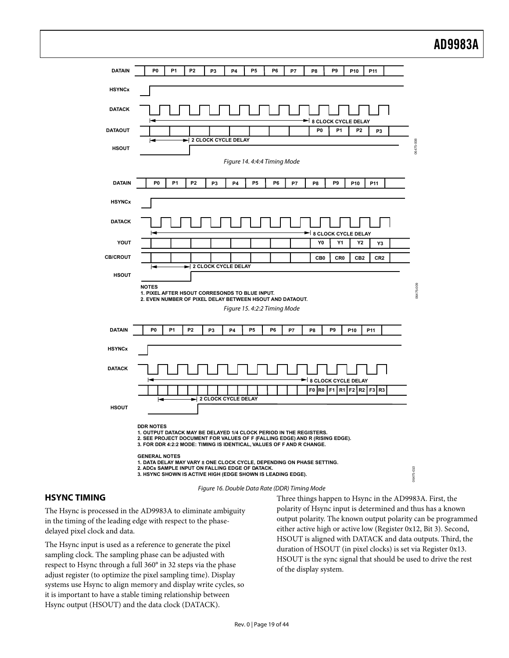<span id="page-18-0"></span>

# <span id="page-18-1"></span>**HSYNC TIMING**

The Hsync is processed in the AD9983A to eliminate ambiguity in the timing of the leading edge with respect to the phasedelayed pixel clock and data.

The Hsync input is used as a reference to generate the pixel sampling clock. The sampling phase can be adjusted with respect to Hsync through a full 360° in 32 steps via the phase adjust register (to optimize the pixel sampling time). Display systems use Hsync to align memory and display write cycles, so it is important to have a stable timing relationship between Hsync output (HSOUT) and the data clock (DATACK).

Three things happen to Hsync in the AD9983A. First, the polarity of Hsync input is determined and thus has a known output polarity. The known output polarity can be programmed either active high or active low (Register 0x12, Bit 3). Second, HSOUT is aligned with DATACK and data outputs. Third, the duration of HSOUT (in pixel clocks) is set via Register 0x13. HSOUT is the sync signal that should be used to drive the rest of the display system.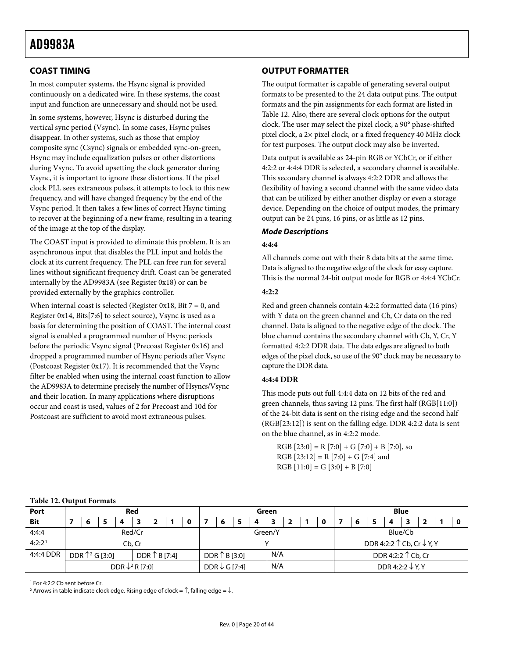# <span id="page-19-2"></span><span id="page-19-0"></span>**COAST TIMING**

In most computer systems, the Hsync signal is provided continuously on a dedicated wire. In these systems, the coast input and function are unnecessary and should not be used.

In some systems, however, Hsync is disturbed during the vertical sync period (Vsync). In some cases, Hsync pulses disappear. In other systems, such as those that employ composite sync (Csync) signals or embedded sync-on-green, Hsync may include equalization pulses or other distortions during Vsync. To avoid upsetting the clock generator during Vsync, it is important to ignore these distortions. If the pixel clock PLL sees extraneous pulses, it attempts to lock to this new frequency, and will have changed frequency by the end of the Vsync period. It then takes a few lines of correct Hsync timing to recover at the beginning of a new frame, resulting in a tearing of the image at the top of the display.

The COAST input is provided to eliminate this problem. It is an asynchronous input that disables the PLL input and holds the clock at its current frequency. The PLL can free run for several lines without significant frequency drift. Coast can be generated internally by the AD9983A (see Register 0x18) or can be provided externally by the graphics controller.

When internal coast is selected (Register 0x18, Bit  $7 = 0$ , and Register 0x14, Bits[7:6] to select source), Vsync is used as a basis for determining the position of COAST. The internal coast signal is enabled a programmed number of Hsync periods before the periodic Vsync signal (Precoast Register 0x16) and dropped a programmed number of Hsync periods after Vsync (Postcoast Register 0x17). It is recommended that the Vsync filter be enabled when using the internal coast function to allow the AD9983A to determine precisely the number of Hsyncs/Vsync and their location. In many applications where disruptions occur and coast is used, values of 2 for Precoast and 10d for Postcoast are sufficient to avoid most extraneous pulses.

# **OUTPUT FORMATTER**

The output formatter is capable of generating several output formats to be presented to the 24 data output pins. The output formats and the pin assignments for each format are listed in [Table 12](#page-19-1). Also, there are several clock options for the output clock. The user may select the pixel clock, a 90° phase-shifted pixel clock, a 2× pixel clock, or a fixed frequency 40 MHz clock for test purposes. The output clock may also be inverted.

Data output is available as 24-pin RGB or YCbCr, or if either 4:2:2 or 4:4:4 DDR is selected, a secondary channel is available. This secondary channel is always 4:2:2 DDR and allows the flexibility of having a second channel with the same video data that can be utilized by either another display or even a storage device. Depending on the choice of output modes, the primary output can be 24 pins, 16 pins, or as little as 12 pins.

# **Mode Descriptions**

#### **4:4:4**

All channels come out with their 8 data bits at the same time. Data is aligned to the negative edge of the clock for easy capture. This is the normal 24-bit output mode for RGB or 4:4:4 YCbCr.

#### **4:2:2**

Red and green channels contain 4:2:2 formatted data (16 pins) with Y data on the green channel and Cb, Cr data on the red channel. Data is aligned to the negative edge of the clock. The blue channel contains the secondary channel with Cb, Y, Cr, Y formatted 4:2:2 DDR data. The data edges are aligned to both edges of the pixel clock, so use of the 90° clock may be necessary to capture the DDR data.

#### **4:4:4 DDR**

This mode puts out full 4:4:4 data on 12 bits of the red and green channels, thus saving 12 pins. The first half (RGB[11:0]) of the 24-bit data is sent on the rising edge and the second half (RGB[23:12]) is sent on the falling edge. DDR 4:2:2 data is sent on the blue channel, as in 4:2:2 mode.

 $RGB [23:0] = R [7:0] + G [7:0] + B [7:0],$  so RGB  $[23:12] = R [7:0] + G [7:4]$  and  $RGB [11:0] = G [3:0] + B [7:0]$ 

#### **Table 12. Output Formats**

<span id="page-19-1"></span>

| Port        | Red                        |  |   |        |                        |  |  | Green                           |  |  |     |                             | <b>Blue</b> |                             |   |  |  |  |   |  |  |  |  |
|-------------|----------------------------|--|---|--------|------------------------|--|--|---------------------------------|--|--|-----|-----------------------------|-------------|-----------------------------|---|--|--|--|---|--|--|--|--|
| <b>Bit</b>  | o                          |  | Д |        |                        |  |  |                                 |  |  | Д   |                             |             |                             | 0 |  |  |  | д |  |  |  |  |
| 4:4:4       |                            |  |   | Red/Cr |                        |  |  | Green/Y                         |  |  |     |                             |             | Blue/Cb                     |   |  |  |  |   |  |  |  |  |
| $4:2:2^{1}$ |                            |  |   | Cb. Cr |                        |  |  |                                 |  |  |     |                             |             | DDR 4:2:2 ↑ Cb, Cr ↓ Y, Y   |   |  |  |  |   |  |  |  |  |
| 4:4:4 DDR   | DDR $\uparrow$ 2 G [3:0]   |  |   |        | DDR $\uparrow$ B [7:4] |  |  | DDR ↑ B [3:0]                   |  |  | N/A |                             |             | DDR 4:2:2 $\uparrow$ Cb, Cr |   |  |  |  |   |  |  |  |  |
|             | DDR $\downarrow^2$ R [7:0] |  |   |        |                        |  |  | N/A<br>DDR $\downarrow$ G [7:4] |  |  |     | DDR 4:2:2 $\downarrow$ Y, Y |             |                             |   |  |  |  |   |  |  |  |  |

1 For 4:2:2 Cb sent before Cr.

 $^{\rm 2}$  Arrows in table indicate clock edge. Rising edge of clock =  $\uparrow$ , falling edge =  $\downarrow$ .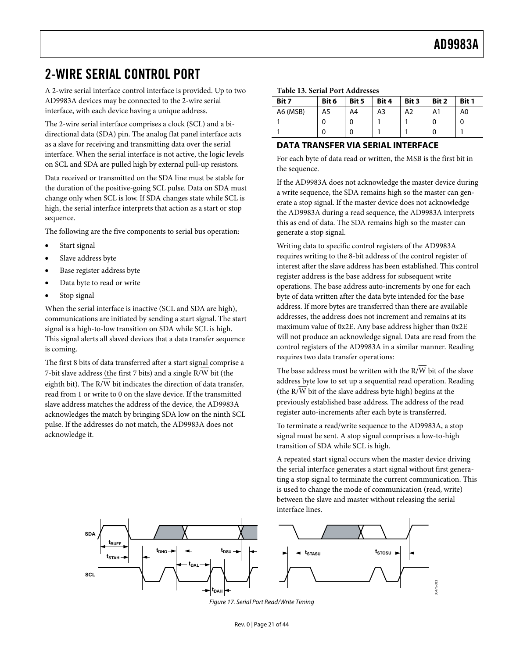# <span id="page-20-1"></span><span id="page-20-0"></span>2-WIRE SERIAL CONTROL PORT

A 2-wire serial interface control interface is provided. Up to two AD9983A devices may be connected to the 2-wire serial interface, with each device having a unique address.

The 2-wire serial interface comprises a clock (SCL) and a bidirectional data (SDA) pin. The analog flat panel interface acts as a slave for receiving and transmitting data over the serial interface. When the serial interface is not active, the logic levels on SCL and SDA are pulled high by external pull-up resistors.

Data received or transmitted on the SDA line must be stable for the duration of the positive-going SCL pulse. Data on SDA must change only when SCL is low. If SDA changes state while SCL is high, the serial interface interprets that action as a start or stop sequence.

The following are the five components to serial bus operation:

- Start signal
- Slave address byte
- Base register address byte
- Data byte to read or write
- Stop signal

When the serial interface is inactive (SCL and SDA are high), communications are initiated by sending a start signal. The start signal is a high-to-low transition on SDA while SCL is high. This signal alerts all slaved devices that a data transfer sequence is coming.

The first 8 bits of data transferred after a start signal comprise a 7-bit slave address (the first 7 bits) and a single R/W bit (the eighth bit). The  $R/\overline{W}$  bit indicates the direction of data transfer, read from 1 or write to 0 on the slave device. If the transmitted slave address matches the address of the device, the AD9983A acknowledges the match by bringing SDA low on the ninth SCL pulse. If the addresses do not match, the AD9983A does not acknowledge it.

#### **Table 13. Serial Port Addresses**

| Bit 7    | Bit 6 | Bit 5 | Bit 4 | Bit 3 | Bit 2 | Bit 1 |
|----------|-------|-------|-------|-------|-------|-------|
| A6 (MSB) | A5    | A4    | A3    | A2    | A1    | A0    |
|          |       |       |       |       |       | 0     |
|          |       |       |       |       |       |       |

# **DATA TRANSFER VIA SERIAL INTERFACE**

For each byte of data read or written, the MSB is the first bit in the sequence.

If the AD9983A does not acknowledge the master device during a write sequence, the SDA remains high so the master can generate a stop signal. If the master device does not acknowledge the AD9983A during a read sequence, the AD9983A interprets this as end of data. The SDA remains high so the master can generate a stop signal.

Writing data to specific control registers of the AD9983A requires writing to the 8-bit address of the control register of interest after the slave address has been established. This control register address is the base address for subsequent write operations. The base address auto-increments by one for each byte of data written after the data byte intended for the base address. If more bytes are transferred than there are available addresses, the address does not increment and remains at its maximum value of 0x2E. Any base address higher than 0x2E will not produce an acknowledge signal. Data are read from the control registers of the AD9983A in a similar manner. Reading requires two data transfer operations:

The base address must be written with the R/W bit of the slave address byte low to set up a sequential read operation. Reading (the R/W bit of the slave address byte high) begins at the previously established base address. The address of the read register auto-increments after each byte is transferred.

To terminate a read/write sequence to the AD9983A, a stop signal must be sent. A stop signal comprises a low-to-high transition of SDA while SCL is high.

A repeated start signal occurs when the master device driving the serial interface generates a start signal without first generating a stop signal to terminate the current communication. This is used to change the mode of communication (read, write) between the slave and master without releasing the serial interface lines.



Figure 17. Serial Port Read/Write Timing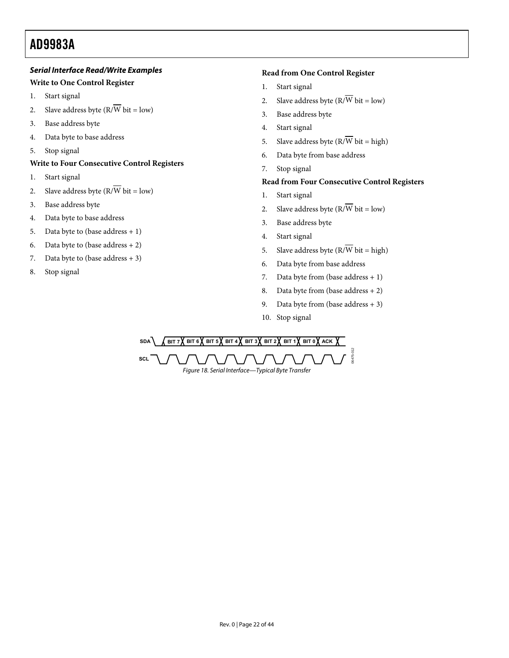# **Serial Interface Read/Write Examples**

# **Write to One Control Register**

- 1. Start signal
- 2. Slave address byte  $(R/\overline{W})$  bit = low)
- 3. Base address byte
- 4. Data byte to base address
- 5. Stop signal

# **Write to Four Consecutive Control Registers**

- 1. Start signal
- 2. Slave address byte  $(R/\overline{W})$  bit = low)
- 3. Base address byte
- 4. Data byte to base address
- 5. Data byte to (base address  $+1$ )
- 6. Data byte to (base address  $+ 2$ )
- 7. Data byte to (base address  $+3$ )
- 8. Stop signal

# **Read from One Control Register**

- 1. Start signal
- 2. Slave address byte  $(R/\overline{W})$  bit = low)
- 3. Base address byte
- 4. Start signal
- 5. Slave address byte  $(R/\overline{W})$  bit = high)
- 6. Data byte from base address
- 7. Stop signal

# **Read from Four Consecutive Control Registers**

- 1. Start signal
- 2. Slave address byte  $(R/\overline{W})$  bit = low)
- 3. Base address byte
- 4. Start signal
- 5. Slave address byte  $(R/\overline{W})$  bit = high)
- 6. Data byte from base address
- 7. Data byte from (base address  $+1$ )
- 8. Data byte from (base address + 2)
- 9. Data byte from (base address  $+3$ )
- 10. Stop signal

 $SBA$   $\left($  **BIT 7** $\left($  **BIT 6** $\left($  **BIT 5** $\left($  **BIT 4** $\left($  **BIT 2** $\left($  **BIT 4** $\left($  **BIT 1** $\left($  **BIT 0** $\left($  **ACK SCL** 06475-012 Figure 18. Serial Interface—Typical Byte Transfer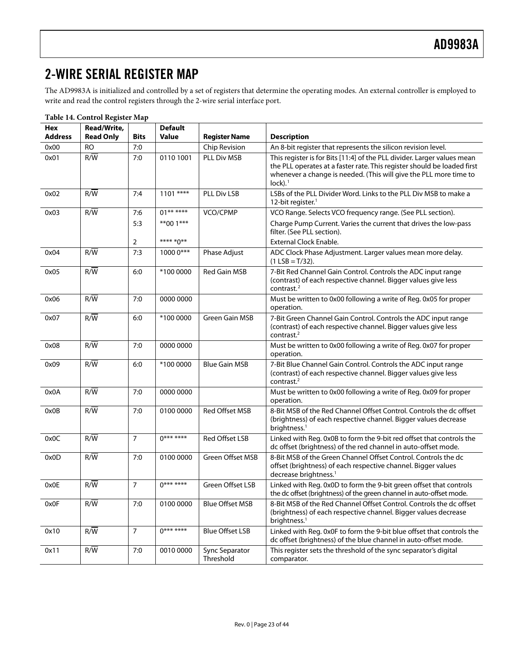# <span id="page-22-0"></span>2-WIRE SERIAL REGISTER MAP

The AD9983A is initialized and controlled by a set of registers that determine the operating modes. An external controller is employed to write and read the control registers through the 2-wire serial interface port.

| Hex<br><b>Address</b> | Read/Write,<br><b>Read Only</b> | <b>Bits</b>    | <b>Default</b><br><b>Value</b> | <b>Register Name</b>        | <b>Description</b>                                                                                                                                                                                                                                |
|-----------------------|---------------------------------|----------------|--------------------------------|-----------------------------|---------------------------------------------------------------------------------------------------------------------------------------------------------------------------------------------------------------------------------------------------|
| 0x00                  | <b>RO</b>                       | 7:0            |                                | Chip Revision               | An 8-bit register that represents the silicon revision level.                                                                                                                                                                                     |
| 0x01                  | $R/\overline{W}$                | 7:0            | 0110 1001                      | PLL Div MSB                 | This register is for Bits [11:4] of the PLL divider. Larger values mean<br>the PLL operates at a faster rate. This register should be loaded first<br>whenever a change is needed. (This will give the PLL more time to<br>$lock$ ). <sup>1</sup> |
| 0x02                  | $R/\overline{W}$                | 7:4            | 1101 ****                      | PLL Div LSB                 | LSBs of the PLL Divider Word. Links to the PLL Div MSB to make a<br>12-bit register. <sup>1</sup>                                                                                                                                                 |
| 0x03                  | $R/\overline{W}$                | 7:6            | $01******$                     | VCO/CPMP                    | VCO Range. Selects VCO frequency range. (See PLL section).                                                                                                                                                                                        |
|                       |                                 | 5:3            | $**001***$<br>**** *0**        |                             | Charge Pump Current. Varies the current that drives the low-pass<br>filter. (See PLL section).<br><b>External Clock Enable.</b>                                                                                                                   |
|                       |                                 | 2              |                                |                             |                                                                                                                                                                                                                                                   |
| 0x04                  | $R/\overline{W}$                | 7:3            | 1000 0***                      | Phase Adjust                | ADC Clock Phase Adjustment. Larger values mean more delay.<br>$(1$ LSB = T/32).                                                                                                                                                                   |
| 0x05                  | $R/\overline{W}$                | 6:0            | *100 0000                      | <b>Red Gain MSB</b>         | 7-Bit Red Channel Gain Control. Controls the ADC input range<br>(contrast) of each respective channel. Bigger values give less<br>contrast. <sup>2</sup>                                                                                          |
| 0x06                  | $R/\overline{W}$                | 7:0            | 0000 0000                      |                             | Must be written to 0x00 following a write of Reg. 0x05 for proper<br>operation.                                                                                                                                                                   |
| 0x07                  | R/W                             | 6:0            | *100 0000                      | Green Gain MSB              | 7-Bit Green Channel Gain Control. Controls the ADC input range<br>(contrast) of each respective channel. Bigger values give less<br>contrast. $2$                                                                                                 |
| 0x08                  | R/W                             | 7:0            | 0000 0000                      |                             | Must be written to 0x00 following a write of Reg. 0x07 for proper<br>operation.                                                                                                                                                                   |
| 0x09                  | $R/\overline{W}$                | 6:0            | *100 0000                      | <b>Blue Gain MSB</b>        | 7-Bit Blue Channel Gain Control. Controls the ADC input range<br>(contrast) of each respective channel. Bigger values give less<br>contrast. $2$                                                                                                  |
| 0x0A                  | $R/\overline{W}$                | 7:0            | 0000 0000                      |                             | Must be written to 0x00 following a write of Reg. 0x09 for proper<br>operation.                                                                                                                                                                   |
| 0x0B                  | R/W                             | 7:0            | 0100 0000                      | Red Offset MSB              | 8-Bit MSB of the Red Channel Offset Control. Controls the dc offset<br>(brightness) of each respective channel. Bigger values decrease<br>brightness. <sup>1</sup>                                                                                |
| 0x0C                  | $R/\overline{W}$                | $\overline{7}$ | $0******$                      | Red Offset LSB              | Linked with Reg. 0x0B to form the 9-bit red offset that controls the<br>dc offset (brightness) of the red channel in auto-offset mode.                                                                                                            |
| 0x0D                  | $R/\overline{W}$                | 7:0            | 0100 0000                      | Green Offset MSB            | 8-Bit MSB of the Green Channel Offset Control. Controls the dc<br>offset (brightness) of each respective channel. Bigger values<br>decrease brightness. <sup>1</sup>                                                                              |
| 0x0E                  | $R/\overline{W}$                | $\overline{7}$ | $0******$                      | Green Offset LSB            | Linked with Reg. 0x0D to form the 9-bit green offset that controls<br>the dc offset (brightness) of the green channel in auto-offset mode.                                                                                                        |
| 0x0F                  | $R/\overline{W}$                | 7:0            | 0100 0000                      | <b>Blue Offset MSB</b>      | 8-Bit MSB of the Red Channel Offset Control. Controls the dc offset<br>(brightness) of each respective channel. Bigger values decrease<br>brightness. <sup>1</sup>                                                                                |
| 0x10                  | $R/\overline{W}$                | $\overline{7}$ | $0******$                      | <b>Blue Offset LSB</b>      | Linked with Reg. 0x0F to form the 9-bit blue offset that controls the<br>dc offset (brightness) of the blue channel in auto-offset mode.                                                                                                          |
| 0x11                  | R/W                             | 7:0            | 0010 0000                      | Sync Separator<br>Threshold | This register sets the threshold of the sync separator's digital<br>comparator.                                                                                                                                                                   |

**Table 14. Control Register Map**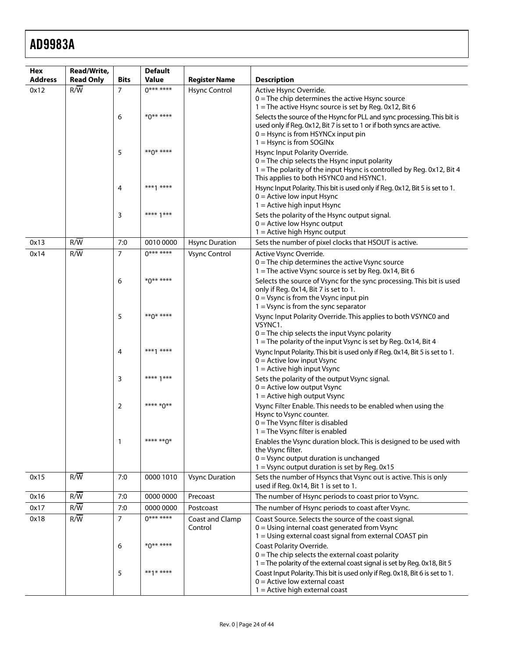| Hex            | Read/Write,      |                | <b>Default</b>   |                            |                                                                                                                                                                                                                        |
|----------------|------------------|----------------|------------------|----------------------------|------------------------------------------------------------------------------------------------------------------------------------------------------------------------------------------------------------------------|
| <b>Address</b> | <b>Read Only</b> | <b>Bits</b>    | <b>Value</b>     | <b>Register Name</b>       | <b>Description</b>                                                                                                                                                                                                     |
| 0x12           | R/W              | $\overline{7}$ | $0******$        | <b>Hsync Control</b>       | Active Hsync Override.<br>$0$ = The chip determines the active Hsync source<br>1 = The active Hsync source is set by Reg. 0x12, Bit 6                                                                                  |
|                |                  | 6              | $*0******$       |                            | Selects the source of the Hsync for PLL and sync processing. This bit is<br>used only if Reg. 0x12, Bit 7 is set to 1 or if both syncs are active.<br>$0 =$ Hsync is from HSYNCx input pin<br>1 = Hsync is from SOGINx |
|                |                  | 5              | ** $0$ * ****    |                            | Hsync Input Polarity Override.<br>$0 =$ The chip selects the Hsync input polarity<br>1 = The polarity of the input Hsync is controlled by Reg. 0x12, Bit 4<br>This applies to both HSYNC0 and HSYNC1.                  |
|                |                  | 4              | ***1 ****        |                            | Hsync Input Polarity. This bit is used only if Reg. 0x12, Bit 5 is set to 1.<br>$0 =$ Active low input Hsync<br>$1 =$ Active high input Hsync                                                                          |
|                |                  | 3              | **** $1***$      |                            | Sets the polarity of the Hsync output signal.<br>$0 =$ Active low Hsync output<br>$1 =$ Active high Hsync output                                                                                                       |
| 0x13           | $R/\overline{W}$ | 7:0            | 0010 0000        | <b>Hsync Duration</b>      | Sets the number of pixel clocks that HSOUT is active.                                                                                                                                                                  |
| 0x14           | R/W              | $\overline{7}$ | $0******$        | <b>Vsync Control</b>       | Active Vsync Override.<br>$0 =$ The chip determines the active Vsync source<br>1 = The active Vsync source is set by Reg. 0x14, Bit 6                                                                                  |
|                |                  | 6              | $*0******$       |                            | Selects the source of Vsync for the sync processing. This bit is used<br>only if Reg. 0x14, Bit 7 is set to 1.<br>$0 = V$ sync is from the Vsync input pin<br>$1 = V$ sync is from the sync separator                  |
|                |                  | 5              | $**\Lambda$ **** |                            | Vsync Input Polarity Override. This applies to both VSYNC0 and<br>VSYNC1.<br>$0 =$ The chip selects the input Vsync polarity<br>1 = The polarity of the input Vsync is set by Reg. 0x14, Bit 4                         |
|                |                  | 4              | $***1***$        |                            | Vsync Input Polarity. This bit is used only if Reg. 0x14, Bit 5 is set to 1.<br>$0 =$ Active low input Vsync<br>$1 =$ Active high input Vsync                                                                          |
|                |                  | 3              | **** 1***        |                            | Sets the polarity of the output Vsync signal.<br>$0 =$ Active low output Vsync<br>$1 =$ Active high output Vsync                                                                                                       |
|                |                  | 2              | **** *0**        |                            | Vsync Filter Enable. This needs to be enabled when using the<br>Hsync to Vsync counter.<br>$0 =$ The Vsync filter is disabled<br>1 = The Vsync filter is enabled                                                       |
|                |                  | 1              | **** ** 0*       |                            | Enables the Vsync duration block. This is designed to be used with<br>the Vsync filter.<br>0 = Vsync output duration is unchanged                                                                                      |
| 0x15           | R/W              | 7:0            | 0000 1010        | <b>Vsync Duration</b>      | 1 = Vsync output duration is set by Reg. 0x15<br>Sets the number of Hsyncs that Vsync out is active. This is only<br>used if Reg. 0x14, Bit 1 is set to 1.                                                             |
| 0x16           | $R/\overline{W}$ | 7:0            | 0000 0000        | Precoast                   | The number of Hsync periods to coast prior to Vsync.                                                                                                                                                                   |
| 0x17           | R/W              | 7:0            | 0000 0000        | Postcoast                  | The number of Hsync periods to coast after Vsync.                                                                                                                                                                      |
| 0x18           | R/W              | $\overline{7}$ | $0******$        | Coast and Clamp<br>Control | Coast Source. Selects the source of the coast signal.<br>$0 =$ Using internal coast generated from Vsync<br>1 = Using external coast signal from external COAST pin                                                    |
|                |                  | 6              | *0** ****        |                            | Coast Polarity Override.<br>$0$ = The chip selects the external coast polarity<br>1 = The polarity of the external coast signal is set by Reg. 0x18, Bit 5                                                             |
|                |                  | 5              | **1* ****        |                            | Coast Input Polarity. This bit is used only if Reg. 0x18, Bit 6 is set to 1.<br>$0 =$ Active low external coast<br>$1 =$ Active high external coast                                                                    |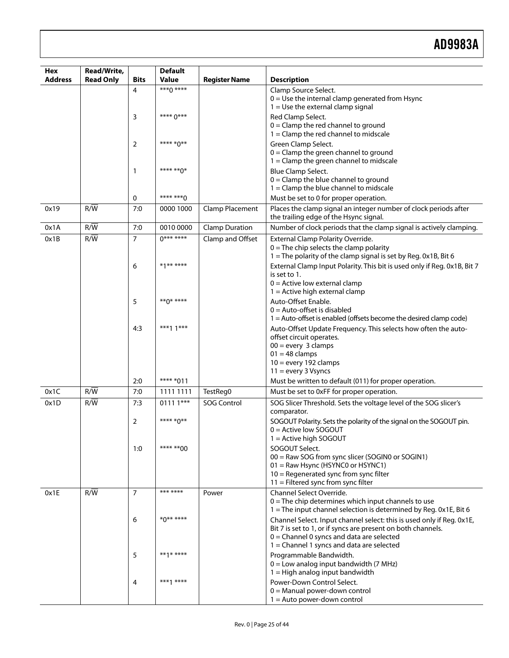| Hex            | Read/Write,      |                | <b>Default</b> |                       |                                                                                                                                                                                                                                     |
|----------------|------------------|----------------|----------------|-----------------------|-------------------------------------------------------------------------------------------------------------------------------------------------------------------------------------------------------------------------------------|
| <b>Address</b> | <b>Read Only</b> | <b>Bits</b>    | <b>Value</b>   | <b>Register Name</b>  | <b>Description</b>                                                                                                                                                                                                                  |
|                |                  | 4              | $***0***$      |                       | Clamp Source Select.<br>$0 =$ Use the internal clamp generated from Hsync<br>$1 =$ Use the external clamp signal                                                                                                                    |
|                |                  | 3              | **** 0***      |                       | Red Clamp Select.<br>$0 =$ Clamp the red channel to ground<br>$1 =$ Clamp the red channel to midscale                                                                                                                               |
|                |                  | 2              | **** *0**      |                       | Green Clamp Select.<br>$0 =$ Clamp the green channel to ground<br>$1 =$ Clamp the green channel to midscale                                                                                                                         |
|                |                  | 1              | **** ** 0*     |                       | <b>Blue Clamp Select.</b><br>$0 =$ Clamp the blue channel to ground<br>$1 =$ Clamp the blue channel to midscale                                                                                                                     |
|                |                  | 0              | **** **** 0    |                       | Must be set to 0 for proper operation.                                                                                                                                                                                              |
| 0x19           | R/W              | 7:0            | 0000 1000      | Clamp Placement       | Places the clamp signal an integer number of clock periods after<br>the trailing edge of the Hsync signal.                                                                                                                          |
| 0x1A           | R/W              | 7:0            | 0010 0000      | <b>Clamp Duration</b> | Number of clock periods that the clamp signal is actively clamping.                                                                                                                                                                 |
| 0x1B           | R/W              | $\overline{7}$ | $0******$      | Clamp and Offset      | External Clamp Polarity Override.<br>$0 =$ The chip selects the clamp polarity<br>1 = The polarity of the clamp signal is set by Reg. 0x1B, Bit 6                                                                                   |
|                |                  | 6              | $*1***$        |                       | External Clamp Input Polarity. This bit is used only if Reg. 0x1B, Bit 7<br>is set to 1.<br>$0 =$ Active low external clamp<br>$1 =$ Active high external clamp                                                                     |
|                |                  | 5              | **0* ****      |                       | Auto-Offset Enable.<br>$0 =$ Auto-offset is disabled<br>$1 =$ Auto-offset is enabled (offsets become the desired clamp code)                                                                                                        |
|                |                  | 4:3            | ***1 $1***$    |                       | Auto-Offset Update Frequency. This selects how often the auto-<br>offset circuit operates.<br>$00 =$ every 3 clamps<br>$01 = 48$ clamps<br>$10 =$ every 192 clamps<br>$11 =$ every 3 Vsyncs                                         |
|                |                  | 2:0            | **** *011      |                       | Must be written to default (011) for proper operation.                                                                                                                                                                              |
| 0x1C           | R/W              | 7:0            | 1111 1111      | TestReg0              | Must be set to 0xFF for proper operation.                                                                                                                                                                                           |
| 0x1D           | $R/\overline{W}$ | 7:3            | $01111***$     | <b>SOG Control</b>    | SOG Slicer Threshold. Sets the voltage level of the SOG slicer's<br>comparator.                                                                                                                                                     |
|                |                  | 2              | **** *0**      |                       | SOGOUT Polarity. Sets the polarity of the signal on the SOGOUT pin.<br>$0 =$ Active low SOGOUT<br>$1 =$ Active high SOGOUT                                                                                                          |
|                |                  | 1:0            | **** ** 00     |                       | SOGOUT Select.<br>00 = Raw SOG from sync slicer (SOGIN0 or SOGIN1)<br>01 = Raw Hsync (HSYNC0 or HSYNC1)<br>$10$ = Regenerated sync from sync filter<br>$11$ = Filtered sync from sync filter                                        |
| 0x1E           | R/W              | $\overline{7}$ | *** ****       | Power                 | Channel Select Override.<br>$0$ = The chip determines which input channels to use<br>1 = The input channel selection is determined by Reg. 0x1E, Bit 6                                                                              |
|                |                  | 6              | $*0******$     |                       | Channel Select. Input channel select: this is used only if Reg. 0x1E,<br>Bit 7 is set to 1, or if syncs are present on both channels.<br>$0 =$ Channel 0 syncs and data are selected<br>$1 =$ Channel 1 syncs and data are selected |
|                |                  | 5              | **1* ****      |                       | Programmable Bandwidth.<br>$0 =$ Low analog input bandwidth (7 MHz)<br>$1 =$ High analog input bandwidth                                                                                                                            |
|                |                  | 4              | ***1 ****      |                       | Power-Down Control Select.<br>$0 =$ Manual power-down control<br>$1 =$ Auto power-down control                                                                                                                                      |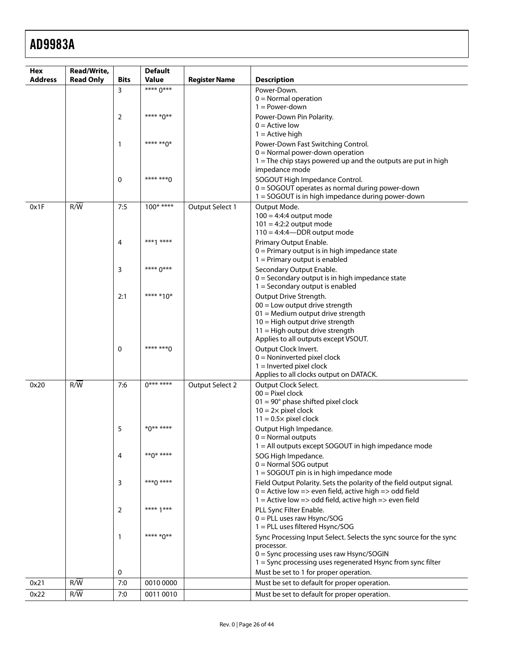| <b>Address</b><br><b>Read Only</b><br>Value<br>Bits<br><b>Register Name</b><br><b>Description</b><br>**** 0***<br>3<br>Power-Down.<br>$0 =$ Normal operation<br>$1 = Power-down$<br>**** *0**<br>2<br>Power-Down Pin Polarity.<br>$0 =$ Active low<br>$1 =$ Active high<br>**** ** 0*<br>Power-Down Fast Switching Control.<br>1<br>$0 =$ Normal power-down operation<br>$1 =$ The chip stays powered up and the outputs are put in high<br>impedance mode<br>**** ***^<br>0<br>SOGOUT High Impedance Control.<br>0 = SOGOUT operates as normal during power-down<br>1 = SOGOUT is in high impedance during power-down<br>$R/\overline{W}$<br>7:5<br>$100***$<br>Output Select 1<br>Output Mode.<br>0x1F<br>$100 = 4:4:4$ output mode<br>$101 = 4:2:2$ output mode<br>$110 = 4:4:4$ DDR output mode<br>***1 ****<br>Primary Output Enable.<br>4<br>$0 =$ Primary output is in high impedance state<br>$1 =$ Primary output is enabled<br>**** 0***<br>3<br>Secondary Output Enable.<br>$0 =$ Secondary output is in high impedance state<br>$1 =$ Secondary output is enabled<br>2:1<br>**** *10*<br>Output Drive Strength.<br>$00 =$ Low output drive strength<br>$01$ = Medium output drive strength<br>10 = High output drive strength<br>11 = High output drive strength<br>Applies to all outputs except VSOUT.<br>**** ***^<br>Output Clock Invert.<br>0<br>$0 =$ Noninverted pixel clock<br>$1 =$ Inverted pixel clock<br>Applies to all clocks output on DATACK.<br>$0******$<br>R/W<br>7:6<br>0x20<br>Output Select 2<br>Output Clock Select.<br>$00 =$ Pixel clock<br>$01 = 90^\circ$ phase shifted pixel clock<br>$10 = 2 \times$ pixel clock<br>$11 = 0.5 \times$ pixel clock<br>$*0******$<br>5<br>Output High Impedance.<br>$0 =$ Normal outputs<br>1 = All outputs except SOGOUT in high impedance mode<br>** $0$ * ****<br>4<br>SOG High Impedance.<br>$0 =$ Normal SOG output<br>1 = SOGOUT pin is in high impedance mode<br>$***0***$<br>Field Output Polarity. Sets the polarity of the field output signal.<br>3<br>$0 =$ Active low => even field, active high => odd field<br>1 = Active low => odd field, active high => even field<br>**** 1***<br>PLL Sync Filter Enable.<br>2<br>$0 = PLL$ uses raw Hsync/SOG<br>1 = PLL uses filtered Hsync/SOG<br>**** *0**<br>Sync Processing Input Select. Selects the sync source for the sync<br>$\mathbf{1}$<br>processor.<br>$0 =$ Sync processing uses raw Hsync/SOGIN<br>1 = Sync processing uses regenerated Hsync from sync filter<br>Must be set to 1 for proper operation.<br>0<br>7:0<br>R/W<br>0010 0000<br>Must be set to default for proper operation.<br>0x21 | Hex | Read/Write, | <b>Default</b> |  |
|--------------------------------------------------------------------------------------------------------------------------------------------------------------------------------------------------------------------------------------------------------------------------------------------------------------------------------------------------------------------------------------------------------------------------------------------------------------------------------------------------------------------------------------------------------------------------------------------------------------------------------------------------------------------------------------------------------------------------------------------------------------------------------------------------------------------------------------------------------------------------------------------------------------------------------------------------------------------------------------------------------------------------------------------------------------------------------------------------------------------------------------------------------------------------------------------------------------------------------------------------------------------------------------------------------------------------------------------------------------------------------------------------------------------------------------------------------------------------------------------------------------------------------------------------------------------------------------------------------------------------------------------------------------------------------------------------------------------------------------------------------------------------------------------------------------------------------------------------------------------------------------------------------------------------------------------------------------------------------------------------------------------------------------------------------------------------------------------------------------------------------------------------------------------------------------------------------------------------------------------------------------------------------------------------------------------------------------------------------------------------------------------------------------------------------------------------------------------------------------------------------------------------------------------------------------------------------------------------------------------------------------------|-----|-------------|----------------|--|
|                                                                                                                                                                                                                                                                                                                                                                                                                                                                                                                                                                                                                                                                                                                                                                                                                                                                                                                                                                                                                                                                                                                                                                                                                                                                                                                                                                                                                                                                                                                                                                                                                                                                                                                                                                                                                                                                                                                                                                                                                                                                                                                                                                                                                                                                                                                                                                                                                                                                                                                                                                                                                                            |     |             |                |  |
|                                                                                                                                                                                                                                                                                                                                                                                                                                                                                                                                                                                                                                                                                                                                                                                                                                                                                                                                                                                                                                                                                                                                                                                                                                                                                                                                                                                                                                                                                                                                                                                                                                                                                                                                                                                                                                                                                                                                                                                                                                                                                                                                                                                                                                                                                                                                                                                                                                                                                                                                                                                                                                            |     |             |                |  |
|                                                                                                                                                                                                                                                                                                                                                                                                                                                                                                                                                                                                                                                                                                                                                                                                                                                                                                                                                                                                                                                                                                                                                                                                                                                                                                                                                                                                                                                                                                                                                                                                                                                                                                                                                                                                                                                                                                                                                                                                                                                                                                                                                                                                                                                                                                                                                                                                                                                                                                                                                                                                                                            |     |             |                |  |
|                                                                                                                                                                                                                                                                                                                                                                                                                                                                                                                                                                                                                                                                                                                                                                                                                                                                                                                                                                                                                                                                                                                                                                                                                                                                                                                                                                                                                                                                                                                                                                                                                                                                                                                                                                                                                                                                                                                                                                                                                                                                                                                                                                                                                                                                                                                                                                                                                                                                                                                                                                                                                                            |     |             |                |  |
|                                                                                                                                                                                                                                                                                                                                                                                                                                                                                                                                                                                                                                                                                                                                                                                                                                                                                                                                                                                                                                                                                                                                                                                                                                                                                                                                                                                                                                                                                                                                                                                                                                                                                                                                                                                                                                                                                                                                                                                                                                                                                                                                                                                                                                                                                                                                                                                                                                                                                                                                                                                                                                            |     |             |                |  |
|                                                                                                                                                                                                                                                                                                                                                                                                                                                                                                                                                                                                                                                                                                                                                                                                                                                                                                                                                                                                                                                                                                                                                                                                                                                                                                                                                                                                                                                                                                                                                                                                                                                                                                                                                                                                                                                                                                                                                                                                                                                                                                                                                                                                                                                                                                                                                                                                                                                                                                                                                                                                                                            |     |             |                |  |
|                                                                                                                                                                                                                                                                                                                                                                                                                                                                                                                                                                                                                                                                                                                                                                                                                                                                                                                                                                                                                                                                                                                                                                                                                                                                                                                                                                                                                                                                                                                                                                                                                                                                                                                                                                                                                                                                                                                                                                                                                                                                                                                                                                                                                                                                                                                                                                                                                                                                                                                                                                                                                                            |     |             |                |  |
|                                                                                                                                                                                                                                                                                                                                                                                                                                                                                                                                                                                                                                                                                                                                                                                                                                                                                                                                                                                                                                                                                                                                                                                                                                                                                                                                                                                                                                                                                                                                                                                                                                                                                                                                                                                                                                                                                                                                                                                                                                                                                                                                                                                                                                                                                                                                                                                                                                                                                                                                                                                                                                            |     |             |                |  |
|                                                                                                                                                                                                                                                                                                                                                                                                                                                                                                                                                                                                                                                                                                                                                                                                                                                                                                                                                                                                                                                                                                                                                                                                                                                                                                                                                                                                                                                                                                                                                                                                                                                                                                                                                                                                                                                                                                                                                                                                                                                                                                                                                                                                                                                                                                                                                                                                                                                                                                                                                                                                                                            |     |             |                |  |
|                                                                                                                                                                                                                                                                                                                                                                                                                                                                                                                                                                                                                                                                                                                                                                                                                                                                                                                                                                                                                                                                                                                                                                                                                                                                                                                                                                                                                                                                                                                                                                                                                                                                                                                                                                                                                                                                                                                                                                                                                                                                                                                                                                                                                                                                                                                                                                                                                                                                                                                                                                                                                                            |     |             |                |  |
|                                                                                                                                                                                                                                                                                                                                                                                                                                                                                                                                                                                                                                                                                                                                                                                                                                                                                                                                                                                                                                                                                                                                                                                                                                                                                                                                                                                                                                                                                                                                                                                                                                                                                                                                                                                                                                                                                                                                                                                                                                                                                                                                                                                                                                                                                                                                                                                                                                                                                                                                                                                                                                            |     |             |                |  |
|                                                                                                                                                                                                                                                                                                                                                                                                                                                                                                                                                                                                                                                                                                                                                                                                                                                                                                                                                                                                                                                                                                                                                                                                                                                                                                                                                                                                                                                                                                                                                                                                                                                                                                                                                                                                                                                                                                                                                                                                                                                                                                                                                                                                                                                                                                                                                                                                                                                                                                                                                                                                                                            |     |             |                |  |
|                                                                                                                                                                                                                                                                                                                                                                                                                                                                                                                                                                                                                                                                                                                                                                                                                                                                                                                                                                                                                                                                                                                                                                                                                                                                                                                                                                                                                                                                                                                                                                                                                                                                                                                                                                                                                                                                                                                                                                                                                                                                                                                                                                                                                                                                                                                                                                                                                                                                                                                                                                                                                                            |     |             |                |  |
|                                                                                                                                                                                                                                                                                                                                                                                                                                                                                                                                                                                                                                                                                                                                                                                                                                                                                                                                                                                                                                                                                                                                                                                                                                                                                                                                                                                                                                                                                                                                                                                                                                                                                                                                                                                                                                                                                                                                                                                                                                                                                                                                                                                                                                                                                                                                                                                                                                                                                                                                                                                                                                            |     |             |                |  |
|                                                                                                                                                                                                                                                                                                                                                                                                                                                                                                                                                                                                                                                                                                                                                                                                                                                                                                                                                                                                                                                                                                                                                                                                                                                                                                                                                                                                                                                                                                                                                                                                                                                                                                                                                                                                                                                                                                                                                                                                                                                                                                                                                                                                                                                                                                                                                                                                                                                                                                                                                                                                                                            |     |             |                |  |
|                                                                                                                                                                                                                                                                                                                                                                                                                                                                                                                                                                                                                                                                                                                                                                                                                                                                                                                                                                                                                                                                                                                                                                                                                                                                                                                                                                                                                                                                                                                                                                                                                                                                                                                                                                                                                                                                                                                                                                                                                                                                                                                                                                                                                                                                                                                                                                                                                                                                                                                                                                                                                                            |     |             |                |  |
|                                                                                                                                                                                                                                                                                                                                                                                                                                                                                                                                                                                                                                                                                                                                                                                                                                                                                                                                                                                                                                                                                                                                                                                                                                                                                                                                                                                                                                                                                                                                                                                                                                                                                                                                                                                                                                                                                                                                                                                                                                                                                                                                                                                                                                                                                                                                                                                                                                                                                                                                                                                                                                            |     |             |                |  |
|                                                                                                                                                                                                                                                                                                                                                                                                                                                                                                                                                                                                                                                                                                                                                                                                                                                                                                                                                                                                                                                                                                                                                                                                                                                                                                                                                                                                                                                                                                                                                                                                                                                                                                                                                                                                                                                                                                                                                                                                                                                                                                                                                                                                                                                                                                                                                                                                                                                                                                                                                                                                                                            |     |             |                |  |
|                                                                                                                                                                                                                                                                                                                                                                                                                                                                                                                                                                                                                                                                                                                                                                                                                                                                                                                                                                                                                                                                                                                                                                                                                                                                                                                                                                                                                                                                                                                                                                                                                                                                                                                                                                                                                                                                                                                                                                                                                                                                                                                                                                                                                                                                                                                                                                                                                                                                                                                                                                                                                                            |     |             |                |  |
|                                                                                                                                                                                                                                                                                                                                                                                                                                                                                                                                                                                                                                                                                                                                                                                                                                                                                                                                                                                                                                                                                                                                                                                                                                                                                                                                                                                                                                                                                                                                                                                                                                                                                                                                                                                                                                                                                                                                                                                                                                                                                                                                                                                                                                                                                                                                                                                                                                                                                                                                                                                                                                            |     |             |                |  |
|                                                                                                                                                                                                                                                                                                                                                                                                                                                                                                                                                                                                                                                                                                                                                                                                                                                                                                                                                                                                                                                                                                                                                                                                                                                                                                                                                                                                                                                                                                                                                                                                                                                                                                                                                                                                                                                                                                                                                                                                                                                                                                                                                                                                                                                                                                                                                                                                                                                                                                                                                                                                                                            |     |             |                |  |
|                                                                                                                                                                                                                                                                                                                                                                                                                                                                                                                                                                                                                                                                                                                                                                                                                                                                                                                                                                                                                                                                                                                                                                                                                                                                                                                                                                                                                                                                                                                                                                                                                                                                                                                                                                                                                                                                                                                                                                                                                                                                                                                                                                                                                                                                                                                                                                                                                                                                                                                                                                                                                                            |     |             |                |  |
|                                                                                                                                                                                                                                                                                                                                                                                                                                                                                                                                                                                                                                                                                                                                                                                                                                                                                                                                                                                                                                                                                                                                                                                                                                                                                                                                                                                                                                                                                                                                                                                                                                                                                                                                                                                                                                                                                                                                                                                                                                                                                                                                                                                                                                                                                                                                                                                                                                                                                                                                                                                                                                            |     |             |                |  |
|                                                                                                                                                                                                                                                                                                                                                                                                                                                                                                                                                                                                                                                                                                                                                                                                                                                                                                                                                                                                                                                                                                                                                                                                                                                                                                                                                                                                                                                                                                                                                                                                                                                                                                                                                                                                                                                                                                                                                                                                                                                                                                                                                                                                                                                                                                                                                                                                                                                                                                                                                                                                                                            |     |             |                |  |
|                                                                                                                                                                                                                                                                                                                                                                                                                                                                                                                                                                                                                                                                                                                                                                                                                                                                                                                                                                                                                                                                                                                                                                                                                                                                                                                                                                                                                                                                                                                                                                                                                                                                                                                                                                                                                                                                                                                                                                                                                                                                                                                                                                                                                                                                                                                                                                                                                                                                                                                                                                                                                                            |     |             |                |  |
|                                                                                                                                                                                                                                                                                                                                                                                                                                                                                                                                                                                                                                                                                                                                                                                                                                                                                                                                                                                                                                                                                                                                                                                                                                                                                                                                                                                                                                                                                                                                                                                                                                                                                                                                                                                                                                                                                                                                                                                                                                                                                                                                                                                                                                                                                                                                                                                                                                                                                                                                                                                                                                            |     |             |                |  |
|                                                                                                                                                                                                                                                                                                                                                                                                                                                                                                                                                                                                                                                                                                                                                                                                                                                                                                                                                                                                                                                                                                                                                                                                                                                                                                                                                                                                                                                                                                                                                                                                                                                                                                                                                                                                                                                                                                                                                                                                                                                                                                                                                                                                                                                                                                                                                                                                                                                                                                                                                                                                                                            |     |             |                |  |
|                                                                                                                                                                                                                                                                                                                                                                                                                                                                                                                                                                                                                                                                                                                                                                                                                                                                                                                                                                                                                                                                                                                                                                                                                                                                                                                                                                                                                                                                                                                                                                                                                                                                                                                                                                                                                                                                                                                                                                                                                                                                                                                                                                                                                                                                                                                                                                                                                                                                                                                                                                                                                                            |     |             |                |  |
|                                                                                                                                                                                                                                                                                                                                                                                                                                                                                                                                                                                                                                                                                                                                                                                                                                                                                                                                                                                                                                                                                                                                                                                                                                                                                                                                                                                                                                                                                                                                                                                                                                                                                                                                                                                                                                                                                                                                                                                                                                                                                                                                                                                                                                                                                                                                                                                                                                                                                                                                                                                                                                            |     |             |                |  |
|                                                                                                                                                                                                                                                                                                                                                                                                                                                                                                                                                                                                                                                                                                                                                                                                                                                                                                                                                                                                                                                                                                                                                                                                                                                                                                                                                                                                                                                                                                                                                                                                                                                                                                                                                                                                                                                                                                                                                                                                                                                                                                                                                                                                                                                                                                                                                                                                                                                                                                                                                                                                                                            |     |             |                |  |
|                                                                                                                                                                                                                                                                                                                                                                                                                                                                                                                                                                                                                                                                                                                                                                                                                                                                                                                                                                                                                                                                                                                                                                                                                                                                                                                                                                                                                                                                                                                                                                                                                                                                                                                                                                                                                                                                                                                                                                                                                                                                                                                                                                                                                                                                                                                                                                                                                                                                                                                                                                                                                                            |     |             |                |  |
|                                                                                                                                                                                                                                                                                                                                                                                                                                                                                                                                                                                                                                                                                                                                                                                                                                                                                                                                                                                                                                                                                                                                                                                                                                                                                                                                                                                                                                                                                                                                                                                                                                                                                                                                                                                                                                                                                                                                                                                                                                                                                                                                                                                                                                                                                                                                                                                                                                                                                                                                                                                                                                            |     |             |                |  |
|                                                                                                                                                                                                                                                                                                                                                                                                                                                                                                                                                                                                                                                                                                                                                                                                                                                                                                                                                                                                                                                                                                                                                                                                                                                                                                                                                                                                                                                                                                                                                                                                                                                                                                                                                                                                                                                                                                                                                                                                                                                                                                                                                                                                                                                                                                                                                                                                                                                                                                                                                                                                                                            |     |             |                |  |
|                                                                                                                                                                                                                                                                                                                                                                                                                                                                                                                                                                                                                                                                                                                                                                                                                                                                                                                                                                                                                                                                                                                                                                                                                                                                                                                                                                                                                                                                                                                                                                                                                                                                                                                                                                                                                                                                                                                                                                                                                                                                                                                                                                                                                                                                                                                                                                                                                                                                                                                                                                                                                                            |     |             |                |  |
|                                                                                                                                                                                                                                                                                                                                                                                                                                                                                                                                                                                                                                                                                                                                                                                                                                                                                                                                                                                                                                                                                                                                                                                                                                                                                                                                                                                                                                                                                                                                                                                                                                                                                                                                                                                                                                                                                                                                                                                                                                                                                                                                                                                                                                                                                                                                                                                                                                                                                                                                                                                                                                            |     |             |                |  |
|                                                                                                                                                                                                                                                                                                                                                                                                                                                                                                                                                                                                                                                                                                                                                                                                                                                                                                                                                                                                                                                                                                                                                                                                                                                                                                                                                                                                                                                                                                                                                                                                                                                                                                                                                                                                                                                                                                                                                                                                                                                                                                                                                                                                                                                                                                                                                                                                                                                                                                                                                                                                                                            |     |             |                |  |
|                                                                                                                                                                                                                                                                                                                                                                                                                                                                                                                                                                                                                                                                                                                                                                                                                                                                                                                                                                                                                                                                                                                                                                                                                                                                                                                                                                                                                                                                                                                                                                                                                                                                                                                                                                                                                                                                                                                                                                                                                                                                                                                                                                                                                                                                                                                                                                                                                                                                                                                                                                                                                                            |     |             |                |  |
|                                                                                                                                                                                                                                                                                                                                                                                                                                                                                                                                                                                                                                                                                                                                                                                                                                                                                                                                                                                                                                                                                                                                                                                                                                                                                                                                                                                                                                                                                                                                                                                                                                                                                                                                                                                                                                                                                                                                                                                                                                                                                                                                                                                                                                                                                                                                                                                                                                                                                                                                                                                                                                            |     |             |                |  |
|                                                                                                                                                                                                                                                                                                                                                                                                                                                                                                                                                                                                                                                                                                                                                                                                                                                                                                                                                                                                                                                                                                                                                                                                                                                                                                                                                                                                                                                                                                                                                                                                                                                                                                                                                                                                                                                                                                                                                                                                                                                                                                                                                                                                                                                                                                                                                                                                                                                                                                                                                                                                                                            |     |             |                |  |
|                                                                                                                                                                                                                                                                                                                                                                                                                                                                                                                                                                                                                                                                                                                                                                                                                                                                                                                                                                                                                                                                                                                                                                                                                                                                                                                                                                                                                                                                                                                                                                                                                                                                                                                                                                                                                                                                                                                                                                                                                                                                                                                                                                                                                                                                                                                                                                                                                                                                                                                                                                                                                                            |     |             |                |  |
|                                                                                                                                                                                                                                                                                                                                                                                                                                                                                                                                                                                                                                                                                                                                                                                                                                                                                                                                                                                                                                                                                                                                                                                                                                                                                                                                                                                                                                                                                                                                                                                                                                                                                                                                                                                                                                                                                                                                                                                                                                                                                                                                                                                                                                                                                                                                                                                                                                                                                                                                                                                                                                            |     |             |                |  |
|                                                                                                                                                                                                                                                                                                                                                                                                                                                                                                                                                                                                                                                                                                                                                                                                                                                                                                                                                                                                                                                                                                                                                                                                                                                                                                                                                                                                                                                                                                                                                                                                                                                                                                                                                                                                                                                                                                                                                                                                                                                                                                                                                                                                                                                                                                                                                                                                                                                                                                                                                                                                                                            |     |             |                |  |
|                                                                                                                                                                                                                                                                                                                                                                                                                                                                                                                                                                                                                                                                                                                                                                                                                                                                                                                                                                                                                                                                                                                                                                                                                                                                                                                                                                                                                                                                                                                                                                                                                                                                                                                                                                                                                                                                                                                                                                                                                                                                                                                                                                                                                                                                                                                                                                                                                                                                                                                                                                                                                                            |     |             |                |  |
|                                                                                                                                                                                                                                                                                                                                                                                                                                                                                                                                                                                                                                                                                                                                                                                                                                                                                                                                                                                                                                                                                                                                                                                                                                                                                                                                                                                                                                                                                                                                                                                                                                                                                                                                                                                                                                                                                                                                                                                                                                                                                                                                                                                                                                                                                                                                                                                                                                                                                                                                                                                                                                            |     |             |                |  |
|                                                                                                                                                                                                                                                                                                                                                                                                                                                                                                                                                                                                                                                                                                                                                                                                                                                                                                                                                                                                                                                                                                                                                                                                                                                                                                                                                                                                                                                                                                                                                                                                                                                                                                                                                                                                                                                                                                                                                                                                                                                                                                                                                                                                                                                                                                                                                                                                                                                                                                                                                                                                                                            |     |             |                |  |
|                                                                                                                                                                                                                                                                                                                                                                                                                                                                                                                                                                                                                                                                                                                                                                                                                                                                                                                                                                                                                                                                                                                                                                                                                                                                                                                                                                                                                                                                                                                                                                                                                                                                                                                                                                                                                                                                                                                                                                                                                                                                                                                                                                                                                                                                                                                                                                                                                                                                                                                                                                                                                                            |     |             |                |  |
| R/W<br>0x22<br>7:0<br>0011 0010<br>Must be set to default for proper operation.                                                                                                                                                                                                                                                                                                                                                                                                                                                                                                                                                                                                                                                                                                                                                                                                                                                                                                                                                                                                                                                                                                                                                                                                                                                                                                                                                                                                                                                                                                                                                                                                                                                                                                                                                                                                                                                                                                                                                                                                                                                                                                                                                                                                                                                                                                                                                                                                                                                                                                                                                            |     |             |                |  |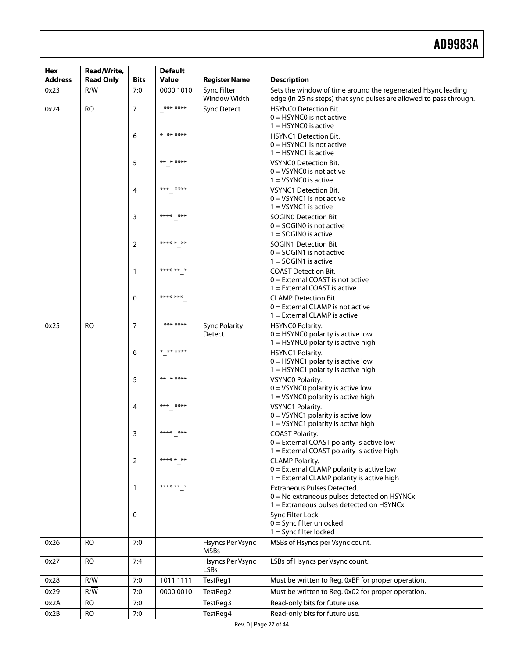| <b>Hex</b><br><b>Address</b> | Read/Write,<br><b>Read Only</b> | <b>Bits</b>    | <b>Default</b><br>Value | <b>Register Name</b>               | <b>Description</b>                                                                                                                |
|------------------------------|---------------------------------|----------------|-------------------------|------------------------------------|-----------------------------------------------------------------------------------------------------------------------------------|
| 0x23                         | $R/\overline{W}$                | 7:0            | 0000 1010               | Sync Filter                        | Sets the window of time around the regenerated Hsync leading                                                                      |
| 0x24                         | <b>RO</b>                       | $\overline{7}$ | *** ****                | Window Width<br><b>Sync Detect</b> | edge (in 25 ns steps) that sync pulses are allowed to pass through.<br><b>HSYNCO Detection Bit.</b><br>$0 =$ HSYNC0 is not active |
|                              |                                 | 6              | * ** ****               |                                    | $1 = HSYNCO$ is active<br><b>HSYNC1 Detection Bit.</b><br>$0 =$ HSYNC1 is not active<br>$1 = HSYNC1$ is active                    |
|                              |                                 | 5              | ** * ****               |                                    | <b>VSYNCO Detection Bit.</b><br>$0 = VSYNCO$ is not active<br>$1 = VSYNCO$ is active                                              |
|                              |                                 | 4              | $***$<br>****           |                                    | <b>VSYNC1 Detection Bit.</b><br>$0 = VSYNC1$ is not active<br>$1 = VSYNC1$ is active                                              |
|                              |                                 | 3              | ****<br>$***$           |                                    | <b>SOGINO Detection Bit</b><br>$0 =$ SOGINO is not active<br>$1 =$ SOGINO is active                                               |
|                              |                                 | 2              | **** * **               |                                    | <b>SOGIN1 Detection Bit</b><br>$0 =$ SOGIN1 is not active<br>$1 =$ SOGIN1 is active                                               |
|                              |                                 | 1              | **** **                 |                                    | <b>COAST Detection Bit.</b><br>$0 =$ External COAST is not active<br>$1 =$ External COAST is active                               |
|                              |                                 | 0              | **** ***                |                                    | <b>CLAMP Detection Bit.</b><br>$0 =$ External CLAMP is not active<br>$1 =$ External CLAMP is active                               |
| 0x25                         | <b>RO</b>                       | $\overline{7}$ | *** ****                | <b>Sync Polarity</b>               | HSYNCO Polarity.                                                                                                                  |
|                              |                                 |                |                         | Detect                             | $0 =$ HSYNC0 polarity is active low<br>1 = HSYNC0 polarity is active high                                                         |
|                              |                                 | 6              | * ** ****               |                                    | HSYNC1 Polarity.<br>$0 =$ HSYNC1 polarity is active low<br>1 = HSYNC1 polarity is active high                                     |
|                              |                                 | 5              | ** * ****               |                                    | <b>VSYNCO Polarity.</b><br>$0 = VSYNCO$ polarity is active low<br>1 = VSYNC0 polarity is active high                              |
|                              |                                 | 4              | *** ****                |                                    | VSYNC1 Polarity.<br>$0 = VSYNC1$ polarity is active low<br>1 = VSYNC1 polarity is active high                                     |
|                              |                                 | 3              | ****<br>$***$           |                                    | <b>COAST Polarity.</b><br>$0 =$ External COAST polarity is active low<br>1 = External COAST polarity is active high               |
|                              |                                 | 2              | **** * **               |                                    | <b>CLAMP Polarity.</b><br>$0 =$ External CLAMP polarity is active low<br>1 = External CLAMP polarity is active high               |
|                              |                                 | 1              | **** ** *               |                                    | Extraneous Pulses Detected.<br>$0 = No$ extraneous pulses detected on HSYNCx<br>$1 =$ Extraneous pulses detected on HSYNCx        |
|                              |                                 | 0              |                         |                                    | Sync Filter Lock<br>$0 =$ Sync filter unlocked<br>$1 =$ Sync filter locked                                                        |
| 0x26                         | <b>RO</b>                       | 7:0            |                         | Hsyncs Per Vsync<br><b>MSBs</b>    | MSBs of Hsyncs per Vsync count.                                                                                                   |
| 0x27                         | <b>RO</b>                       | 7:4            |                         | Hsyncs Per Vsync<br><b>LSBs</b>    | LSBs of Hsyncs per Vsync count.                                                                                                   |
| 0x28                         | R/W                             | 7:0            | 1011 1111               | TestReg1                           | Must be written to Reg. 0xBF for proper operation.                                                                                |
| 0x29                         | R/W                             | 7:0            | 0000 0010               | TestReg2                           | Must be written to Reg. 0x02 for proper operation.                                                                                |
| 0x2A                         | <b>RO</b>                       | 7:0            |                         | TestReg3                           | Read-only bits for future use.                                                                                                    |
| 0x2B                         | <b>RO</b>                       | 7:0            |                         | TestReg4                           | Read-only bits for future use.                                                                                                    |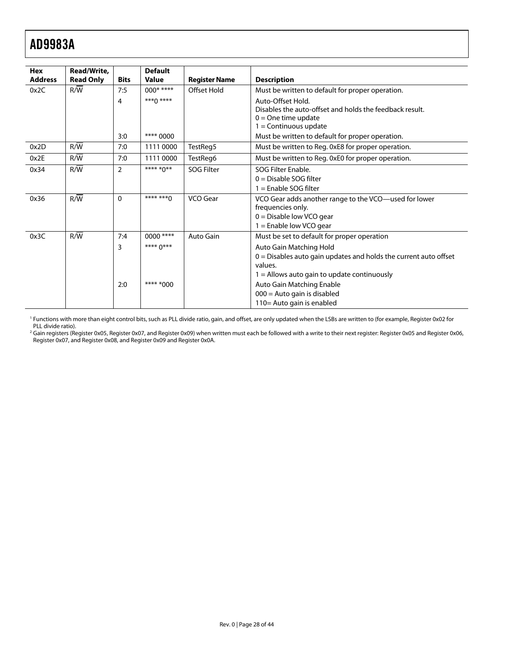<span id="page-27-0"></span>

| <b>Hex</b><br><b>Address</b> | Read/Write,<br><b>Read Only</b> | <b>Bits</b>    | <b>Default</b><br><b>Value</b> | <b>Register Name</b> | <b>Description</b>                                               |
|------------------------------|---------------------------------|----------------|--------------------------------|----------------------|------------------------------------------------------------------|
| 0x2C                         | R/W                             | 7:5            | $000****$                      | Offset Hold          | Must be written to default for proper operation.                 |
|                              |                                 | 4              | $***0***$                      |                      | Auto-Offset Hold.                                                |
|                              |                                 |                |                                |                      | Disables the auto-offset and holds the feedback result.          |
|                              |                                 |                |                                |                      | $0 =$ One time update<br>$1 =$ Continuous update                 |
|                              |                                 | 3:0            | **** 0000                      |                      | Must be written to default for proper operation.                 |
| 0x2D                         | R/W                             | 7:0            | 1111 0000                      | TestReg5             | Must be written to Reg. 0xE8 for proper operation.               |
| 0x2E                         | R/W                             | 7:0            | 1111 0000                      | TestReg6             | Must be written to Reg. 0xE0 for proper operation.               |
|                              |                                 |                |                                |                      |                                                                  |
| 0x34                         | R/W                             | $\overline{2}$ | **** *0**                      | <b>SOG Filter</b>    | SOG Filter Fnable.                                               |
|                              |                                 |                |                                |                      | $0 = Disable SOG filter$                                         |
|                              |                                 |                |                                |                      | $1 =$ Enable SOG filter                                          |
| 0x36                         | $R/\overline{W}$                | $\Omega$       | **** ***^                      | VCO Gear             | VCO Gear adds another range to the VCO-used for lower            |
|                              |                                 |                |                                |                      | frequencies only.                                                |
|                              |                                 |                |                                |                      | $0 =$ Disable low VCO gear                                       |
|                              |                                 |                |                                |                      | $1 =$ Enable low VCO gear                                        |
| 0x3C                         | R/W                             | 7:4            | 0000 ****                      | Auto Gain            | Must be set to default for proper operation                      |
|                              |                                 | 3              | **** 0***                      |                      | Auto Gain Matching Hold                                          |
|                              |                                 |                |                                |                      | 0 = Disables auto gain updates and holds the current auto offset |
|                              |                                 |                |                                |                      | values.                                                          |
|                              |                                 |                |                                |                      | $1 =$ Allows auto gain to update continuously                    |
|                              |                                 | 2:0            | **** *000                      |                      | Auto Gain Matching Enable                                        |
|                              |                                 |                |                                |                      | $000 =$ Auto gain is disabled                                    |
|                              |                                 |                |                                |                      | 110 = Auto gain is enabled                                       |

<sup>1</sup> Functions with more than eight control bits, such as PLL divide ratio, gain, and offset, are only updated when the LSBs are written to (for example, Register 0x02 for PLL divide ratio).

2 Gain registers (Register 0x05, Register 0x07, and Register 0x09) when written must each be followed with a write to their next register: Register 0x05 and Register 0x06, Register 0x07, and Register 0x08, and Register 0x09 and Register 0x0A.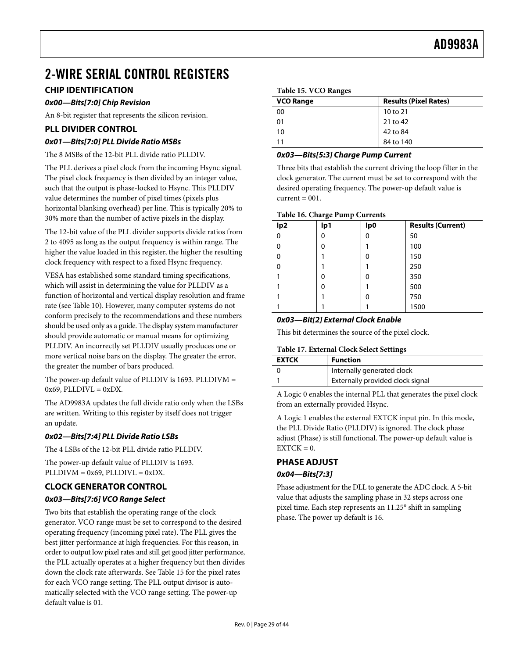# <span id="page-28-1"></span><span id="page-28-0"></span>2-WIRE SERIAL CONTROL REGISTERS

# <span id="page-28-2"></span>**CHIP IDENTIFICATION**

# **0x00—Bits[7:0] Chip Revision**

An 8-bit register that represents the silicon revision.

# **PLL DIVIDER CONTROL**

# **0x01—Bits[7:0] PLL Divide Ratio MSBs**

The 8 MSBs of the 12-bit PLL divide ratio PLLDIV.

The PLL derives a pixel clock from the incoming Hsync signal. The pixel clock frequency is then divided by an integer value, such that the output is phase-locked to Hsync. This PLLDIV value determines the number of pixel times (pixels plus horizontal blanking overhead) per line. This is typically 20% to 30% more than the number of active pixels in the display.

The 12-bit value of the PLL divider supports divide ratios from 2 to 4095 as long as the output frequency is within range. The higher the value loaded in this register, the higher the resulting clock frequency with respect to a fixed Hsync frequency.

VESA has established some standard timing specifications, which will assist in determining the value for PLLDIV as a function of horizontal and vertical display resolution and frame rate (see [Table 10](#page-13-0)). However, many computer systems do not conform precisely to the recommendations and these numbers should be used only as a guide. The display system manufacturer should provide automatic or manual means for optimizing PLLDIV. An incorrectly set PLLDIV usually produces one or more vertical noise bars on the display. The greater the error, the greater the number of bars produced.

The power-up default value of PLLDIV is 1693. PLLDIVM =  $0x69$ , PLLDIVL =  $0xDX$ .

The AD9983A updates the full divide ratio only when the LSBs are written. Writing to this register by itself does not trigger an update.

# **0x02—Bits[7:4] PLL Divide Ratio LSBs**

The 4 LSBs of the 12-bit PLL divide ratio PLLDIV.

The power-up default value of PLLDIV is 1693.  $PLLDIVM = 0x69, PLLDIVL = 0xDX.$ 

# **CLOCK GENERATOR CONTROL**

# **0x03—Bits[7:6] VCO Range Select**

Two bits that establish the operating range of the clock generator. VCO range must be set to correspond to the desired operating frequency (incoming pixel rate). The PLL gives the best jitter performance at high frequencies. For this reason, in order to output low pixel rates and still get good jitter performance, the PLL actually operates at a higher frequency but then divides down the clock rate afterwards. See [Table 15](#page-28-2) for the pixel rates for each VCO range setting. The PLL output divisor is automatically selected with the VCO range setting. The power-up default value is 01.

| <b>Results (Pixel Rates)</b> |
|------------------------------|
| 10 to 21                     |
| 21 to 42                     |
| 42 to 84                     |
| 84 to 140                    |
|                              |

# **0x03—Bits[5:3] Charge Pump Current**

Three bits that establish the current driving the loop filter in the clock generator. The current must be set to correspond with the desired operating frequency. The power-up default value is  $current = 001$ .

#### **Table 16. Charge Pump Currents**

| lp <sub>2</sub> | lp1 | lp0 | <b>Results (Current)</b> |
|-----------------|-----|-----|--------------------------|
| $\Omega$        | 0   | 0   | 50                       |
| 0               | 0   |     | 100                      |
| 0               |     | 0   | 150                      |
|                 |     |     | 250                      |
|                 | 0   | 0   | 350                      |
|                 | 0   |     | 500                      |
|                 |     | 0   | 750                      |
|                 |     |     | 1500                     |

# **0x03—Bit[2] External Clock Enable**

This bit determines the source of the pixel clock.

#### **Table 17. External Clock Select Settings**

| <b>EXTCK</b> | <b>Function</b>                  |
|--------------|----------------------------------|
|              | Internally generated clock       |
|              | Externally provided clock signal |

A Logic 0 enables the internal PLL that generates the pixel clock from an externally provided Hsync.

A Logic 1 enables the external EXTCK input pin. In this mode, the PLL Divide Ratio (PLLDIV) is ignored. The clock phase adjust (Phase) is still functional. The power-up default value is  $EXTCK = 0.$ 

# **PHASE ADJUST**

# **0x04—Bits[7:3]**

Phase adjustment for the DLL to generate the ADC clock. A 5-bit value that adjusts the sampling phase in 32 steps across one pixel time. Each step represents an 11.25° shift in sampling phase. The power up default is 16.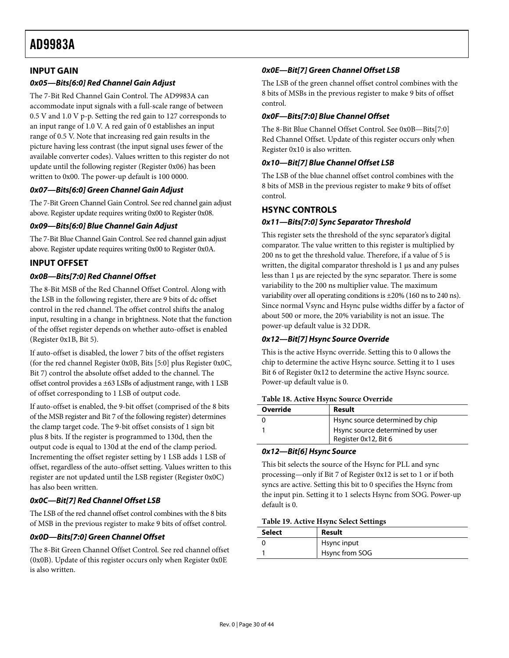# <span id="page-29-0"></span>**INPUT GAIN**

# **0x05—Bits[6:0] Red Channel Gain Adjust**

The 7-Bit Red Channel Gain Control. The AD9983A can accommodate input signals with a full-scale range of between 0.5 V and 1.0 V p-p. Setting the red gain to 127 corresponds to an input range of 1.0 V. A red gain of 0 establishes an input range of 0.5 V. Note that increasing red gain results in the picture having less contrast (the input signal uses fewer of the available converter codes). Values written to this register do not update until the following register (Register 0x06) has been written to 0x00. The power-up default is 100 0000.

# **0x07—Bits[6:0] Green Channel Gain Adjust**

The 7-Bit Green Channel Gain Control. See red channel gain adjust above. Register update requires writing 0x00 to Register 0x08.

# **0x09—Bits[6:0] Blue Channel Gain Adjust**

The 7-Bit Blue Channel Gain Control. See red channel gain adjust above. Register update requires writing 0x00 to Register 0x0A.

# **INPUT OFFSET**

# <span id="page-29-1"></span>**0x0B—Bits[7:0] Red Channel Offset**

The 8-Bit MSB of the Red Channel Offset Control. Along with the LSB in the following register, there are 9 bits of dc offset control in the red channel. The offset control shifts the analog input, resulting in a change in brightness. Note that the function of the offset register depends on whether auto-offset is enabled (Register 0x1B, Bit 5).

If auto-offset is disabled, the lower 7 bits of the offset registers (for the red channel Register 0x0B, Bits [5:0] plus Register 0x0C, Bit 7) control the absolute offset added to the channel. The offset control provides a ±63 LSBs of adjustment range, with 1 LSB of offset corresponding to 1 LSB of output code.

If auto-offset is enabled, the 9-bit offset (comprised of the 8 bits of the MSB register and Bit 7 of the following register) determines the clamp target code. The 9-bit offset consists of 1 sign bit plus 8 bits. If the register is programmed to 130d, then the output code is equal to 130d at the end of the clamp period. Incrementing the offset register setting by 1 LSB adds 1 LSB of offset, regardless of the auto-offset setting. Values written to this register are not updated until the LSB register (Register 0x0C) has also been written.

# **0x0C—Bit[7] Red Channel Offset LSB**

The LSB of the red channel offset control combines with the 8 bits of MSB in the previous register to make 9 bits of offset control.

# **0x0D—Bits[7:0] Green Channel Offset**

The 8-Bit Green Channel Offset Control. See red channel offset (0x0B). Update of this register occurs only when Register 0x0E is also written.

# **0x0E—Bit[7] Green Channel Offset LSB**

The LSB of the green channel offset control combines with the 8 bits of MSBs in the previous register to make 9 bits of offset control.

#### **0x0F—Bits[7:0] Blue Channel Offset**

The 8-Bit Blue Channel Offset Control. See [0x0B—Bits\[7:0\]](#page-29-1)  [Red Channel Offset.](#page-29-1) Update of this register occurs only when Register 0x10 is also written.

# **0x10—Bit[7] Blue Channel Offset LSB**

The LSB of the blue channel offset control combines with the 8 bits of MSB in the previous register to make 9 bits of offset control.

# **HSYNC CONTROLS**

# **0x11—Bits[7:0] Sync Separator Threshold**

This register sets the threshold of the sync separator's digital comparator. The value written to this register is multiplied by 200 ns to get the threshold value. Therefore, if a value of 5 is written, the digital comparator threshold is 1 μs and any pulses less than 1 μs are rejected by the sync separator. There is some variability to the 200 ns multiplier value. The maximum variability over all operating conditions is ±20% (160 ns to 240 ns). Since normal Vsync and Hsync pulse widths differ by a factor of about 500 or more, the 20% variability is not an issue. The power-up default value is 32 DDR.

#### **0x12—Bit[7] Hsync Source Override**

This is the active Hsync override. Setting this to 0 allows the chip to determine the active Hsync source. Setting it to 1 uses Bit 6 of Register 0x12 to determine the active Hsync source. Power-up default value is 0.

#### **Table 18. Active Hsync Source Override**

| Override | Result                                                  |
|----------|---------------------------------------------------------|
|          | Hsync source determined by chip                         |
|          | Hsync source determined by user<br>Register 0x12, Bit 6 |

# **0x12—Bit[6] Hsync Source**

This bit selects the source of the Hsync for PLL and sync processing—only if Bit 7 of Register 0x12 is set to 1 or if both syncs are active. Setting this bit to 0 specifies the Hsync from the input pin. Setting it to 1 selects Hsync from SOG. Power-up default is 0.

#### **Table 19. Active Hsync Select Settings**

| Select | Result         |
|--------|----------------|
|        | Hsync input    |
|        | Hsync from SOG |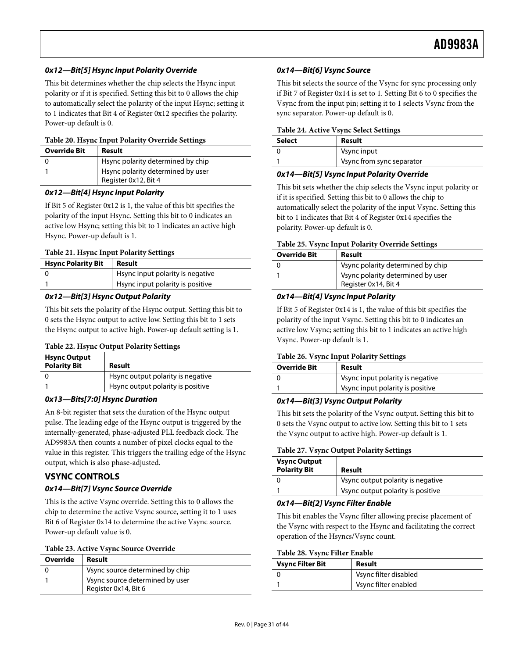# <span id="page-30-0"></span>**0x12—Bit[5] Hsync Input Polarity Override**

This bit determines whether the chip selects the Hsync input polarity or if it is specified. Setting this bit to 0 allows the chip to automatically select the polarity of the input Hsync; setting it to 1 indicates that Bit 4 of Register 0x12 specifies the polarity. Power-up default is 0.

#### **Table 20. Hsync Input Polarity Override Settings**

| <b>Override Bit</b> | Result                                                    |
|---------------------|-----------------------------------------------------------|
|                     | Hsync polarity determined by chip                         |
|                     | Hsync polarity determined by user<br>Register 0x12, Bit 4 |

#### **0x12—Bit[4] Hsync Input Polarity**

If Bit 5 of Register 0x12 is 1, the value of this bit specifies the polarity of the input Hsync. Setting this bit to 0 indicates an active low Hsync; setting this bit to 1 indicates an active high Hsync. Power-up default is 1.

#### **Table 21. Hsync Input Polarity Settings**

| <b>Hsync Polarity Bit</b> | Result                           |
|---------------------------|----------------------------------|
|                           | Hsync input polarity is negative |
|                           | Hsync input polarity is positive |

#### **0x12—Bit[3] Hsync Output Polarity**

This bit sets the polarity of the Hsync output. Setting this bit to 0 sets the Hsync output to active low. Setting this bit to 1 sets the Hsync output to active high. Power-up default setting is 1.

#### **Table 22. Hsync Output Polarity Settings**

| <b>Hsync Output</b><br><b>Polarity Bit</b> | Result                            |
|--------------------------------------------|-----------------------------------|
|                                            | Hsync output polarity is negative |
|                                            | Hsync output polarity is positive |

#### **0x13—Bits[7:0] Hsync Duration**

An 8-bit register that sets the duration of the Hsync output pulse. The leading edge of the Hsync output is triggered by the internally-generated, phase-adjusted PLL feedback clock. The AD9983A then counts a number of pixel clocks equal to the value in this register. This triggers the trailing edge of the Hsync output, which is also phase-adjusted.

# **VSYNC CONTROLS**

# **0x14—Bit[7] Vsync Source Override**

This is the active Vsync override. Setting this to 0 allows the chip to determine the active Vsync source, setting it to 1 uses Bit 6 of Register 0x14 to determine the active Vsync source. Power-up default value is 0.

#### **Table 23. Active Vsync Source Override**

| Override | Result                          | <b>Vsync Filter Bit</b> |  |
|----------|---------------------------------|-------------------------|--|
|          | Vsync source determined by chip |                         |  |
|          |                                 |                         |  |
|          | Vsync source determined by user |                         |  |
|          | Register 0x14, Bit 6            |                         |  |
|          |                                 |                         |  |

#### **0x14—Bit[6] Vsync Source**

This bit selects the source of the Vsync for sync processing only if Bit 7 of Register 0x14 is set to 1. Setting Bit 6 to 0 specifies the Vsync from the input pin; setting it to 1 selects Vsync from the sync separator. Power-up default is 0.

#### **Table 24. Active Vsync Select Settings**

| Select | Result                    |
|--------|---------------------------|
|        | Vsync input               |
|        | Vsync from sync separator |

#### **0x14—Bit[5] Vsync Input Polarity Override**

This bit sets whether the chip selects the Vsync input polarity or if it is specified. Setting this bit to 0 allows the chip to automatically select the polarity of the input Vsync. Setting this bit to 1 indicates that Bit 4 of Register 0x14 specifies the polarity. Power-up default is 0.

#### **Table 25. Vsync Input Polarity Override Settings**

| <b>Override Bit</b> | Result                                                    |
|---------------------|-----------------------------------------------------------|
|                     | Vsync polarity determined by chip                         |
|                     | Vsync polarity determined by user<br>Register 0x14, Bit 4 |

#### **0x14—Bit[4] Vsync Input Polarity**

If Bit 5 of Register 0x14 is 1, the value of this bit specifies the polarity of the input Vsync. Setting this bit to 0 indicates an active low Vsync; setting this bit to 1 indicates an active high Vsync. Power-up default is 1.

#### **Table 26. Vsync Input Polarity Settings**

| <b>Override Bit</b> | Result                           |
|---------------------|----------------------------------|
|                     | Vsync input polarity is negative |
|                     | Vsync input polarity is positive |

#### **0x14—Bit[3] Vsync Output Polarity**

This bit sets the polarity of the Vsync output. Setting this bit to 0 sets the Vsync output to active low. Setting this bit to 1 sets the Vsync output to active high. Power-up default is 1.

#### **Table 27. Vsync Output Polarity Settings**

| <b>Vsync Output</b><br><b>Polarity Bit</b> | Result                            |
|--------------------------------------------|-----------------------------------|
|                                            | Vsync output polarity is negative |
|                                            | Vsync output polarity is positive |

#### **0x14—Bit[2] Vsync Filter Enable**

This bit enables the Vsync filter allowing precise placement of the Vsync with respect to the Hsync and facilitating the correct operation of the Hsyncs/Vsync count.

# **Table 28. Vsync Filter Enable**

| <b>Vsync Filter Bit</b> | Result                |
|-------------------------|-----------------------|
|                         | Vsync filter disabled |
|                         | Vsync filter enabled  |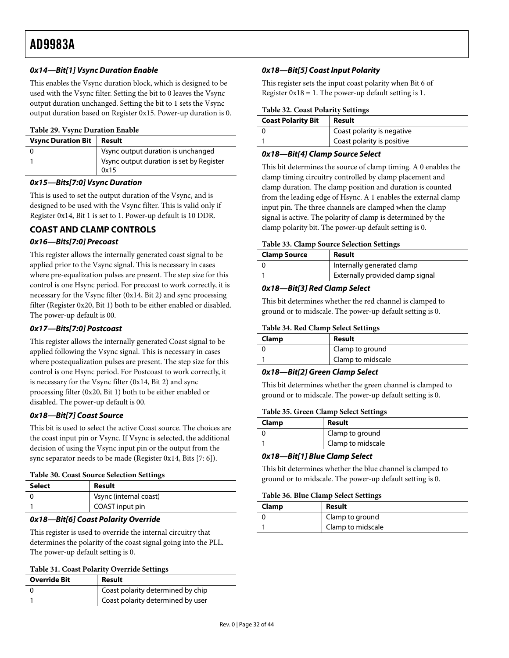# <span id="page-31-0"></span>**0x14—Bit[1] Vsync Duration Enable**

This enables the Vsync duration block, which is designed to be used with the Vsync filter. Setting the bit to 0 leaves the Vsync output duration unchanged. Setting the bit to 1 sets the Vsync output duration based on Register 0x15. Power-up duration is 0.

#### **Table 29. Vsync Duration Enable**

| <b>Vsync Duration Bit</b> | Result                                           |
|---------------------------|--------------------------------------------------|
|                           | Vsync output duration is unchanged               |
|                           | Vsync output duration is set by Register<br>0x15 |

#### **0x15—Bits[7:0] Vsync Duration**

This is used to set the output duration of the Vsync, and is designed to be used with the Vsync filter. This is valid only if Register 0x14, Bit 1 is set to 1. Power-up default is 10 DDR.

# **COAST AND CLAMP CONTROLS**

# **0x16—Bits[7:0] Precoast**

This register allows the internally generated coast signal to be applied prior to the Vsync signal. This is necessary in cases where pre-equalization pulses are present. The step size for this control is one Hsync period. For precoast to work correctly, it is necessary for the Vsync filter (0x14, Bit 2) and sync processing filter (Register 0x20, Bit 1) both to be either enabled or disabled. The power-up default is 00.

# **0x17—Bits[7:0] Postcoast**

This register allows the internally generated Coast signal to be applied following the Vsync signal. This is necessary in cases where postequalization pulses are present. The step size for this control is one Hsync period. For Postcoast to work correctly, it is necessary for the Vsync filter (0x14, Bit 2) and sync processing filter (0x20, Bit 1) both to be either enabled or disabled. The power-up default is 00.

# **0x18—Bit[7] Coast Source**

This bit is used to select the active Coast source. The choices are the coast input pin or Vsync. If Vsync is selected, the additional decision of using the Vsync input pin or the output from the sync separator needs to be made (Register 0x14, Bits [7: 6]).

#### **Table 30. Coast Source Selection Settings**

| <b>Select</b> | Result                 |
|---------------|------------------------|
|               | Vsync (internal coast) |
|               | COAST input pin        |

# **0x18—Bit[6] Coast Polarity Override**

This register is used to override the internal circuitry that determines the polarity of the coast signal going into the PLL. The power-up default setting is 0.

#### **Table 31. Coast Polarity Override Settings**

| <b>Override Bit</b> | Result                            |
|---------------------|-----------------------------------|
|                     | Coast polarity determined by chip |
|                     | Coast polarity determined by user |

# **0x18—Bit[5] Coast Input Polarity**

This register sets the input coast polarity when Bit 6 of Register  $0x18 = 1$ . The power-up default setting is 1.

#### **Table 32. Coast Polarity Settings**

| <b>Coast Polarity Bit</b> | Result                     |
|---------------------------|----------------------------|
| 0                         | Coast polarity is negative |
|                           | Coast polarity is positive |

# **0x18—Bit[4] Clamp Source Select**

This bit determines the source of clamp timing. A 0 enables the clamp timing circuitry controlled by clamp placement and clamp duration. The clamp position and duration is counted from the leading edge of Hsync. A 1 enables the external clamp input pin. The three channels are clamped when the clamp signal is active. The polarity of clamp is determined by the clamp polarity bit. The power-up default setting is 0.

#### **Table 33. Clamp Source Selection Settings**

| <b>Clamp Source</b> | Result                           |
|---------------------|----------------------------------|
|                     | Internally generated clamp       |
|                     | Externally provided clamp signal |

# **0x18—Bit[3] Red Clamp Select**

This bit determines whether the red channel is clamped to ground or to midscale. The power-up default setting is 0.

#### **Table 34. Red Clamp Select Settings**

| Clamp | Result            |
|-------|-------------------|
|       | Clamp to ground   |
|       | Clamp to midscale |

# **0x18—Bit[2] Green Clamp Select**

This bit determines whether the green channel is clamped to ground or to midscale. The power-up default setting is 0.

#### **Table 35. Green Clamp Select Settings**

| Clamp | Result            |
|-------|-------------------|
|       | Clamp to ground   |
|       | Clamp to midscale |

# **0x18—Bit[1] Blue Clamp Select**

This bit determines whether the blue channel is clamped to ground or to midscale. The power-up default setting is 0.

#### **Table 36. Blue Clamp Select Settings**

| Clamp | Result            |
|-------|-------------------|
|       | Clamp to ground   |
|       | Clamp to midscale |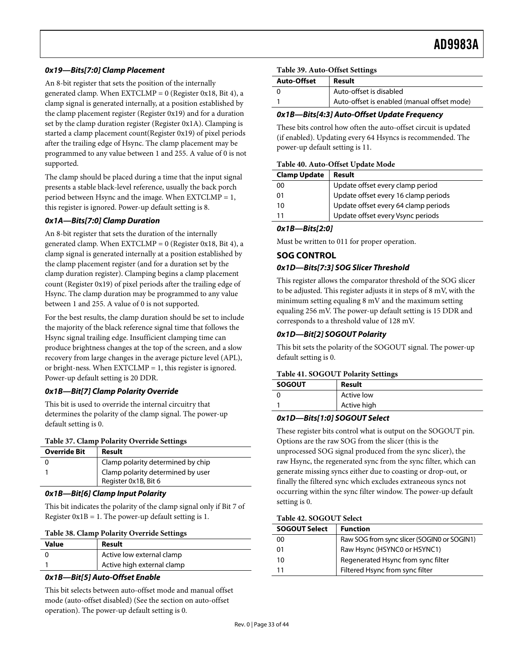# <span id="page-32-0"></span>**0x19—Bits[7:0] Clamp Placement**

An 8-bit register that sets the position of the internally generated clamp. When  $EXTCLMP = 0$  (Register 0x18, Bit 4), a clamp signal is generated internally, at a position established by the clamp placement register (Register 0x19) and for a duration set by the clamp duration register (Register 0x1A). Clamping is started a clamp placement count(Register 0x19) of pixel periods after the trailing edge of Hsync. The clamp placement may be programmed to any value between 1 and 255. A value of 0 is not supported.

The clamp should be placed during a time that the input signal presents a stable black-level reference, usually the back porch period between Hsync and the image. When  $EXTCLMP = 1$ , this register is ignored. Power-up default setting is 8.

# **0x1A—Bits[7:0] Clamp Duration**

An 8-bit register that sets the duration of the internally generated clamp. When  $EXTCLMP = 0$  (Register 0x18, Bit 4), a clamp signal is generated internally at a position established by the clamp placement register (and for a duration set by the clamp duration register). Clamping begins a clamp placement count (Register 0x19) of pixel periods after the trailing edge of Hsync. The clamp duration may be programmed to any value between 1 and 255. A value of 0 is not supported.

For the best results, the clamp duration should be set to include the majority of the black reference signal time that follows the Hsync signal trailing edge. Insufficient clamping time can produce brightness changes at the top of the screen, and a slow recovery from large changes in the average picture level (APL), or bright-ness. When EXTCLMP = 1, this register is ignored. Power-up default setting is 20 DDR.

# **0x1B—Bit[7] Clamp Polarity Override**

This bit is used to override the internal circuitry that determines the polarity of the clamp signal. The power-up default setting is 0.

# **Table 37. Clamp Polarity Override Settings**

| Clamp polarity determined by chip<br>Clamp polarity determined by user | <b>Override Bit</b> | Result               |
|------------------------------------------------------------------------|---------------------|----------------------|
|                                                                        |                     |                      |
|                                                                        |                     | Register 0x1B, Bit 6 |

# **0x1B—Bit[6] Clamp Input Polarity**

This bit indicates the polarity of the clamp signal only if Bit 7 of Register  $0x1B = 1$ . The power-up default setting is 1.

| <b>Value</b> | Result                     |
|--------------|----------------------------|
|              | Active low external clamp  |
|              | Active high external clamp |

# **0x1B—Bit[5] Auto-Offset Enable**

This bit selects between auto-offset mode and manual offset mode (auto-offset disabled) (See the section on auto-offset operation). The power-up default setting is 0.

#### **Table 39. Auto-Offset Settings**

| <b>Auto-Offset</b> | Result                                      |  |
|--------------------|---------------------------------------------|--|
|                    | Auto-offset is disabled                     |  |
|                    | Auto-offset is enabled (manual offset mode) |  |

# **0x1B—Bits[4:3] Auto-Offset Update Frequency**

These bits control how often the auto-offset circuit is updated (if enabled). Updating every 64 Hsyncs is recommended. The power-up default setting is 11.

#### **Table 40. Auto-Offset Update Mode**

| 00 |                                                                                                                                                       |
|----|-------------------------------------------------------------------------------------------------------------------------------------------------------|
| 01 |                                                                                                                                                       |
| 10 |                                                                                                                                                       |
|    | Update offset every clamp period<br>Update offset every 16 clamp periods<br>Update offset every 64 clamp periods<br>Update offset every Vsync periods |

#### **0x1B—Bits[2:0]**

Must be written to 011 for proper operation.

# **SOG CONTROL**

# **0x1D—Bits[7:3] SOG Slicer Threshold**

This register allows the comparator threshold of the SOG slicer to be adjusted. This register adjusts it in steps of 8 mV, with the minimum setting equaling 8 mV and the maximum setting equaling 256 mV. The power-up default setting is 15 DDR and corresponds to a threshold value of 128 mV.

# **0x1D—Bit[2] SOGOUT Polarity**

This bit sets the polarity of the SOGOUT signal. The power-up default setting is 0.

# **Table 41. SOGOUT Polarity Settings**

| <b>SOGOUT</b> | Result      |
|---------------|-------------|
|               | Active low  |
|               | Active high |

# **0x1D—Bits[1:0] SOGOUT Select**

These register bits control what is output on the SOGOUT pin. Options are the raw SOG from the slicer (this is the unprocessed SOG signal produced from the sync slicer), the raw Hsync, the regenerated sync from the sync filter, which can generate missing syncs either due to coasting or drop-out, or finally the filtered sync which excludes extraneous syncs not occurring within the sync filter window. The power-up default setting is 0.

# **Table 42. SOGOUT Select**

| <b>SOGOUT Select</b> | <b>Function</b>                             |  |
|----------------------|---------------------------------------------|--|
| 00                   | Raw SOG from sync slicer (SOGIN0 or SOGIN1) |  |
| 01                   | Raw Hsync (HSYNC0 or HSYNC1)                |  |
| 10                   | Regenerated Hsync from sync filter          |  |
|                      | Filtered Hsync from sync filter             |  |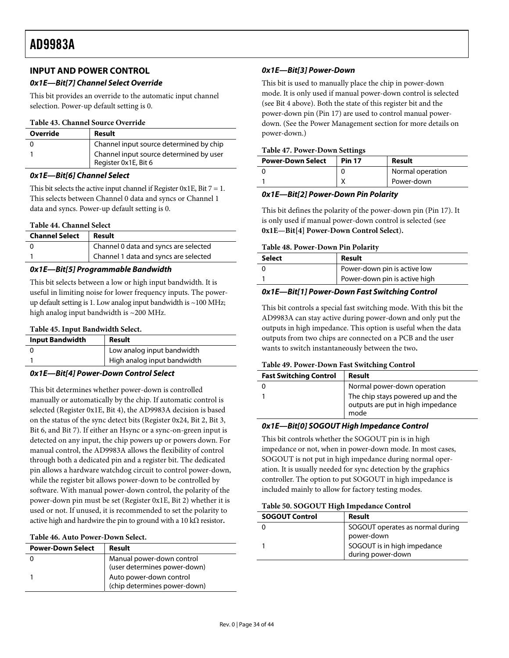# <span id="page-33-0"></span>**INPUT AND POWER CONTROL**

# **0x1E—Bit[7] Channel Select Override**

This bit provides an override to the automatic input channel selection. Power-up default setting is 0.

#### **Table 43. Channel Source Override**

| Override | Result                                                          |
|----------|-----------------------------------------------------------------|
|          | Channel input source determined by chip                         |
|          | Channel input source determined by user<br>Register 0x1E, Bit 6 |

#### **0x1E—Bit[6] Channel Select**

This bit selects the active input channel if Register 0x1E, Bit  $7 = 1$ . This selects between Channel 0 data and syncs or Channel 1 data and syncs. Power-up default setting is 0.

#### **Table 44. Channel Select**

| <b>Channel Select</b> | Result                                |  |
|-----------------------|---------------------------------------|--|
|                       | Channel 0 data and syncs are selected |  |
|                       | Channel 1 data and syncs are selected |  |

# **0x1E—Bit[5] Programmable Bandwidth**

This bit selects between a low or high input bandwidth. It is useful in limiting noise for lower frequency inputs. The powerup default setting is 1. Low analog input bandwidth is  $\sim$  100 MHz; high analog input bandwidth is ~200 MHz.

#### **Table 45. Input Bandwidth Select.**

| <b>Input Bandwidth</b> | Result                      |
|------------------------|-----------------------------|
|                        | Low analog input bandwidth  |
|                        | High analog input bandwidth |

# <span id="page-33-1"></span>**0x1E—Bit[4] Power-Down Control Select**

This bit determines whether power-down is controlled manually or automatically by the chip. If automatic control is selected (Register 0x1E, Bit 4), the AD9983A decision is based on the status of the sync detect bits (Register 0x24, Bit 2, Bit 3, Bit 6, and Bit 7). If either an Hsync or a sync-on-green input is detected on any input, the chip powers up or powers down. For manual control, the AD9983A allows the flexibility of control through both a dedicated pin and a register bit. The dedicated pin allows a hardware watchdog circuit to control power-down, while the register bit allows power-down to be controlled by software. With manual power-down control, the polarity of the power-down pin must be set (Register 0x1E, Bit 2) whether it is used or not. If unused, it is recommended to set the polarity to active high and hardwire the pin to ground with a 10 kΩ resistor**.** 

#### **Table 46. Auto Power-Down Select.**

| <b>Power-Down Select</b> | Result                                                    |
|--------------------------|-----------------------------------------------------------|
|                          | Manual power-down control<br>(user determines power-down) |
|                          | Auto power-down control<br>(chip determines power-down)   |

# **0x1E—Bit[3] Power-Down**

This bit is used to manually place the chip in power-down mode. It is only used if manual power-down control is selected (see Bit 4 above). Both the state of this register bit and the power-down pin (Pin 17) are used to control manual powerdown. (See the [Power Management](#page-17-3) section for more details on power-down.)

#### **Table 47. Power-Down Settings**

| <b>Power-Down Select</b> | <b>Pin 17</b> | Result           |
|--------------------------|---------------|------------------|
|                          |               | Normal operation |
|                          |               | Power-down       |

# **0x1E—Bit[2] Power-Down Pin Polarity**

This bit defines the polarity of the power-down pin (Pin 17). It is only used if manual power-down control is selected (see **[0x1E—Bit\[4\] Power-Down Control Select](#page-33-1)**)**.** 

#### **Table 48. Power-Down Pin Polarity**

| Select | Result                        |
|--------|-------------------------------|
|        | Power-down pin is active low  |
|        | Power-down pin is active high |
|        |                               |

#### **0x1E—Bit[1] Power-Down Fast Switching Control**

This bit controls a special fast switching mode. With this bit the AD9983A can stay active during power-down and only put the outputs in high impedance. This option is useful when the data outputs from two chips are connected on a PCB and the user wants to switch instantaneously between the two**.** 

#### **Table 49. Power-Down Fast Switching Control**

| <b>Fast Switching Control</b> | Result                                                                         |
|-------------------------------|--------------------------------------------------------------------------------|
|                               | Normal power-down operation                                                    |
|                               | The chip stays powered up and the<br>outputs are put in high impedance<br>mode |

#### **0x1E—Bit[0] SOGOUT High Impedance Control**

This bit controls whether the SOGOUT pin is in high impedance or not, when in power-down mode. In most cases, SOGOUT is not put in high impedance during normal operation. It is usually needed for sync detection by the graphics controller. The option to put SOGOUT in high impedance is included mainly to allow for factory testing modes.

#### **Table 50. SOGOUT High Impedance Control**

| <b>SOGOUT Control</b> | Result                                           |
|-----------------------|--------------------------------------------------|
|                       | SOGOUT operates as normal during<br>power-down   |
|                       | SOGOUT is in high impedance<br>during power-down |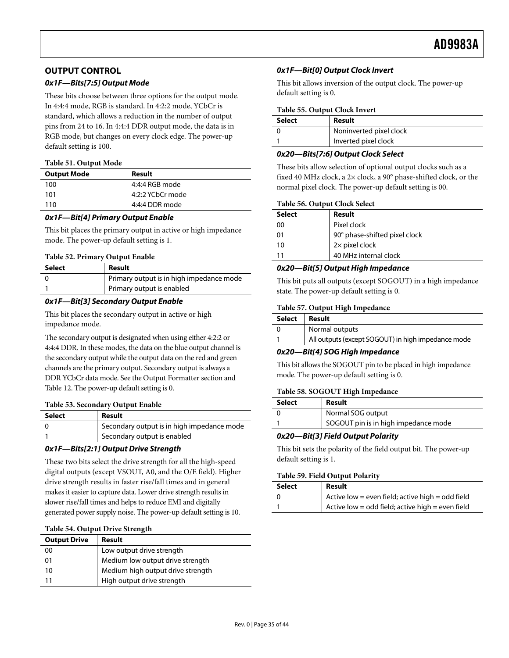# <span id="page-34-0"></span>**OUTPUT CONTROL**

# **0x1F—Bits[7:5] Output Mode**

These bits choose between three options for the output mode. In 4:4:4 mode, RGB is standard. In 4:2:2 mode, YCbCr is standard, which allows a reduction in the number of output pins from 24 to 16. In 4:4:4 DDR output mode, the data is in RGB mode, but changes on every clock edge. The power-up default setting is 100.

#### **Table 51. Output Mode**

| <b>Output Mode</b> | Result           |
|--------------------|------------------|
| 100                | 4:4:4 RGB mode   |
| 101                | 4:2:2 YCbCr mode |
| 110                | 4:4:4 DDR mode   |

#### **0x1F—Bit[4] Primary Output Enable**

This bit places the primary output in active or high impedance mode. The power-up default setting is 1.

#### **Table 52. Primary Output Enable**

| Select | Result                                   |
|--------|------------------------------------------|
|        | Primary output is in high impedance mode |
|        | Primary output is enabled                |

# **0x1F—Bit[3] Secondary Output Enable**

This bit places the secondary output in active or high impedance mode.

The secondary output is designated when using either 4:2:2 or 4:4:4 DDR. In these modes, the data on the blue output channel is the secondary output while the output data on the red and green channels are the primary output. Secondary output is always a DDR YCbCr data mode. See the [Output Formatter](#page-19-2) section and [Table 12](#page-19-1). The power-up default setting is 0.

#### **Table 53. Secondary Output Enable**

| Select | Result                                     |
|--------|--------------------------------------------|
|        | Secondary output is in high impedance mode |
|        | Secondary output is enabled                |

# **0x1F—Bits[2:1] Output Drive Strength**

These two bits select the drive strength for all the high-speed digital outputs (except VSOUT, A0, and the O/E field). Higher drive strength results in faster rise/fall times and in general makes it easier to capture data. Lower drive strength results in slower rise/fall times and helps to reduce EMI and digitally generated power supply noise. The power-up default setting is 10.

#### **Table 54. Output Drive Strength**

| <b>Output Drive</b> | Result                            |
|---------------------|-----------------------------------|
| 00                  | Low output drive strength         |
| 01                  | Medium low output drive strength  |
| 10                  | Medium high output drive strength |
| 11                  | High output drive strength        |

# **0x1F—Bit[0] Output Clock Invert**

This bit allows inversion of the output clock. The power-up default setting is 0.

#### **Table 55. Output Clock Invert**

| Select | Result                  |
|--------|-------------------------|
|        | Noninverted pixel clock |
|        | Inverted pixel clock    |

# **0x20—Bits[7:6] Output Clock Select**

These bits allow selection of optional output clocks such as a fixed 40 MHz clock, a 2× clock, a 90° phase-shifted clock, or the normal pixel clock. The power-up default setting is 00.

#### **Table 56. Output Clock Select**

| <b>Select</b> | Result                        |
|---------------|-------------------------------|
| 00            | Pixel clock                   |
| 01            | 90° phase-shifted pixel clock |
| 10            | 2x pixel clock                |
|               | 40 MHz internal clock         |

#### **0x20—Bit[5] Output High Impedance**

This bit puts all outputs (except SOGOUT) in a high impedance state. The power-up default setting is 0.

#### **Table 57. Output High Impedance**

| Select | Result                                             |
|--------|----------------------------------------------------|
|        | Normal outputs                                     |
|        | All outputs (except SOGOUT) in high impedance mode |

#### **0x20—Bit[4] SOG High Impedance**

This bit allows the SOGOUT pin to be placed in high impedance mode. The power-up default setting is 0.

#### **Table 58. SOGOUT High Impedance**

| <b>Select</b> | Result                               |
|---------------|--------------------------------------|
|               | Normal SOG output                    |
|               | SOGOUT pin is in high impedance mode |

# **0x20—Bit[3] Field Output Polarity**

This bit sets the polarity of the field output bit. The power-up default setting is 1.

#### **Table 59. Field Output Polarity**

| <b>Select</b> | Result                                           |
|---------------|--------------------------------------------------|
|               | Active low = even field; active high = odd field |
|               | Active low = odd field; active high = even field |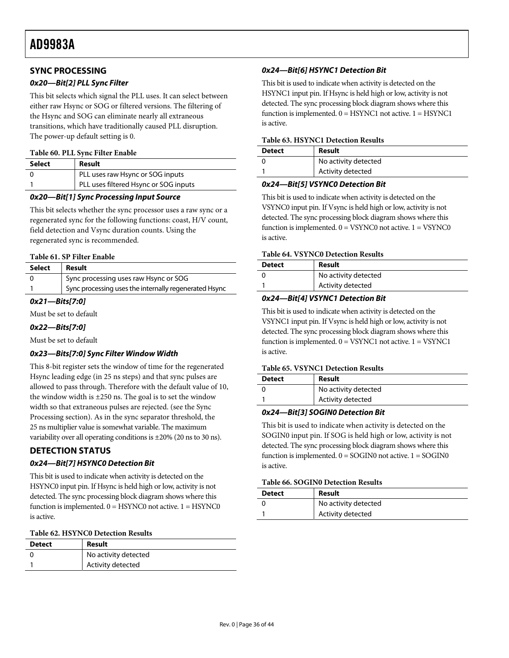# <span id="page-35-1"></span><span id="page-35-0"></span>**SYNC PROCESSING**

# **0x20—Bit[2] PLL Sync Filter**

This bit selects which signal the PLL uses. It can select between either raw Hsync or SOG or filtered versions. The filtering of the Hsync and SOG can eliminate nearly all extraneous transitions, which have traditionally caused PLL disruption. The power-up default setting is 0.

#### **Table 60. PLL Sync Filter Enable**

| Select | Result                                |
|--------|---------------------------------------|
|        | PLL uses raw Hsync or SOG inputs      |
|        | PLL uses filtered Hsync or SOG inputs |

#### **0x20—Bit[1] Sync Processing Input Source**

This bit selects whether the sync processor uses a raw sync or a regenerated sync for the following functions: coast, H/V count, field detection and Vsync duration counts. Using the regenerated sync is recommended.

#### **Table 61. SP Filter Enable**

| Select | Result                                                |
|--------|-------------------------------------------------------|
|        | Sync processing uses raw Hsync or SOG                 |
|        | Sync processing uses the internally regenerated Hsync |

# **0x21—Bits[7:0]**

Must be set to default

#### **0x22—Bits[7:0]**

Must be set to default

# **0x23—Bits[7:0] Sync Filter Window Width**

This 8-bit register sets the window of time for the regenerated Hsync leading edge (in 25 ns steps) and that sync pulses are allowed to pass through. Therefore with the default value of 10, the window width is  $\pm 250$  ns. The goal is to set the window width so that extraneous pulses are rejected. (see the [Sync](#page-14-2)  [Processing](#page-14-2) section). As in the sync separator threshold, the 25 ns multiplier value is somewhat variable. The maximum variability over all operating conditions is ±20% (20 ns to 30 ns).

# **DETECTION STATUS**

# **0x24—Bit[7] HSYNC0 Detection Bit**

This bit is used to indicate when activity is detected on the HSYNC0 input pin. If Hsync is held high or low, activity is not detected. The sync processing block diagram shows where this function is implemented.  $0 =$  HSYNC0 not active.  $1 =$  HSYNC0 is active.

#### **Table 62. HSYNC0 Detection Results**

| <b>Detect</b> | Result               |
|---------------|----------------------|
|               | No activity detected |
|               | Activity detected    |

# **0x24—Bit[6] HSYNC1 Detection Bit**

This bit is used to indicate when activity is detected on the HSYNC1 input pin. If Hsync is held high or low, activity is not detected. The sync processing block diagram shows where this function is implemented. 0 = HSYNC1 not active. 1 = HSYNC1 is active.

#### **Table 63. HSYNC1 Detection Results**

| <b>Detect</b> | Result               |
|---------------|----------------------|
|               | No activity detected |
|               | Activity detected    |

#### **0x24—Bit[5] VSYNC0 Detection Bit**

This bit is used to indicate when activity is detected on the VSYNC0 input pin. If Vsync is held high or low, activity is not detected. The sync processing block diagram shows where this function is implemented.  $0 = VSYNC0$  not active.  $1 = VSYNC0$ is active.

#### **Table 64. VSYNC0 Detection Results**

| <b>Detect</b> | Result               |
|---------------|----------------------|
|               | No activity detected |
|               | Activity detected    |

# **0x24—Bit[4] VSYNC1 Detection Bit**

This bit is used to indicate when activity is detected on the VSYNC1 input pin. If Vsync is held high or low, activity is not detected. The sync processing block diagram shows where this function is implemented.  $0 = VSYNC1$  not active.  $1 = VSYNC1$ is active.

#### **Table 65. VSYNC1 Detection Results**

| <b>Detect</b> | Result               |
|---------------|----------------------|
|               | No activity detected |
|               | Activity detected    |

#### **0x24—Bit[3] SOGIN0 Detection Bit**

This bit is used to indicate when activity is detected on the SOGIN0 input pin. If SOG is held high or low, activity is not detected. The sync processing block diagram shows where this function is implemented.  $0 = \text{SOGINO}$  not active.  $1 = \text{SOGINO}$ is active.

#### **Table 66. SOGIN0 Detection Results**

| <b>Detect</b> | Result               |
|---------------|----------------------|
|               | No activity detected |
|               | Activity detected    |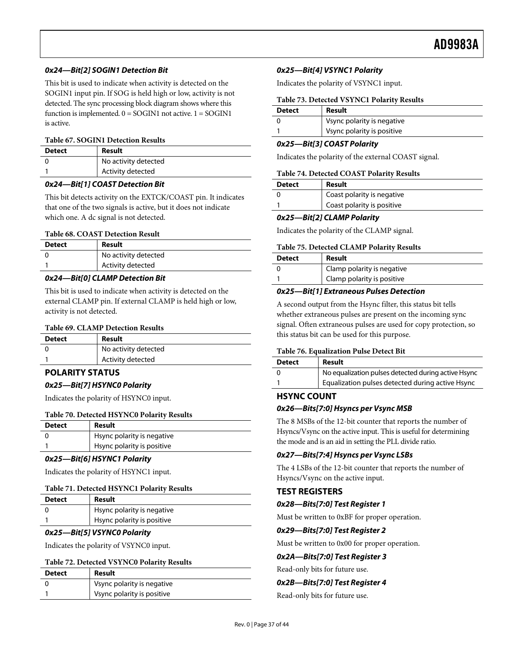# <span id="page-36-0"></span>**0x24—Bit[2] SOGIN1 Detection Bit**

This bit is used to indicate when activity is detected on the SOGIN1 input pin. If SOG is held high or low, activity is not detected. The sync processing block diagram shows where this function is implemented.  $0 = \text{SOGIN1}$  not active.  $1 = \text{SOGIN1}$ is active.

#### **Table 67. SOGIN1 Detection Results**

| <b>Detect</b> | Result               |
|---------------|----------------------|
|               | No activity detected |
|               | Activity detected    |

# **0x24—Bit[1] COAST Detection Bit**

This bit detects activity on the EXTCK/COAST pin. It indicates that one of the two signals is active, but it does not indicate which one. A dc signal is not detected.

#### **Table 68. COAST Detection Result**

| <b>Detect</b> | Result               |
|---------------|----------------------|
|               | No activity detected |
|               | Activity detected    |

#### **0x24—Bit[0] CLAMP Detection Bit**

This bit is used to indicate when activity is detected on the external CLAMP pin. If external CLAMP is held high or low, activity is not detected.

#### **Table 69. CLAMP Detection Results**

| <b>Detect</b> | Result               |
|---------------|----------------------|
|               | No activity detected |
|               | Activity detected    |

# **POLARITY STATUS**

# **0x25—Bit[7] HSYNC0 Polarity**

Indicates the polarity of HSYNC0 input.

#### **Table 70. Detected HSYNC0 Polarity Results**

| <b>Detect</b> | Result                     |
|---------------|----------------------------|
|               | Hsync polarity is negative |
|               | Hsync polarity is positive |

#### **0x25—Bit[6] HSYNC1 Polarity**

Indicates the polarity of HSYNC1 input.

#### **Table 71. Detected HSYNC1 Polarity Results**

| <b>Detect</b> | Result                     |
|---------------|----------------------------|
|               | Hsync polarity is negative |
|               | Hsync polarity is positive |

#### **0x25—Bit[5] VSYNC0 Polarity**

Indicates the polarity of VSYNC0 input.

#### **Table 72. Detected VSYNC0 Polarity Results**

| <b>Detect</b> | Result                     |
|---------------|----------------------------|
|               | Vsync polarity is negative |
|               | Vsync polarity is positive |

#### **0x25—Bit[4] VSYNC1 Polarity**

Indicates the polarity of VSYNC1 input.

| <b>Detect</b> | Result                     |  |
|---------------|----------------------------|--|
|               | Vsync polarity is negative |  |
|               | Vsync polarity is positive |  |

#### **0x25—Bit[3] COAST Polarity**

Indicates the polarity of the external COAST signal.

#### **Table 74. Detected COAST Polarity Results**

| <b>Detect</b> | Result                     |  |  |
|---------------|----------------------------|--|--|
|               | Coast polarity is negative |  |  |
|               | Coast polarity is positive |  |  |

#### **0x25—Bit[2] CLAMP Polarity**

Indicates the polarity of the CLAMP signal.

#### **Table 75. Detected CLAMP Polarity Results**

| <b>Detect</b> | Result                     |
|---------------|----------------------------|
|               | Clamp polarity is negative |
|               | Clamp polarity is positive |

#### **0x25—Bit[1] Extraneous Pulses Detection**

A second output from the Hsync filter, this status bit tells whether extraneous pulses are present on the incoming sync signal. Often extraneous pulses are used for copy protection, so this status bit can be used for this purpose.

#### **Table 76. Equalization Pulse Detect Bit**

| <b>Detect</b> | Result                                              |
|---------------|-----------------------------------------------------|
|               | No equalization pulses detected during active Hsync |
|               | Equalization pulses detected during active Hsync    |

#### **HSYNC COUNT**

# **0x26—Bits[7:0] Hsyncs per Vsync MSB**

The 8 MSBs of the 12-bit counter that reports the number of Hsyncs/Vsync on the active input. This is useful for determining the mode and is an aid in setting the PLL divide ratio.

# **0x27—Bits[7:4] Hsyncs per Vsync LSBs**

The 4 LSBs of the 12-bit counter that reports the number of Hsyncs/Vsync on the active input.

# **TEST REGISTERS**

#### **0x28—Bits[7:0] Test Register 1**

Must be written to 0xBF for proper operation.

# **0x29—Bits[7:0] Test Register 2**

Must be written to 0x00 for proper operation.

#### **0x2A—Bits[7:0] Test Register 3**

Read-only bits for future use.

#### **0x2B—Bits[7:0] Test Register 4**

Read-only bits for future use.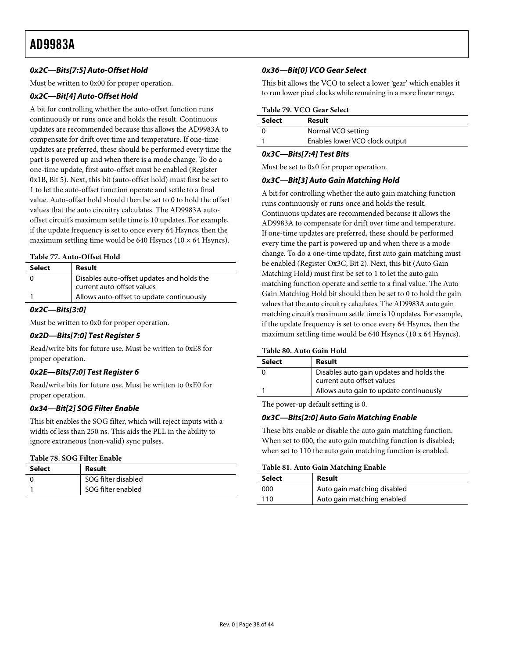# **0x2C—Bits[7:5] Auto-Offset Hold**

Must be written to 0x00 for proper operation.

# **0x2C—Bit[4] Auto-Offset Hold**

<span id="page-37-0"></span>A bit for controlling whether the auto-offset function runs continuously or runs once and holds the result. Continuous updates are recommended because this allows the AD9983A to compensate for drift over time and temperature. If one-time updates are preferred, these should be performed every time the part is powered up and when there is a mode change. To do a one-time update, first auto-offset must be enabled (Register 0x1B, Bit 5). Next, this bit (auto-offset hold) must first be set to 1 to let the auto-offset function operate and settle to a final value. Auto-offset hold should then be set to 0 to hold the offset values that the auto circuitry calculates. The AD9983A autooffset circuit's maximum settle time is 10 updates. For example, if the update frequency is set to once every 64 Hsyncs, then the maximum settling time would be 640 Hsyncs ( $10 \times 64$  Hsyncs).

#### **Table 77. Auto-Offset Hold**

| Select | Result                                     |
|--------|--------------------------------------------|
|        | Disables auto-offset updates and holds the |
|        | current auto-offset values                 |
|        | Allows auto-offset to update continuously  |

#### **0x2C—Bits[3:0]**

Must be written to 0x0 for proper operation.

#### **0x2D—Bits[7:0] Test Register 5**

Read/write bits for future use. Must be written to 0xE8 for proper operation.

# **0x2E—Bits[7:0] Test Register 6**

Read/write bits for future use. Must be written to 0xE0 for proper operation.

#### **0x34—Bit[2] SOG Filter Enable**

This bit enables the SOG filter, which will reject inputs with a width of less than 250 ns. This aids the PLL in the ability to ignore extraneous (non-valid) sync pulses.

#### **Table 78. SOG Filter Enable**

| Select | Result              |
|--------|---------------------|
|        | SOG filter disabled |
|        | SOG filter enabled  |

#### **0x36—Bit[0] VCO Gear Select**

This bit allows the VCO to select a lower 'gear' which enables it to run lower pixel clocks while remaining in a more linear range.

#### **Table 79. VCO Gear Select**

| <b>Select</b> | Result                         |
|---------------|--------------------------------|
|               | Normal VCO setting             |
|               | Enables lower VCO clock output |

#### **0x3C—Bits[7:4] Test Bits**

Must be set to 0x0 for proper operation.

#### **0x3C—Bit[3] Auto Gain Matching Hold**

A bit for controlling whether the auto gain matching function runs continuously or runs once and holds the result. Continuous updates are recommended because it allows the AD9983A to compensate for drift over time and temperature. If one-time updates are preferred, these should be performed every time the part is powered up and when there is a mode change. To do a one-time update, first auto gain matching must be enabled (Register Ox3C, Bit 2). Next, this bit (Auto Gain Matching Hold) must first be set to 1 to let the auto gain matching function operate and settle to a final value. The Auto Gain Matching Hold bit should then be set to 0 to hold the gain values that the auto circuitry calculates. The AD9983A auto gain matching circuit's maximum settle time is 10 updates. For example, if the update frequency is set to once every 64 Hsyncs, then the maximum settling time would be 640 Hsyncs (10 x 64 Hsyncs).

#### **Table 80. Auto Gain Hold**

| Select | Result                                                                 |
|--------|------------------------------------------------------------------------|
|        | Disables auto gain updates and holds the<br>current auto offset values |
|        | Allows auto gain to update continuously                                |

The power-up default setting is 0.

# **0x3C—Bits[2:0] Auto Gain Matching Enable**

These bits enable or disable the auto gain matching function. When set to 000, the auto gain matching function is disabled; when set to 110 the auto gain matching function is enabled.

#### **Table 81. Auto Gain Matching Enable**

| <b>Select</b> | Result                      |  |
|---------------|-----------------------------|--|
| 000           | Auto gain matching disabled |  |
| 110           | Auto gain matching enabled  |  |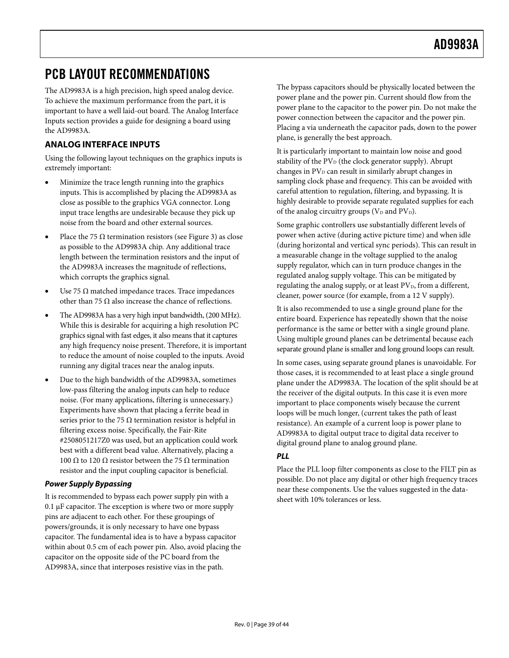# <span id="page-38-1"></span><span id="page-38-0"></span>PCB LAYOUT RECOMMENDATIONS

The AD9983A is a high precision, high speed analog device. To achieve the maximum performance from the part, it is important to have a well laid-out board. The [Analog Interface](#page-38-3)  [Inputs](#page-38-3) section provides a guide for designing a board using the AD9983A.

# <span id="page-38-3"></span>**ANALOG INTERFACE INPUTS**

Using the following layout techniques on the graphics inputs is extremely important:

- Minimize the trace length running into the graphics inputs. This is accomplished by placing the AD9983A as close as possible to the graphics VGA connector. Long input trace lengths are undesirable because they pick up noise from the board and other external sources.
- Place the 75  $\Omega$  termination resistors (see [Figure 3](#page-9-3)) as close as possible to the AD9983A chip. Any additional trace length between the termination resistors and the input of the AD9983A increases the magnitude of reflections, which corrupts the graphics signal.
- Use 75  $\Omega$  matched impedance traces. Trace impedances other than 75  $\Omega$  also increase the chance of reflections.
- The AD9983A has a very high input bandwidth, (200 MHz). While this is desirable for acquiring a high resolution PC graphics signal with fast edges, it also means that it captures any high frequency noise present. Therefore, it is important to reduce the amount of noise coupled to the inputs. Avoid running any digital traces near the analog inputs.
- Due to the high bandwidth of the AD9983A, sometimes low-pass filtering the analog inputs can help to reduce noise. (For many applications, filtering is unnecessary.) Experiments have shown that placing a ferrite bead in series prior to the 75  $\Omega$  termination resistor is helpful in filtering excess noise. Specifically, the Fair-Rite #2508051217Z0 was used, but an application could work best with a different bead value. Alternatively, placing a 100 Ω to 120 Ω resistor between the 75 Ω termination resistor and the input coupling capacitor is beneficial.

# <span id="page-38-2"></span>**Power Supply Bypassing**

It is recommended to bypass each power supply pin with a 0.1 μF capacitor. The exception is where two or more supply pins are adjacent to each other. For these groupings of powers/grounds, it is only necessary to have one bypass capacitor. The fundamental idea is to have a bypass capacitor within about 0.5 cm of each power pin. Also, avoid placing the capacitor on the opposite side of the PC board from the AD9983A, since that interposes resistive vias in the path.

The bypass capacitors should be physically located between the power plane and the power pin. Current should flow from the power plane to the capacitor to the power pin. Do not make the power connection between the capacitor and the power pin. Placing a via underneath the capacitor pads, down to the power plane, is generally the best approach.

It is particularly important to maintain low noise and good stability of the  $PV<sub>D</sub>$  (the clock generator supply). Abrupt changes in  $PV<sub>D</sub>$  can result in similarly abrupt changes in sampling clock phase and frequency. This can be avoided with careful attention to regulation, filtering, and bypassing. It is highly desirable to provide separate regulated supplies for each of the analog circuitry groups ( $V_D$  and  $PV_D$ ).

Some graphic controllers use substantially different levels of power when active (during active picture time) and when idle (during horizontal and vertical sync periods). This can result in a measurable change in the voltage supplied to the analog supply regulator, which can in turn produce changes in the regulated analog supply voltage. This can be mitigated by regulating the analog supply, or at least  $PV<sub>D</sub>$ , from a different, cleaner, power source (for example, from a 12 V supply).

It is also recommended to use a single ground plane for the entire board. Experience has repeatedly shown that the noise performance is the same or better with a single ground plane. Using multiple ground planes can be detrimental because each separate ground plane is smaller and long ground loops can result.

In some cases, using separate ground planes is unavoidable. For those cases, it is recommended to at least place a single ground plane under the AD9983A. The location of the split should be at the receiver of the digital outputs. In this case it is even more important to place components wisely because the current loops will be much longer, (current takes the path of least resistance). An example of a current loop is power plane to AD9983A to digital output trace to digital data receiver to digital ground plane to analog ground plane.

# **PLL**

Place the PLL loop filter components as close to the FILT pin as possible. Do not place any digital or other high frequency traces near these components. Use the values suggested in the datasheet with 10% tolerances or less.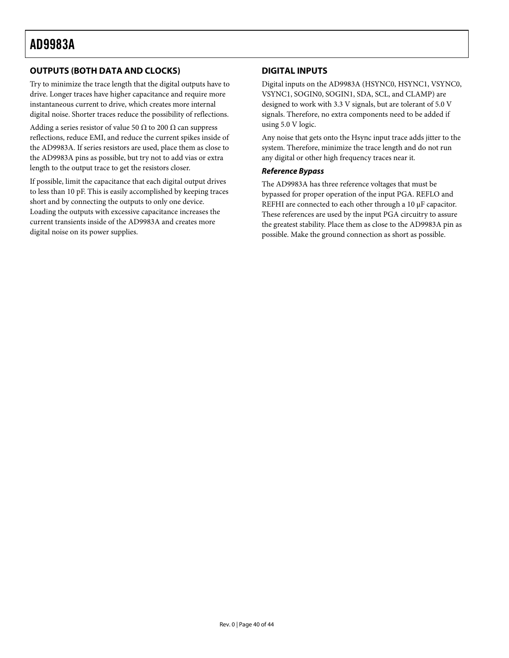# <span id="page-39-0"></span>**OUTPUTS (BOTH DATA AND CLOCKS)**

Try to minimize the trace length that the digital outputs have to drive. Longer traces have higher capacitance and require more instantaneous current to drive, which creates more internal digital noise. Shorter traces reduce the possibility of reflections.

Adding a series resistor of value 50  $\Omega$  to 200  $\Omega$  can suppress reflections, reduce EMI, and reduce the current spikes inside of the AD9983A. If series resistors are used, place them as close to the AD9983A pins as possible, but try not to add vias or extra length to the output trace to get the resistors closer.

If possible, limit the capacitance that each digital output drives to less than 10 pF. This is easily accomplished by keeping traces short and by connecting the outputs to only one device. Loading the outputs with excessive capacitance increases the current transients inside of the AD9983A and creates more digital noise on its power supplies.

# **DIGITAL INPUTS**

Digital inputs on the AD9983A (HSYNC0, HSYNC1, VSYNC0, VSYNC1, SOGIN0, SOGIN1, SDA, SCL, and CLAMP) are designed to work with 3.3 V signals, but are tolerant of 5.0 V signals. Therefore, no extra components need to be added if using 5.0 V logic.

Any noise that gets onto the Hsync input trace adds jitter to the system. Therefore, minimize the trace length and do not run any digital or other high frequency traces near it.

#### **Reference Bypass**

The AD9983A has three reference voltages that must be bypassed for proper operation of the input PGA. REFLO and REFHI are connected to each other through a 10 μF capacitor. These references are used by the input PGA circuitry to assure the greatest stability. Place them as close to the AD9983A pin as possible. Make the ground connection as short as possible.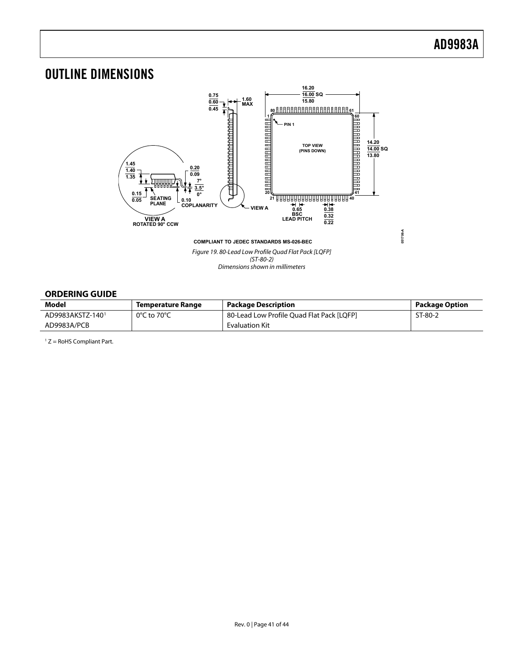# <span id="page-40-1"></span><span id="page-40-0"></span>OUTLINE DIMENSIONS



Figure 19. 80-Lead Low Profile Quad Flat Pack [LQFP] (ST-80-2) Dimensions shown in millimeters

# **ORDERING GUIDE**

| Model                        | Temperature Range                | <b>Package Description</b>                | <b>Package Option</b> |
|------------------------------|----------------------------------|-------------------------------------------|-----------------------|
| AD9983AKSTZ-140 <sup>1</sup> | $0^{\circ}$ C to 70 $^{\circ}$ C | 80-Lead Low Profile Ouad Flat Pack [LOFP] | ST-80-2               |
| AD9983A/PCB                  |                                  | <b>Evaluation Kit</b>                     |                       |

 $1 Z =$  RoHS Compliant Part.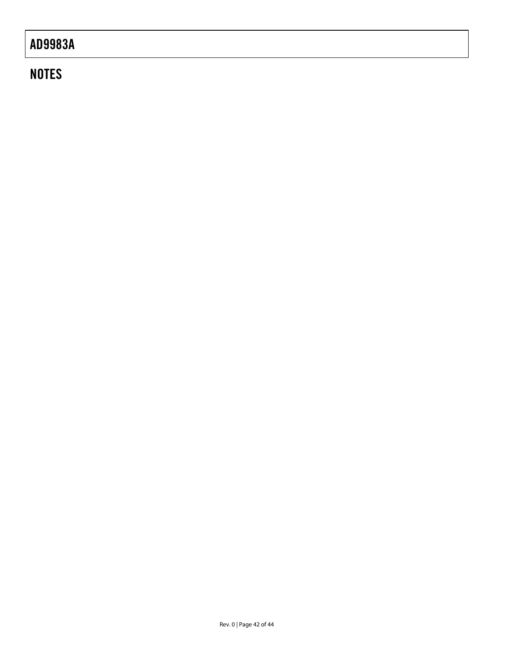# **NOTES**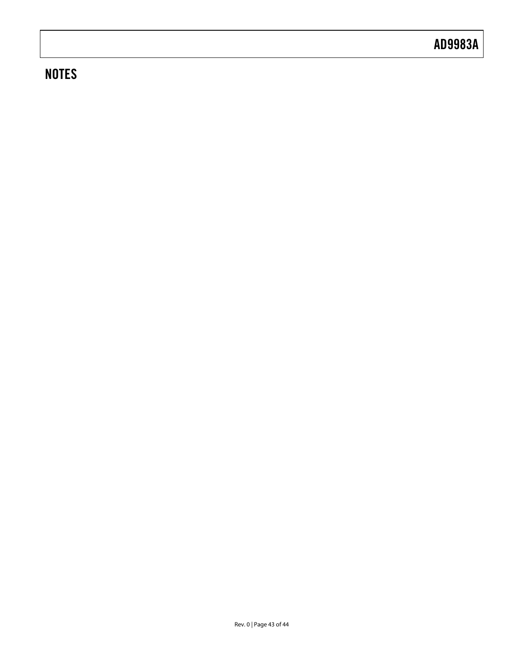# **NOTES**